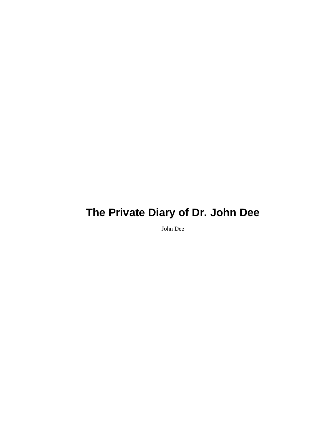John Dee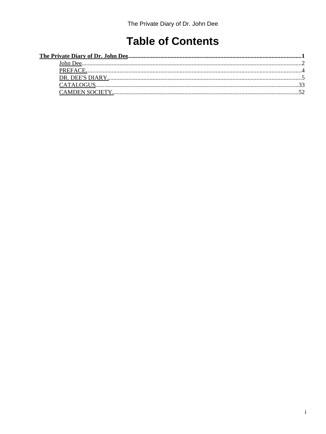## **Table of Contents**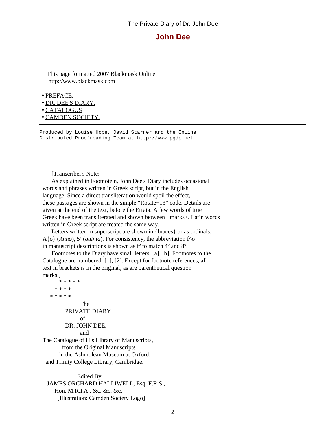#### **John Dee**

<span id="page-3-0"></span> This page formatted 2007 Blackmask Online. http://www.blackmask.com

• [PREFACE.](#page-5-0)

- [DR. DEE'S DIARY.](#page-6-0)
- [CATALOGUS](#page-34-0)

• [CAMDEN SOCIETY.](#page-53-0)

Produced by Louise Hope, David Starner and the Online Distributed Proofreading Team at http://www.pgdp.net

[Transcriber's Note:

\* \* \* \* \*

 As explained in Footnote n, John Dee's Diary includes occasional words and phrases written in Greek script, but in the English language. Since a direct transliteration would spoil the effect, these passages are shown in the simple "Rotate−13" code. Details are given at the end of the text, before the Errata. A few words of true Greek have been transliterated and shown between +marks+. Latin words written in Greek script are treated the same way.

 Letters written in superscript are shown in {braces} or as ordinals: A{o} (*Anno*), 5ª (*quinta*). For consistency, the abbreviation f^o in manuscript descriptions is shown as fº to match 4º and 8º.

 Footnotes to the Diary have small letters: [a], [b]. Footnotes to the Catalogue are numbered: [1], [2]. Except for footnote references, all text in brackets is in the original, as are parenthetical question marks.]

 \* \* \* \* \* \* \* \* \* The PRIVATE DIARY of DR. JOHN DEE, and The Catalogue of His Library of Manuscripts, from the Original Manuscripts in the Ashmolean Museum at Oxford,

and Trinity College Library, Cambridge.

 Edited By JAMES ORCHARD HALLIWELL, Esq. F.R.S., Hon. M.R.I.A., &c. &c. &c. [Illustration: Camden Society Logo]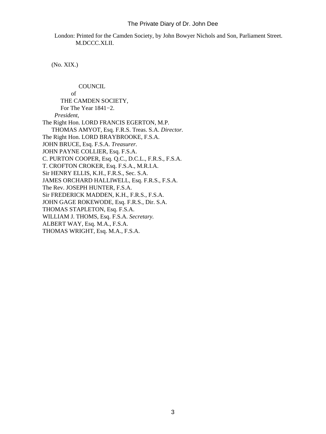London: Printed for the Camden Society, by John Bowyer Nichols and Son, Parliament Street. M.DCCC.XLII.

(No. XIX.)

**COUNCIL**  of THE CAMDEN SOCIETY, For The Year 1841−2. *President*, The Right Hon. LORD FRANCIS EGERTON, M.P. THOMAS AMYOT, Esq. F.R.S. Treas. S.A. *Director.* The Right Hon. LORD BRAYBROOKE, F.S.A. JOHN BRUCE, Esq. F.S.A. *Treasurer.* JOHN PAYNE COLLIER, Esq. F.S.A. C. PURTON COOPER, Esq. Q.C., D.C.L., F.R.S., F.S.A. T. CROFTON CROKER, Esq. F.S.A., M.R.I.A. Sir HENRY ELLIS, K.H., F.R.S., Sec. S.A. JAMES ORCHARD HALLIWELL, Esq. F.R.S., F.S.A. The Rev. JOSEPH HUNTER, F.S.A. Sir FREDERICK MADDEN, K.H., F.R.S., F.S.A. JOHN GAGE ROKEWODE, Esq. F.R.S., Dir. S.A. THOMAS STAPLETON, Esq. F.S.A. WILLIAM J. THOMS, Esq. F.S.A. *Secretary.* ALBERT WAY, Esq. M.A., F.S.A. THOMAS WRIGHT, Esq. M.A., F.S.A.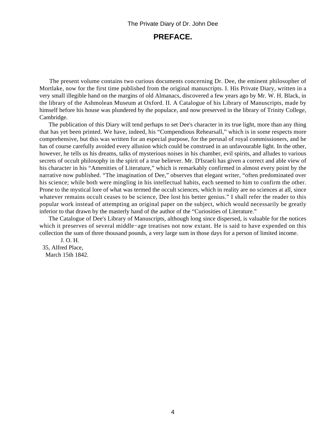### **PREFACE.**

<span id="page-5-0"></span> The present volume contains two curious documents concerning Dr. Dee, the eminent philosopher of Mortlake, now for the first time published from the original manuscripts. I. His Private Diary, written in a very small illegible hand on the margins of old Almanacs, discovered a few years ago by Mr. W. H. Black, in the library of the Ashmolean Museum at Oxford. II. A Catalogue of his Library of Manuscripts, made by himself before his house was plundered by the populace, and now preserved in the library of Trinity College, Cambridge.

 The publication of this Diary will tend perhaps to set Dee's character in its true light, more than any thing that has yet been printed. We have, indeed, his "Compendious Rehearsall," which is in some respects more comprehensive, but this was written for an especial purpose, for the perusal of royal commissioners, and he has of course carefully avoided every allusion which could be construed in an unfavourable light. In the other, however, he tells us his dreams, talks of mysterious noises in his chamber, evil spirits, and alludes to various secrets of occult philosophy in the spirit of a true believer. Mr. D'Israeli has given a correct and able view of his character in his "Amenities of Literature," which is remarkably confirmed in almost every point by the narrative now published. "The imagination of Dee," observes that elegant writer, "often predominated over his science; while both were mingling in his intellectual habits, each seemed to him to confirm the other. Prone to the mystical lore of what was termed the occult sciences, which in reality are no sciences at all, since whatever remains occult ceases to be science, Dee lost his better genius." I shall refer the reader to this popular work instead of attempting an original paper on the subject, which would necessarily be greatly inferior to that drawn by the masterly hand of the author of the "Curiosities of Literature."

 The Catalogue of Dee's Library of Manuscripts, although long since dispersed, is valuable for the notices which it preserves of several middle−age treatises not now extant. He is said to have expended on this collection the sum of three thousand pounds, a very large sum in those days for a person of limited income.

 J. O. H. 35, Alfred Place, March 15th 1842.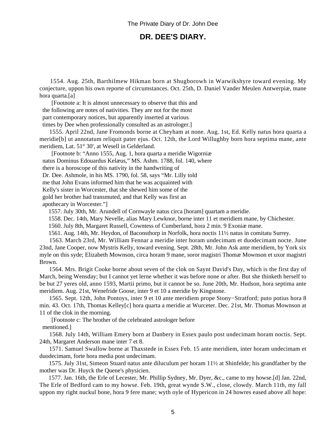### **DR. DEE'S DIARY.**

<span id="page-6-0"></span> 1554. Aug. 25th, Barthilmew Hikman born at Shugborowh in Warwikshyre toward evening. My conjecture, uppon his own reporte of circumstances. Oct. 25th, D. Daniel Vander Meulen Antwerpiæ, mane hora quarta.[a]

 [Footnote a: It is almost unnecessary to observe that this and the following are notes of nativities. They are not for the most part contemporary notices, but apparently inserted at various times by Dee when professionally consulted as an astrologer.]

 1555. April 22nd, Jane Fromonds borne at Cheyham at none. Aug. 1st, Ed. Kelly natus hora quarta a meridie[b] ut annotatum reliquit pater ejus. Oct. 12th, the Lord Willughby born hora septima mane, ante meridiem, Lat. 51° 30', at Wesell in Gelderland.

 [Footnote b: "Anno 1555, Aug. 1, hora quarta a meridie Wigorniæ natus Dominus Edouardus Kelæus," MS. Ashm. 1788, fol. 140, where there is a horoscope of this nativity in the handwriting of Dr. Dee. Ashmole, in his MS. 1790, fol. 58, says "Mr. Lilly told me that John Evans informed him that he was acquainted with Kelly's sister in Worcester, that she shewed him some of the gold her brother had transmuted, and that Kelly was first an apothecary in Worcester."]

1557. July 30th, Mr. Arundell of Cornwayle natus circa [horam] quartam a meridie.

1558. Dec. 14th, Mary Nevelle, alias Mary Lewknor, borne inter 11 et meridiem mane, by Chichester.

1560. July 8th, Margaret Russell, Cowntess of Cumberland, hora 2 min. 9 Exoniæ mane.

1561. Aug. 14th, Mr. Heydon, of Baconsthorp in Norfolk, hora noctis 11½ natus in comitatu Surrey.

 1563. March 23rd, Mr. William Fennar a meridie inter horam undecimam et duodecimam nocte. June 23nd, Jane Cooper, now Mystris Kelly, toward evening. Sept. 28th, Mr. John Ask ante meridiem, by York six myle on this syde; Elizabeth Mownson, circa horam 9 mane, soror magistri Thomæ Mownson et uxor magistri Brown.

 1564. Mrs. Brigit Cooke borne about seven of the clok on Saynt David's Day, which is the first day of March, being Wensday; but I cannot yet lerne whether it was before none or after. But she thinketh herself to be but 27 yeres old, anno 1593, Martii primo, but it cannot be so. June 20th, Mr. Hudson, hora septima ante meridiem. Aug. 21st, Wenefride Goose, inter 9 et 10 a meridie by Kingstone.

 1565. Sept. 12th, John Pontoys, inter 9 et 10 ante meridiem prope Stony−Stratford; puto potius hora 8 min. 43. Oct. 17th, Thomas Kelley[c] hora quarta a meridie at Wurceter. Dec. 21st, Mr. Thomas Mownson at 11 of the clok in the morning.

 [Footnote c: The brother of the celebrated astrologer before mentioned.]

 1568. July 14th, William Emery born at Danbery in Essex paulo post undecimam horam noctis. Sept. 24th, Margaret Anderson mane inter 7 et 8.

 1571. Samuel Swallow borne at Thaxstede in Essex Feb. 15 ante meridiem, inter horam undecimam et duodecimam, forte hora media post undecimam.

 1575. July 31st, Simeon Stuard natus ante diluculum per horam 11½ at Shinfelde; his grandfather by the mother was Dr. Huyck the Quene's physicien.

 1577. Jan. 16th, the Erle of Lecester, Mr. Phillip Sydney, Mr. Dyer, &c., came to my howse.[d] Jan. 22nd, The Erle of Bedford cam to my howse. Feb. 19th, great wynde S.W., close, clowdy. March 11th, my fall uppon my right nuckul bone, hora 9 fere mane; wyth oyle of Hypericon in 24 howres eased above all hope: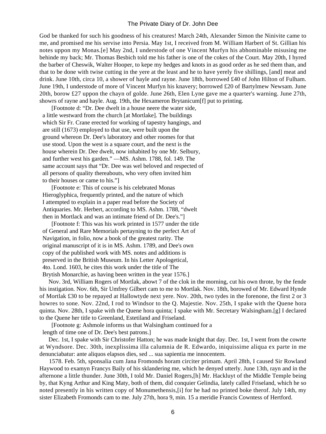God be thanked for such his goodness of his creatures! March 24th, Alexander Simon the Ninivite came to me, and promised me his servise into Persia. May 1st, I received from M. William Harbert of St. Gillian his notes uppon my Monas.[e] May 2nd, I understode of one Vincent Murfyn his abhominable misusing me behinde my back; Mr. Thomas Besbich told me his father is one of the cokes of the Court. May 20th, I hyred the barber of Cheswik, Walter Hooper, to kepe my hedges and knots in as good order as he sed them than, and that to be done with twise cutting in the yere at the least and he to have yerely five shillings, [and] meat and drink. June 10th, circa 10, a shower of hayle and rayne. June 18th, borrowed £40 of John Hilton of Fulham. June 19th, I understode of more of Vincent Murfyn his knavery; borrowed £20 of Bartylmew Newsam. June 20th, borow £27 uppon the chayn of golde. June 26th, Elen Lyne gave me a quarter's warning. June 27th, showrs of rayne and hayle. Aug. 19th, the Hexameron Brytanicum[f] put to printing.

 [Footnote d: "Dr. Dee dwelt in a house neere the water side, a little westward from the church [at Mortlake]. The buildings which Sir Fr. Crane erected for working of tapestry hangings, and are still (1673) employed to that use, were built upon the ground whereon Dr. Dee's laboratory and other roomes for that use stood. Upon the west is a square court, and the next is the house wherein Dr. Dee dwelt, now inhabited by one Mr. Selbury, and further west his garden." —MS. Ashm. 1788, fol. 149. The same account says that "Dr. Dee was wel beloved and respected of all persons of quality thereabouts, who very often invited him to their houses or came to his."]

 [Footnote e: This of course is his celebrated Monas Hieroglyphica, frequently printed, and the nature of which I attempted to explain in a paper read before the Society of Antiquaries. Mr. Herbert, according to MS. Ashm. 1788, "dwelt then in Mortlack and was an intimate friend of Dr. Dee's."]

 [Footnote f: This was his work printed in 1577 under the title of General and Rare Memorials pertayning to the perfect Art of Navigation, in folio, now a book of the greatest rarity. The original manuscript of it is in MS. Ashm. 1789, and Dee's own copy of the published work with MS. notes and additions is preserved in the British Museum. In his Letter Apologetical, 4to. Lond. 1603, he cites this work under the title of The Brytish Monarchie, as having been written in the year 1576.]

 Nov. 3rd, William Rogers of Mortlak, abowt 7 of the clok in the morning, cut his own throte, by the fende his instigation. Nov. 6th, Sir Umfrey Gilbert cam to me to Mortlak. Nov. 18th, borowed of Mr. Edward Hynde of Mortlak £30 to be repayed at Hallowtyde next yere. Nov. 20th, two tydes in the forenone, the first 2 or 3 howres to sone. Nov. 22nd, I rod to Windsor to the Q. Majestie. Nov. 25th, I spake with the Quene hora quinta. Nov. 28th, I spake with the Quene hora quinta; I spake with Mr. Secretary Walsingham.[g] I declared to the Quene her title to Greenland, Estetiland and Friseland.

[Footnote g: Ashmole informs us that Walsingham continued for a

length of time one of Dr. Dee's best patrons.]

 Dec. 1st, I spake with Sir Christofer Hatton; he was made knight that day. Dec. 1st, I went from the cowrte at Wyndsore. Dec. 30th, inexplissima illa calumnia de R. Edwardo, iniquissime aliqua ex parte in me denunciabatur: ante aliquos elapsos dies, sed ... sua sapientia me innocentem.

 1578. Feb. 5th, sponsalia cum Jana Fromonds horam circiter primam. April 28th, I caused Sir Rowland Haywood to examyn Francys Baily of his sklandering me, which he denyed utterly. June 13th, rayn and in the afternone a little thunder. June 30th, I told Mr. Daniel Rogers,[h] Mr. Hackluyt of the Middle Temple being by, that Kyng Arthur and King Maty, both of them, did conquier Gelindia, lately called Friseland, which he so noted presently in his written copy of Monumethensis,[i] for he had no printed boke therof. July 14th, my sister Elizabeth Fromonds cam to me. July 27th, hora 9, min. 15 a meridie Francis Cowntess of Hertford.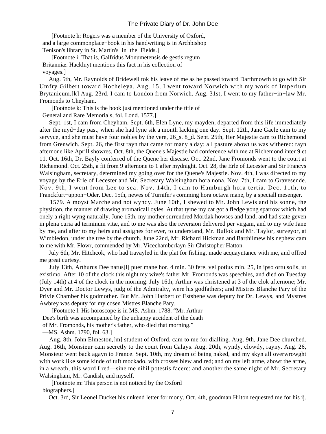[Footnote h: Rogers was a member of the University of Oxford, and a large commonplace−book in his handwriting is in Archbishop Tenison's library in St. Martin's−in−the−Fields.]

 [Footnote i: That is, Galfridus Monumetensis de gestis regum Britanniæ. Hackluyt mentions this fact in his collection of voyages.]

 Aug. 5th, Mr. Raynolds of Bridewell tok his leave of me as he passed toward Darthmowth to go with Sir Umfry Gilbert toward Hocheleya. Aug. 15, I went toward Norwich with my work of Imperium Brytanicum.[k] Aug. 23rd, I cam to London from Norwich. Aug. 31st, I went to my father−in−law Mr. Fromonds to Cheyham.

[Footnote k: This is the book just mentioned under the title of

General and Rare Memorials, fol. Lond. 1577.]

 Sept. 1st, I cam from Cheyham. Sept. 6th, Elen Lyne, my mayden, departed from this life immediately after the myd−day past, when she had lyne sik a month lacking one day. Sept. 12th, Jane Gaele cam to my servyce, and she must have four nobles by the yere, 26\_s. 8\_d. Sept. 25th, Her Majestie cam to Richemond from Grenwich. Sept. 26, the first rayn that came for many a day; all pasture abowt us was withered: rayn afternone like Aprill showres. Oct. 8th, the Quene's Majestie had conference with me at Richemond inter 9 et 11. Oct. 16th, Dr. Bayly conferred of the Quene her disease. Oct. 22nd, Jane Fromonds went to the court at Richemond. Oct. 25th, a fit from 9 afternone to 1 after mydnight. Oct. 28, the Erle of Lecester and Sir Francys Walsingham, secretary, determined my going over for the Quene's Majestie. Nov. 4th, I was directed to my voyage by the Erle of Lecester and Mr. Secretary Walsingham hora nona. Nov. 7th, I cam to Gravesende. Nov. 9th, I went from Lee to sea. Nov. 14th, I cam to Hamburgh hora tertia. Dec. 11th, to Franckfurt−uppon−Oder. Dec. 15th, newes of Turnifer's comming hora octava mane, by a speciall mesenger.

 1579. A moyst Marche and not wyndy. June 10th, I shewed to Mr. John Lewis and his sonne, the physition, the manner of drawing aromaticall oyles. At that tyme my cat got a fledge yong sparrow which had onely a right wyng naturally. June 15th, my mother surrendred Mortlak howses and land, and had state geven in plena curia ad terminum vitæ, and to me was also the reversion delivered per virgam, and to my wife Jane by me, and after to my heirs and assignes for ever, to understand, Mr. Bullok and Mr. Taylor, surveyor, at Wimbledon, under the tree by the church. June 22nd, Mr. Richard Hickman and Barthilmew his nephew cam to me with Mr. Flowr, commended by Mr. Vicechamberlayn Sir Christopher Hatton.

 July 6th, Mr. Hitchcok, who had travayled in the plat for fishing, made acquayntance with me, and offred me great curtesy.

 July 13th, Arthurus Dee natus[l] puer mane hor. 4 min. 30 fere, vel potius min. 25, in ipso ortu solis, ut existimo. After 10 of the clock this night my wive's father Mr. Fromonds was speechles, and died on Tuesday (July 14th) at 4 of the clock in the morning. July 16th, Arthur was christened at 3 of the clok afternone; Mr. Dyer and Mr. Doctor Lewys, judg of the Admiralty, were his godfathers; and Mistres Blanche Pary of the Privie Chamber his godmother. But Mr. John Harbert of Estshene was deputy for Dr. Lewys, and Mystres Awbrey was deputy for my cosen Mistres Blanche Pary.

 [Footnote l: His horoscope is in MS. Ashm. 1788. "Mr. Arthur Dee's birth was accompanied by the unhappy accident of the death

of Mr. Fromonds, his mother's father, who died that morning."

—MS. Ashm. 1790, fol. 63.]

 Aug. 8th, John Elmeston,[m] student of Oxford, cam to me for dialling. Aug. 9th, Jane Dee churched. Aug. 16th, Monsieur cam secretly to the court from Calays. Aug. 20th, wyndy, clowdy, rayny. Aug. 26, Monsieur went back agayn to France. Sept. 10th, my dream of being naked, and my skyn all overwrowght with work like some kinde of tuft mockado, with crosses blew and red; and on my left arme, abowt the arme, in a wreath, this word I red—sine me nihil potestis facere: and another the same night of Mr. Secretary Walsingham, Mr. Candish, and myself.

 [Footnote m: This person is not noticed by the Oxford biographers.]

Oct. 3rd, Sir Leonel Ducket his unkend letter for mony. Oct. 4th, goodman Hilton requested me for his ij.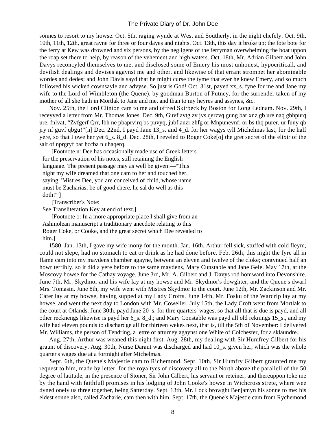sonnes to resort to my howse. Oct. 5th, raging wynde at West and Southerly, in the night chefely. Oct. 9th, 10th, 11th, 12th, great rayne for three or four dayes and nights. Oct. 13th, this day it broke up; the fote bote for the ferry at Kew was drowned and six persons, by the negligens of the ferryman overwhelming the boat uppon the roap set there to help, by reason of the vehement and high waters. Oct. 18th, Mr. Adrian Gilbert and John Davys reconcyled themselves to me, and disclosed some of Emery his most unhonest, hypocriticall, and devilish dealings and devises agaynst me and other, and likewise of that errant strompet her abominable wordes and dedes; and John Davis sayd that he might curse the tyme that ever he knew Emery, and so much followed his wicked cownsayle and advyse. So just is God! Oct. 31st, payed xx\_s. fyne for me and Jane my wife to the Lord of Wimbleton (the Quene), by goodman Burton of Putney, for the surrender taken of my mother of all she hath in Mortlak to Jane and me, and than to my heyres and assynes, &c.

 Nov. 25th, the Lord Clinton cam to me and offred Skirbeck by Boston for Long Lednam. Nov. 29th, I receyved a letter from Mr. Thomas Jones. Dec. 9th, Guvf avtg zv jvs qerzvq gung bar xnz gb ure naq gbhpurq ure, fnlvat, "Zvfgerf Qrr, lbh ne pbaprvirq bs puvyq, jubf anzr zhfg or Mnpunevnf; or bs thq purer, ur funy qb jry nf guvf qbgu!"[n] Dec. 22nd, I payd Jane 13\_s. and 4\_d. for her wagys tyll Michelmas last, for the half yere, so that I owe her yet  $6\_s$ .  $8\_d$ . Dec. 28th, I reveled to Roger Coke[o] the gret secret of the elixir of the salt of nprgryf bar hccba n uhaqerq.

 [Footnote n: Dee has occasionally made use of Greek letters for the preservation of his notes, still retaining the English language. The present passage may as well be given:—"This night my wife dreamed that one cam to her and touched her, saying, 'Mistres Dee, you are conceived of child, whose name must be Zacharias; be of good chere, he sal do well as this doth!'"]

[Transcriber's Note:

See Transliteration Key at end of text.]

 [Footnote o: In a more appropriate place I shall give from an Ashmolean manuscript a traditionary anecdote relating to this Roger Coke, or Cooke, and the great secret which Dee revealed to him.]

 1580. Jan. 13th, I gave my wife mony for the month. Jan. 16th, Arthur fell sick, stuffed with cold fleym, could not slepe, had no stomach to eat or drink as he had done before. Feb. 26th, this night the fyre all in flame cam into my maydens chamber agayne, betwene an eleven and twelve of the cloke; contynued half an howr terribly, so it did a yere before to the same maydens, Mary Cunstable and Jane Gele. May 17th, at the Moscovy howse for the Cathay voyage. June 3rd, Mr. A. Gilbert and J. Davys rod homward into Devonshire. June 7th, Mr. Skydmor and his wife lay at my howse and Mr. Skydmor's dowghter, and the Quene's dwarf Mrs. Tomasin. June 8th, my wife went with Mistres Skydmor to the court. June 12th, Mr. Zackinson and Mr. Cater lay at my howse, having supped at my Lady Crofts. June 14th, Mr. Fosku of the Wardrip lay at my howse, and went the next day to London with Mr. Coweller. July 15th, the Lady Croft went from Mortlak to the court at Otlands. June 30th, payd Jane 20\_s. for thre quarters' wages, so that all that is due is payd, and all other recknengs likewise is payd her 6\_s. 8\_d.; and Mary Constable was payd all old reknings 15\_s., and my wife had eleven pounds to dischardge all for thirteen wekes next, that is, till the 5th of November: I delivered Mr. Williams, the person of Tendring, a lettre of atturney agaynst one White of Colchester, for a sklaundre.

 Aug. 27th, Arthur was weaned this night first. Aug. 28th, my dealing with Sir Humfrey Gilbert for his graunt of discovery. Aug. 30th, Nurse Darant was discharged and had 10\_s. given her, which was the whole quarter's wages due at a fortnight after Michelmas.

 Sept. 6th, the Quene's Majestie cam to Richemond. Sept. 10th, Sir Humfry Gilbert graunted me my request to him, made by letter, for the royaltyes of discovery all to the North above the parallell of the 50 degree of latitude, in the presence of Stoner, Sir John Gilbert, his servant or reteiner; and thereuppon toke me by the hand with faithfull promises in his lodging of John Cooke's howse in Wichcross strete, where wee dyned onely us three together, being Satterday. Sept. 13th, Mr. Lock browght Benjamyn his sonne to me: his eldest sonne also, called Zacharie, cam then with him. Sept. 17th, the Quene's Majestie cam from Rychemond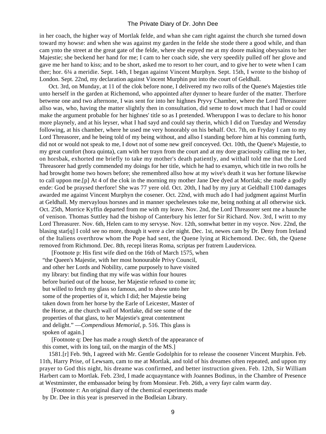in her coach, the higher way of Mortlak felde, and whan she cam right against the church she turned down toward my howse: and when she was against my garden in the felde she stode there a good while, and than cam ynto the street at the great gate of the felde, where she espyed me at my doore making obeysains to her Majestie; she beckend her hand for me; I cam to her coach side, she very speedily pulled off her glove and gave me her hand to kiss; and to be short, asked me to resort to her court, and to give her to wete when I cam ther; hor. 6¼ a meridie. Sept. 14th, I began against Vincent Murphyn. Sept. 15th, I wrote to the bishop of London. Sept. 22nd, my declaration against Vincent Murphin put into the court of Geldhall.

 Oct. 3rd, on Munday, at 11 of the clok before none, I delivered my two rolls of the Quene's Majesties title unto herself in the garden at Richemond, who appointed after dynner to heare furder of the matter. Therfore betwene one and two afternone, I was sent for into her highnes Pryvy Chamber, where the Lord Threasurer allso was, who, having the matter slightly then in consultation, did seme to dowt much that I had or could make the argument probable for her highnes' title so as I pretended. Wheruppon I was to declare to his honor more playnely, and at his leyser, what I had sayd and could say therin, which I did on Tuesday and Wensday following, at his chamber, where he used me very honorably on his behalf. Oct. 7th, on Fryday I cam to my Lord Threasorer, and he being told of my being without, and allso I standing before him at his comming furth, did not or would not speak to me, I dowt not of some new greif conceyved. Oct. 10th, the Quene's Majestie, to my great cumfort (hora quinta), cam with her trayn from the court and at my dore graciously calling me to her, on horsbak, exhorted me briefly to take my mother's death patiently, and withall told me that the Lord Threasorer had gretly commended my doings for her title, which he had to examyn, which title in two rolls he had browght home two howrs before; she remembred allso how at my wive's death it was her fortune likewise to call uppon me.[p] At 4 of the clok in the morning my mother Jane Dee dyed at Mortlak; she made a godly ende: God be praysed therfore! She was 77 yere old. Oct. 20th, I had by my jury at Geldhall £100 damages awarded me against Vincent Murphyn the cosener. Oct. 22nd, with much ado I had judgment against Murfin at Geldhall. My mervaylous horsnes and in manner spechelesnes toke me, being nothing at all otherwise sick. Oct. 25th, Morrice Kyffin departed from me with my leave. Nov. 2nd, the Lord Threasorer sent me a haunche of venison. Thomas Suttley had the bishop of Canterbury his letter for Sir Richard. Nov. 3rd, I writt to my Lord Threasurer. Nov. 6th, Helen cam to my servyse. Nov. 12th, somwhat better in my voyce. Nov. 22nd, the blasing star[q] I cold see no more, though it were a cler night. Dec. 1st, newes cam by Dr. Deny from Ireland of the Italiens overthrow whom the Pope had sent, the Quene lying at Richemond. Dec. 6th, the Quene removed from Richmond. Dec. 8th, recepi literas Roma, scriptas per fratrem Laudervicea.

 [Footnote p: His first wife died on the 16th of March 1575, when "the Queen's Majestie, with her most honourable Privy Council, and other her Lords and Nobility, came purposely to have visited my library: but finding that my wife was within four houres before buried out of the house, her Majestie refused to come in; but willed to fetch my glass so famous, and to show unto her some of the properties of it, which I did; her Majestie being taken down from her horse by the Earle of Leicester, Master of the Horse, at the church wall of Mortlake, did see some of the properties of that glass, to her Majestie's great contentment and delight." —*Compendious Memorial*, p. 516. This glass is spoken of again.]

 [Footnote q: Dee has made a rough sketch of the appearance of this comet, with its long tail, on the margin of the MS.]

 1581.[r] Feb. 9th, I agreed with Mr. Gentle Godolphin for to release the coosener Vincent Murphin. Feb. 11th, Harry Prise, of Lewsam, cam to me at Mortlak, and told of his dreames often repeated, and uppon my prayer to God this night, his dreame was confirmed, and better instruction given. Feb. 12th, Sir William Harbert cam to Mortlak. Feb. 23rd, I made acquayntance with Joannes Bodinus, in the Chambre of Presence at Westminster, the embassador being by from Monsieur. Feb. 26th, a very fayr calm warm day.

 [Footnote r: An original diary of the chemical experiments made by Dr. Dee in this year is preserved in the Bodleian Library.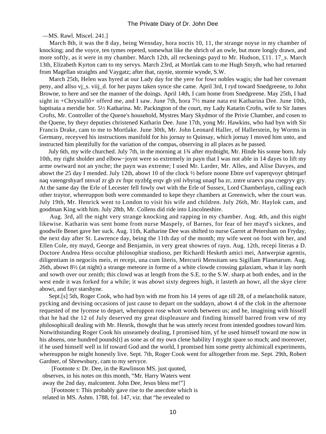—MS. Rawl. Miscel. 241.]

 March 8th, it was the 8 day, being Wensday, hora noctis 10, 11, the strange noyse in my chamber of knocking; and the voyce, ten tymes repeted, somewhat like the shrich of an owle, but more longly drawn, and more softly, as it were in my chamber. March 12th, all reckenings payd to Mr. Hudson, £11. 17 s. March 13th, Elizabeth Kyrton cam to my servys. March 23rd, at Mortlak cam to me Hugh Smyth, who had returned from Magellan straights and Vaygatz; after that, raynie, stormie wynde, S.W.

 March 25th, Helen was hyred at our Lady day for the yere for fowr nobles wagis; she had her covenant peny, and allso vj\_s. viij\_d. for her payns taken synce she came. April 3rd, I ryd toward Snedgreene, to John Browne, to here and see the manner of the doings. April 14th, I cam home from Snedgreene. May 25th, I had sight in +Chrystallô+ offerd me, and I saw. June 7th, hora 7½ mane nata est Katharina Dee. June 10th, baptisata a meridie hor. 5½ Katharina. Mr. Packington of the court, my Lady Katarin Crofts, wife to Sir James Crofts, Mr. Controller of the Quene's household, Mystres Mary Skydmor of the Privie Chamber, and cosen to the Quene, by theyr deputies christened Katharin Dee. June 17th, yong Mr. Hawkins, who had byn with Sir Francis Drake, cam to me to Mortlake. June 30th, Mr. John Leonard Haller, of Hallerstein, by Worms in Germany, receyved his instructions manifold for his jornay to Quinsay, which jornay I moved him unto, and instructed him plentifully for the variation of the compas, observing in all places as he passed.

 July 6th, my wife churched. July 7th, in the morning at 1¾ after mydnight, Mr. Hinde his sonne born. July 10th, my right sholder and elbow−joynt were so extremely in payn that I was not able in 14 dayes to lift my arme owtward not an ynche; the payn was extreme; I used Mr. Larder, Mr. Alles, and Alise Davyes, and abowt the 25 day I mended. July 12th, abowt 10 of the clock ½ before noone Ebtre uvf vaperqvoyr qbttrqarf naq vatengrshyarf ntnvaf zr gb zv fnpr nyzbfg erqv gb ynl ivbyrag unaqf ba zr, zntre uraevx pna cnegryv gry. At the same day the Erle of Lecester fell fowly owt with the Erle of Sussex, Lord Chamberlayn, calling each other traytor, whereuppon both were commanded to kepe theyr chambers at Greenwich, wher the court was. July 19th, Mr. Henrick went to London to visit his wife and children. July 26th, Mr. Haylok cam, and goodman King with him. July 28th, Mr. Collens did ride into Lincolneshire.

 Aug. 3rd, all the night very strange knocking and rapping in my chamber. Aug. 4th, and this night likewise. Katharin was sent home from nurse Maspely, of Barnes, for fear of her mayd's sicknes, and goodwife Benet gave her suck. Aug. 11th, Katharine Dee was shifted to nurse Garret at Petersham on Fryday, the next day after St. Lawrence day, being the 11th day of the month; my wife went on foot with her, and Ellen Cole, my mayd, George and Benjamin, in very great showres of rayn. Aug. 12th, recepi literas a D. Doctore Andrea Hess occultæ philosophiæ studioso, per Richardi Hesketh amici mei, Antwerpiæ agentis, diligentiam in negociis meis, et recepi, una cum literis, Mercurii Mensitam seu Sigillam Planetarum. Aug. 26th, abowt 8½ (at night) a strange meteore in forme of a white clowde crossing galaxiam, whan it lay north and sowth over our zenith; this clowd was at length from the S.E. to the S.W. sharp at both endes, and in the west ende it was forked for a while; it was abowt sixty degrees high, it lasteth an howr, all the skye clere abowt, and fayr starshyne.

 Sept.[s] 5th, Roger Cook, who had byn with me from his 14 yeres of age till 28, of a melancholik nature, pycking and devising occasions of just cause to depart on the suddayn, abowt 4 of the clok in the afternone requested of me lycense to depart, wheruppon rose whott words between us; and he, imagining with hisself that he had the 12 of July deserved my great displeasure and finding himself barred from vew of my philosophicall dealing with Mr. Henrik, thowght that he was utterly recest from intended goodnes toward him. Notwithstanding Roger Cook his unseamely dealing, I promised him, yf he used himself toward me now in his absens, one hundred pounds<sup>[t]</sup> as sone as of my own clene hability I myght spare so much; and moreover, if he used himself well in lif toward God and the world, I promised him some pretty alchimicall experiments, whereuppon he might honestly live. Sept. 7th, Roger Cook went for alltogether from me. Sept. 29th, Robert Gardner, of Shrewsbury, cam to my servyce.

 [Footnote s: Dr. Dee, in the Rawlinson MS. just quoted, observes, in his notes on this month, "Mr. Harry Waters went away the 2nd day, malcontent. John Dee, Jesus bless me!"]

 [Footnote t: This probably gave rise to the anecdote which is related in MS. Ashm. 1788, fol. 147, viz. that "he revealed to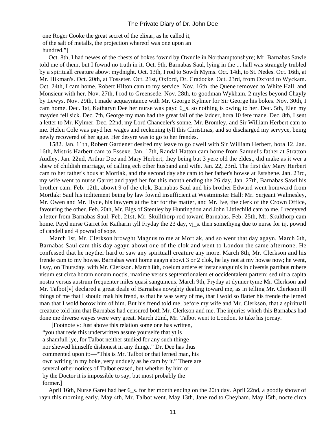one Roger Cooke the great secret of the elixar, as he called it, of the salt of metalls, the projection whereof was one upon an hundred."]

 Oct. 8th, I had newes of the chests of bokes fownd by Owndle in Northamptonshyre; Mr. Barnabas Sawle told me of them, but I fownd no truth in it. Oct. 9th, Barnabas Saul, lying in the ... hall was strangely trubled by a spirituall creature abowt mydnight. Oct. 13th, I rod to Sowth Myms. Oct. 14th, to St. Nedes. Oct. 16th, at Mr. Hikman's. Oct. 20th, at Tosseter. Oct. 21st, Oxford, Dr. Cradocke. Oct. 23rd, from Oxford to Wyckam. Oct. 24th, I cam home. Robert Hilton cam to my service. Nov. 16th, the Quene removed to White Hall, and Monsieur with her. Nov. 27th, I rod to Greensede. Nov. 28th, to goodman Wykham, 2 myles beyond Chayly by Lewys. Nov. 29th, I made acquayntance with Mr. George Kylmer for Sir George his bokes. Nov. 30th, I cam home. Dec. 1st, Katharyn Dee her nurse was payd 6\_s. so nothing is owing to her. Dec. 5th, Elen my mayden fell sick. Dec. 7th, George my man had the great fall of the ladder, hora 10 fere mane. Dec. 8th, I sent a letter to Mr. Kylmer. Dec. 22nd, my Lord Chanceler's sonne, Mr. Bromley, and Sir William Herbert cam to me. Helen Cole was payd her wages and reckening tyll this Christmas, and so discharged my servyce, being newly recovered of her ague. Her desyre was to go to her frendes.

 1582. Jan. 11th, Robert Gardener desired my leave to go dwell with Sir William Herbert, hora 12. Jan. 16th, Mistris Harbert cam to Essexe. Jan. 17th, Randal Hatton cam home from Samuel's father at Stratton Audley. Jan. 22nd, Arthur Dee and Mary Herbert, they being but 3 yere old the eldest, did make as it wer a shew of childish marriage, of calling ech other husband and wife. Jan. 22, 23rd. The first day Mary Herbert cam to her father's hous at Mortlak, and the second day she cam to her father's howse at Estshene. Jan. 23rd, my wife went to nurse Garret and payd her for this month ending the 26 day. Jan. 27th, Barnabas Sawl his brother cam. Feb. 12th, abowt 9 of the clok, Barnabas Saul and his brother Edward went homward from Mortlak: Saul his inditement being by law fownd insufficient at Westminster Hall: Mr. Serjeant Walmesley, Mr. Owen and Mr. Hyde, his lawyers at the bar for the matter, and Mr. Ive, the clerk of the Crown Office, favouring the other. Feb. 20th, Mr. Bigs of Stentley by Huntingdon and John Littlechild cam to me. I receyved a letter from Barnabas Saul. Feb. 21st, Mr. Skullthorp rod toward Barnabas. Feb. 25th, Mr. Skulthorp cam home. Payd nurse Garret for Katharin tyll Fryday the 23 day, v<sub>l\_</sub>s. then somethyng due to nurse for iij. pownd of candell and 4 pownd of sope.

 March 1st, Mr. Clerkson browght Magnus to me at Mortlak, and so went that day agayn. March 6th, Barnabas Saul cam this day agayn abowt one of the clok and went to London the same afternone. He confessed that he neyther hard or saw any spirituall creature any more. March 8th, Mr. Clerkson and his frende cam to my howse. Barnabas went home agayn abowt 3 or 2 clok, he lay not at my howse now; he went, I say, on Thursday, with Mr. Clerkson. March 8th, coelum ardere et instar sanguinis in diversis partibus rubere visum est circa horam nonam noctis, maxime versus septentrionalem et occidentalem partem: sed ultra capita nostra versus austrum frequenter miles quasi sanguineus. March 9th, Fryday at dynner tyme Mr. Clerkson and Mr. Talbot[v] declared a great deale of Barnabas nowghty dealing toward me, as in telling Mr. Clerkson ill things of me that I should mak his frend, as that he was wery of me, that I wold so flatter his frende the lerned man that I wold borow him of him. But his frend told me, before my wife and Mr. Clerkson, that a spirituall creature told him that Barnabas had censured both Mr. Clerkson and me. The injuries which this Barnabas had done me diverse wayes were very great. March 22nd, Mr. Talbot went to London, to take his jornay.

 [Footnote v: Just above this relation some one has written, "you that rede this underwritten assure yourselfe that yt is a shamfull lye, for Talbot neither studied for any such thinge nor shewed himselfe dishonest in any thinge." Dr. Dee has thus commented upon it:—"This is Mr. Talbot or that lerned man, his own writing in my boke, very unduely as he cam by it." There are several other notices of Talbot erased, but whether by him or by the Doctor it is impossible to say, but most probably the former.]

 April 16th, Nurse Garet had her 6\_s. for her month ending on the 20th day. April 22nd, a goodly showr of rayn this morning early. May 4th, Mr. Talbot went. May 13th, Jane rod to Cheyham. May 15th, nocte circa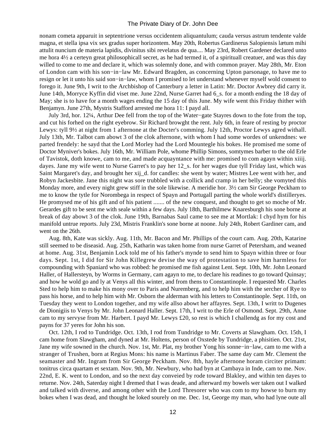nonam cometa apparuit in septentrione versus occidentem aliquantulum; cauda versus astrum tendente valde magna, et stella ipsa vix sex gradus super horizontem. May 20th, Robertus Gardinerus Salopiensis lætum mihi attulit nuncium de materia lapidis, divinitus sibi revelatus de qua.... May 23rd, Robert Gardener declared unto me hora 4½ a certeyn great philosophicall secret, as he had termed it, of a spirituall creatuer, and was this day willed to come to me and declare it, which was solemnly done, and with common prayer. May 28th, Mr. Eton of London cam with his son−in−law Mr. Edward Bragden, as concerning Upton parsonage, to have me to resign or let it unto his said son−in−law, whom I promised to let understand whenever myself wold consent to forego it. June 9th, I writ to the Archbishop of Canterbury a letter in Latin: Mr. Doctor Awbrey did carry it. June 14th, Morryce Kyffin did viset me. June 22nd, Nurse Garret had 6\_s. for a month ending the 18 day of May; she is to have for a month wages ending the 15 day of this June. My wife went this Friday thither with Benjamyn. June 27th, Mystris Stafford arrested me hora 11: I payd all.

 July 3rd, hor. 12¼, Arthur Dee fell from the top of the Water−gate Stayres down to the fote from the top, and cut his forhed on the right eyebrow. Sir Richard browght the rent. July 6th, in feare of resting by proctor Lewys: tyll 9½ at night from 1 afternone at the Docter's comming. July 12th, Proctor Lewys agred withall. July 13th, Mr. Talbot cam abowt 3 of the clok afternone, with whom I had some wordes of unkendnes: we parted frendely: he sayd that the Lord Morley had the Lord Mountegle his bokes. He promised me some of Doctor Myniver's bokes. July 16th, Mr. William Pole, whome Phillip Simons, somtymes barber to the old Erle of Tavistok, doth knowe, cam to me, and made acquayntance with me: promised to com agayn within xiiij. dayes. Jane my wife went to Nurse Garret's to pay her 12 s. for her wages due tyll Friday last, which was Saint Margaret's day, and brought her xij\_d. for candles: she went by water; Mistres Lee went with her, and Robyn Jackesbite. Jane this night was sore trubbled with a collick and cramp in her belly; she vomyted this Monday more, and every night grew stiff in the sole likewise. A meridie hor. 3½ cam Sir George Peckham to me to know the tytle for Norombega in respect of Spayn and Portugall parting the whole world's distilleryes. He promysed me of his gift and of his patient ....... of the new conquest, and thought to get so moche of Mr. Gerardes gift to be sent me with seale within a few days. July 18th, Barthilmew Knaresburgh his sone borne at break of day abowt 3 of the clok. June 19th, Barnabas Saul came to see me at Mortlak: I chyd hym for his manifold untrue reports. July 23d, Mistris Franklin's sone borne at noone. July 24th, Robert Gardiner cam, and went on the 26th.

 Aug. 8th, Kate was sickly. Aug. 11th, Mr. Bacon and Mr. Phillips of the court cam. Aug. 20th, Katarine still seemed to be diseasid. Aug. 25th, Katharin was taken home from nurse Garret of Petersham, and weaned at home. Aug. 31st, Benjamin Lock told me of his father's mynde to send him to Spayn within three or four days. Sept. 1st, I did for Sir John Killegrew devise the way of protestation to save him harmless for compounding with Spaniard who was robbed: he promised me fish against Lent. Sept. 10th, Mr. John Leonard Haller, of Hallersteyn, by Worms in Germany, cam agayn to me, to declare his readines to go toward Quinsay; and how he wold go and ly at Venys all this winter, and from thens to Constantinople. I requested Mr. Charles Sted to help him to make his mony over to Paris and Nuremberg, and to help him with the sercher of Rye to pass his horse, and to help him with Mr. Osborn the alderman with his letters to Constantinople. Sept. 11th, on Tuesday they went to London together, and my wife allso abowt her affayres. Sept. 13th, I writt to Dugenes de Dionigiis to Venys by Mr. John Leonard Haller. Sept. 17th, I writ to the Erle of Osmond. Sept. 29th, Anne cam to my servyse from Mr. Harbert. I payd Mr. Lewys £20, so rest is which I challendg as for my cost and payns for 37 yeres for John his son.

 Oct. 12th, I rod to Tundridge. Oct. 13th, I rod from Tundridge to Mr. Coverts at Slawgham. Oct. 15th, I cam home from Slawgham, and dyned at Mr. Holtens, person of Oxstede by Tundridge, a phisitien. Oct. 21st, Jane my wife sowned in the church. Nov. 1st, Mr. Plat, my brother Yong his sonne−in−law, cam to me with a stranger of Trushen, born at Regius Mons: his name is Martinus Faber. The same day cam Mr. Clement the seamaster and Mr. Ingram from Sir George Peckham. Nov. 8th, hayle afternone horam circiter primam: tonitrus circa quartam et sextam. Nov. 9th, Mr. Newbury, who had byn at Cambaya in Inde, cam to me. Nov. 22nd, E. K. went to London, and so the next day conveied by rode toward Blakley, and within ten dayes to returne. Nov. 24th, Saterday night I dremed that I was deade, and afterward my bowels wer taken out I walked and talked with diverse, and among other with the Lord Thresorer who was com to my howse to burn my bokes when I was dead, and thought he loked sourely on me. Dec. 1st, George my man, who had lyne oute all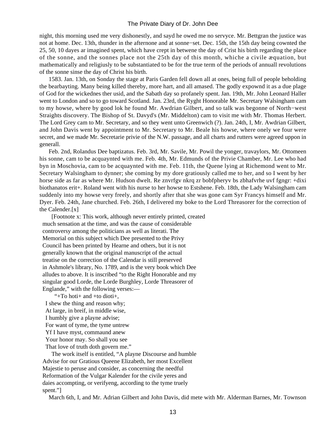night, this morning used me very dishonestly, and sayd he owed me no servyce. Mr. Bettgran the justice was not at home. Dec. 13th, thunder in the afternone and at sonne−set. Dec. 15th, the 15th day being cownted the 25, 50, 10 dayes ar imagined spent, which have crept in betwene the day of Crist his birth regarding the place of the sonne, and the sonnes place not the 25th day of this month, whiche a civile æquation, but mathematically and religiusly to be substantiated to be for the true term of the periods of annuall revolutions of the sonne sinse the day of Christ his birth.

 1583. Jan. 13th, on Sonday the stage at Paris Garden fell down all at ones, being full of people beholding the bearbayting. Many being killed thereby, more hart, and all amased. The godly expownd it as a due plage of God for the wickednes ther usid, and the Sabath day so profanely spent. Jan. 19th, Mr. John Leonard Haller went to London and so to go toward Scotland. Jan. 23rd, the Ryght Honorable Mr. Secretary Walsingham cam to my howse, where by good lok he found Mr. Awdrian Gilbert, and so talk was begonne of North−west Straights discovery. The Bishop of St. Davyd's (Mr. Middelton) cam to visit me with Mr. Thomas Herbert. The Lord Grey cam to Mr. Secretary, and so they went unto Greenwich (?). Jan. 24th, I, Mr. Awdrian Gilbert, and John Davis went by appointment to Mr. Secretary to Mr. Beale his howse, where onely we four were secret, and we made Mr. Secretarie privie of the N.W. passage, and all charts and rutters were agreed uppon in generall.

 Feb. 2nd, Rolandus Dee baptizatus. Feb. 3rd, Mr. Savile, Mr. Powil the yonger, travaylors, Mr. Ottomeen his sonne, cam to be acquaynted with me. Feb. 4th, Mr. Edmunds of the Privie Chamber, Mr. Lee who had byn in Moschovia, cam to be acquaynted with me. Feb. 11th, the Quene lying at Richemond went to Mr. Secretary Walsingham to dynner; she coming by my dore gratiously called me to her, and so I went by her horse side as far as where Mr. Hudson dwelt. Re znvrfgv nkrq zr bobfpheryv bs zbhafvrhe uvf fgngr: +dixi biothanatos erit+. Roland went with his nurse to her howse to Estshene. Feb. 18th, the Lady Walsingham cam suddenly into my howse very freely, and shortly after that she was gone cam Syr Francys himself and Mr. Dyer. Feb. 24th, Jane churched. Feb. 26th, I delivered my boke to the Lord Threasorer for the correction of the Calender.[x]

 [Footnote x: This work, although never entirely printed, created much sensation at the time, and was the cause of considerable controversy among the politicians as well as literati. The Memorial on this subject which Dee presented to the Privy Council has been printed by Hearne and others, but it is not generally known that the original manuscript of the actual treatise on the correction of the Calendar is still preserved in Ashmole's library, No. 1789, and is the very book which Dee alludes to above. It is inscribed "to the Right Honorable and my singular good Lorde, the Lorde Burghley, Lorde Threasorer of Englande," with the following verses:—

 "+To hoti+ and +to dioti+, I shew the thing and reason why; At large, in breif, in middle wise, I humbly give a playne advise; For want of tyme, the tyme untrew Yf I have myst, commaund anew Your honor may. So shall you see That love of truth doth govern me." The work itself is entitled, "A playne Discourse and humble

 Advise for our Gratious Queene Elizabeth, her most Excellent Majestie to peruse and consider, as concerning the needful Reformation of the Vulgar Kalender for the civile yeres and daies accompting, or verifyeng, according to the tyme truely spent."]

March 6th, I, and Mr. Adrian Gilbert and John Davis, did mete with Mr. Alderman Barnes, Mr. Townson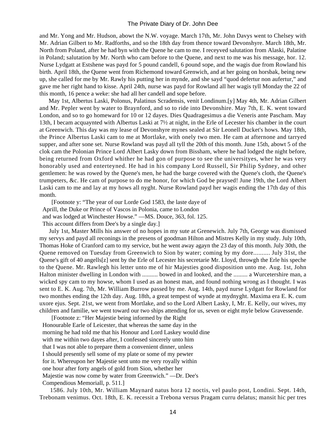and Mr. Yong and Mr. Hudson, abowt the N.W. voyage. March 17th, Mr. John Davys went to Chelsey with Mr. Adrian Gilbert to Mr. Radforths, and so the 18th day from thence toward Devonshyre. March 18th, Mr. North from Poland, after he had byn with the Quene he cam to me. I receyved salutation from Alaski, Palatine in Poland; salutation by Mr. North who cam before to the Quene, and next to me was his message, hor. 12. Nurse Lydgatt at Estshene was payd for 5 pound candell, 6 pound sope, and the wagis due from Rowland his birth. April 18th, the Quene went from Richemond toward Grenwich, and at her going on horsbak, being new up, she called for me by Mr. Rawly his putting her in mynde, and she sayd "quod defertur non aufertur," and gave me her right hand to kisse. April 24th, nurse was payd for Rowland all her wagis tyll Monday the 22 of this month, 16 pence a weke: she had all her candell and sope before.

 May 1st, Albertus Laski, Polonus, Palatinus Scradensis, venit Londinum.[y] May 4th, Mr. Adrian Gilbert and Mr. Pepler went by water to Braynford, and so to ride into Devonshire. May 7th, E. K. went toward London, and so to go homeward for 10 or 12 dayes. Dies Quadragesimus a die Veneris ante Pascham. May 13th, I becam acquaynted with Albertus Laski at 7½ at night, in the Erle of Lecester his chamber in the court at Greenwich. This day was my lease of Devonshyre mynes sealed at Sir Leonell Ducket's hows. May 18th, the Prince Albertus Laski cam to me at Mortlake, with onely two men. He cam at afternone and tarryed supper, and after sone set. Nurse Rowland was payd all tyll the 20th of this month. June 15th, abowt 5 of the clok cam the Polonian Prince Lord Albert Lasky down from Bissham, where he had lodged the night before, being returned from Oxford whither he had gon of purpose to see the universityes, wher he was very honorably used and enterteyned. He had in his company Lord Russell, Sir Philip Sydney, and other gentlemen: he was rowed by the Quene's men, he had the barge covered with the Quene's cloth, the Quene's trumpeters, &c. He cam of purpose to do me honor, for which God be praysed! June 19th, the Lord Albert Laski cam to me and lay at my hows all nyght. Nurse Rowland payd her wagis ending the 17th day of this month.

 [Footnote y: "The year of our Lorde God 1583, the laste daye of Aprill, the Duke or Prince of Vascos in Polonia, came to London and was lodged at Winchester Howse." —MS. Douce, 363, fol. 125. This account differs from Dee's by a single day.]

 July 1st, Master Mills his answer of no hopes in my sute at Grenewich. July 7th, George was dismissed my servys and payd all reconings in the presens of goodman Hilton and Mistres Kelly in my study. July 10th, Thomas Hoke of Cranford cam to my service, but he went away agayn the 23 day of this month. July 30th, the Quene removed on Tuesday from Greenwich to Sion by water; coming by my dore.......... July 31st, the Quene's gift of 40 angells[z] sent by the Erle of Lecester his secretarie Mr. Lloyd, throwgh the Erle his speche to the Quene. Mr. Rawlegh his letter unto me of hir Majesties good disposition unto me. Aug. 1st, John Halton minister dwelling in London with .......... bowed in and looked, and the ......... a Wurcetershire man, a wicked spy cam to my howse, whom I used as an honest man, and found nothing wrong as I thought. I was sent to E. K. Aug. 7th, Mr. William Burrow passed by me. Aug. 14th, payd nurse Lydgatt for Rowland for two monthes ending the 12th day. Aug. 18th, a great tempest of wynde at mydnyght. Maxima era E. K. cum uxore ejus. Sept. 21st, we went from Mortlake, and so the Lord Albert Lasky, I, Mr. E. Kelly, our wives, my children and familie, we went toward our two ships attending for us, seven or eight myle below Gravessende.

 [Footnote z: "Her Majestie being informed by the Right Honourable Earle of Leicester, that whereas the same day in the morning he had told me that his Honour and Lord Laskey would dine with me within two dayes after, I confessed sincerely unto him that I was not able to prepare them a convenient dinner, unless I should presently sell some of my plate or some of my pewter for it. Whereupon her Majestie sent unto me very royally within one hour after forty angels of gold from Sion, whether her Majestie was now come by water from Greenwich." —Dr. Dee's Compendious Memoriall, p. 511.]

 1586. July 10th, Mr. William Maynard natus hora 12 noctis, vel paulo post, Londini. Sept. 14th, Trebonam venimus. Oct. 18th, E. K. recessit a Trebona versus Pragam curru delatus; mansit hic per tres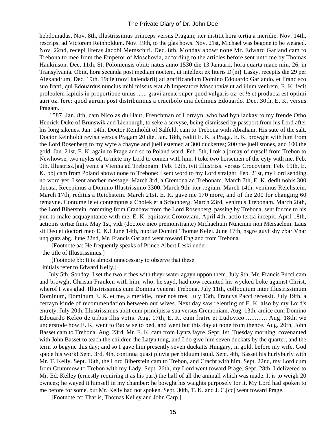hebdomadas. Nov. 8th, illustrissimus princeps versus Pragam; iter institit hora tertia a meridie. Nov. 14th, rescripsi ad Victorem Reinholdum. Nov. 19th, to the glas hows. Nov. 21st, Michael was begone to be weaned. Nov. 22nd, recepi literas Jacobi Memschiti. Dec. 8th, Monday abowt none Mr. Edward Garland cam to Trebona to mee from the Emperor of Moschovia, according to the articles before sent unto me by Thomas Hankinson. Dec. 11th, St. Poloniensis obiit: natus anno 1530 die 13 Januarii, hora quarta mane min. 26, in Transylvania. Obiit, hora secunda post mediam noctem, ut intellexi ex literis D{ni} Lasky, receptis die 29 per Alexandrum. Dec. 19th, 19die (novi kalendarii) ad gratificandum Domino Edouardo Garlando, et Francisco suo fratri, qui Edouardus nuncius mihi missus erat ab Imperatore Moschoviæ ut ad illum venirem, E. K. fecit proleolem lapidis in proportione unius ...... gravi arenæ super quod vulgaris oz. et ½ et producta est optimi auri oz. fere: quod aurum post distribuimus a crucibolo una dedimus Edouardo. Dec. 30th, E. K. versus Pragam.

 1587. Jan. 8th, cam Nicolas du Haut, Frenchman of Lorrayn, who had byn lackay to my frende Otho Henrick Duke of Brunswik and Lienburgh, to seke a servyse, being dismissed by passport from his Lord after his long sikenes. Jan. 14th, Doctor Reinholdt of Salfeldt cam to Trebona with Abraham. His sute of the salt. Doctor Reinholdt revisit versus Pragam 20 die. Jan. 18th, rediit E. K. a Praga. E. K. browght with him from the Lord Rosenberg to my wyfe a chayne and juell estemed at 300 duckettes; 200 the juell stones, and 100 the gold. Jan. 21st, E. K. again to Prage and so to Poland ward. Feb. 5th, I tok a jornay of myself from Trebon to Newhowse, two myles of, to mete my Lord to comen with him. I toke two horsemen of the cyty with me. Feb. 9th, Illustriss.[aa] venit a Vienna ad Trebonam. Feb. 12th, ivit Illustriss. versus Crocoviam. Feb. 19th, E. K.[bb] cam from Poland abowt none to Trebone: I sent word to my Lord straight. Feb. 21st, my Lord sending no word yet, I sent another message. March 3rd, a Cremona ad Trebonam. March 7th, E. K. dedit nobis 300 ducata. Recepimus a Domino Illustrissimo 3300. March 9th, iter regium. March 14th, venimus Reichstein. March 17th, reditus a Reichstein. March 21st, E. K. gave me 170 more, and of the 200 for changing 60 remayne. Contumelie et contemptus a Cholek et a Schonberg. March 23rd, venimus Trebonam. March 26th, the Lord Biberstein, comming from Cranbaw from the Lord Rosenberg, passing by Trebona, sent for me to his ynn to make acquayntance with me. E. K. equitavit Crotoviam. April 4th, actio tertia incepit. April 18th, actionis tertiæ finis. May 1st, vidi (doctore meo premonstrante) Michaelium Nuncium non Mersaelem. Laus sit Deo et doctori meo E. K.! June 14th, nuptiæ Domini Thomæ Kelei. June 17th, nsgre guvf shy zbar Vnar unq gurz abg. June 22nd, Mr. Francis Garland went toward England from Trebona.

 [Footnote aa: He frequently speaks of Prince Albert Leski under the title of Illustrissimus.]

[Footnote bb: It is almost unnecessary to observe that these

initials refer to Edward Kelly.]

 July 5th, Sonday, I set the two erthes with theyr water agayn uppon them. July 9th, Mr. Francis Pucci cam and browght Chrisan Franken with him, who, he sayd, had now recanted his wycked boke against Christ, wherof I was glad. Illustrissimus cum Domina venerat Trebona. July 11th, colloquium inter Illustrissimum Dominum, Dominum E. K. et me, a meridie, inter nos tres. July 13th, Francys Pacci recessit. July 19th, a certayn kinde of recommendation between our wives. Next day saw relenting of E. K. also by my Lord's entrety. July 20th, Illustrissimus abiit cum principissa sua versus Cremoniam. Aug. 13th, amice cum Domino Edouardo Keleo de tribus illis votis. Aug. 17th, E. K. cum fratre et Ludovico............. Aug. 18th, we understode how E. K. went to Badwise to bed, and went but this day at none from thence. Aug. 20th, John Basset cam to Trebona. Aug. 23rd, Mr. E. K. cam from Lyntz fayre. Sept. 1st, Tuesday morning, covenanted with John Basset to teach the children the Latyn tong, and I do give him seven duckats by the quarter, and the term to begyne this day; and so I gave him presently seven duckatts Hungary, in gold, before my wife. God spede his work! Sept. 3rd, 4th, continua quasi pluvia per biduum istud. Sept. 4th, Basset his hurlyburly with Mr. T. Kelly. Sept. 16th, the Lord Biberstein cam to Trebon, and Cracht with him. Sept. 22nd, my Lord cum from Crummow to Trebon with my Lady. Sept. 26th, my Lord went toward Prage. Sept. 28th, I delivered to Mr. Ed. Kelley (ernestly requiring it as his part) the half of all the animall which was made. It is to weigh 20 ownces; he wayed it himself in my chamber: he bowght his waights purposely for it. My Lord had spoken to me before for some, but Mr. Kelly had not spoken. Sept. 30th, T. K. and J. C.[cc] went toward Prage.

[Footnote cc: That is, Thomas Kelley and John Carp.]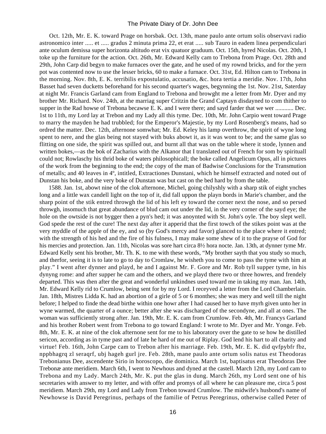Oct. 12th, Mr. E. K. toward Prage on horsbak. Oct. 13th, mane paulo ante ortum solis observavi radio astronomico inter ..... et ..... gradus 2 minuta prima 22, et erat ..... sub Tauro in eadem linea perpendiculari ante oculum demissa super horizonta altitudo erat vix quatuor graduum. Oct. 15th, hyred Nicolas. Oct. 20th, I toke up the furniture for the action. Oct. 26th, Mr. Edward Kelly cam to Trebona from Prage. Oct. 28th and 29th, John Carp did begyn to make furnaces over the gate, and he used of my rownd bricks, and for the yern pot was contented now to use the lesser bricks, 60 to make a furnace. Oct. 31st, Ed. Hilton cam to Trebona in the morning. Nov. 8th, E. K. terribilis expostulatio, accusatio, &c. hora tertia a meridie. Nov. 17th, John Basset had seven ducketts beforehand for his second quarter's wages, begynning the 1st. Nov. 21st, Saterday at night Mr. Francis Garland cam from England to Trebona and browght me a letter from Mr. Dyer and my brother Mr. Richard. Nov. 24th, at the marriag super Critzin the Grand Captayn disdayned to com thither to supper in the Rad howse of Trebona becawse E. K. and I were there; and sayd farder that we wer ............ Dec. 1st to 11th, my Lord lay at Trebon and my Lady all this tyme. Dec. 10th, Mr. John Carpio went toward Prage to marry the mayden he had trubbled; for the Emperor's Majestie, by my Lord Rosenberg's means, had so ordred the matter. Dec. 12th, afternone somwhat; Mr. Ed. Keley his lamp overthrow, the spirit of wyne long spent to nere, and the glas being not stayed with buks abowt it, as it was wont to be; and the same glas so flitting on one side, the spirit was spilled out, and burnt all that was on the table where it stode, lynnen and written bokes,—as the bok of Zacharius with the Alkanor that I translated out of French for som by spirituall could not; Rowlaschy his thrid boke of waters philosophicall; the boke called Angelicum Opus, all in pictures of the work from the beginning to the end; the copy of the man of Badwise Conclusions for the Transmution of metalls; and 40 leaves in 4º, intitled, Extractiones Dunstani, which he himself extracted and noted out of Dunstan his boke, and the very boke of Dunstan was but cast on the bed hard by from the table.

 1588. Jan. 1st, abowt nine of the clok afternone, Michel, going chilyshly with a sharp stik of eight ynches long and a little wax candell light on the top of it, did fall uppon the playn bords in Marie's chamber, and the sharp point of the stik entred throwgh the lid of his left ey toward the corner next the nose, and so persed throwgh, insomuch that great abundance of blud cam out under the lid, in the very corner of the sayd eye; the hole on the owtside is not bygger then a pyn's hed; it was anoynted with St. John's oyle. The boy slept well. God spede the rest of the cure! The next day after it apperid that the first towch of the stikes point was at the very myddle of the apple of the ey, and so (by God's mercy and favor) glanced to the place where it entred; with the strength of his hed and the fire of his fulness, I may make some shew of it to the prayse of God for his mercies and protection. Jan. 11th, Nicolas was sore hart circa  $8\frac{1}{2}$  hora nocte. Jan. 13th, at dynner tyme Mr. Edward Kelly sent his brother, Mr. Th. K. to me with these words, "My brother sayth that you study so much, and therfor, seeing it is to late to go to day to Cromlaw, he wisheth you to come to pass the tyme with him at play." I went after dynner and playd, he and I against Mr. F. Gore and Mr. Rob tyll supper tyme, in his dynyng rome: and after supper he cam and the others, and we playd there two or three howres, and frendely departed. This was then after the great and wonderful unkindnes used toward me in taking my man. Jan. 14th, Mr. Edward Kelly rid to Crumlow, being sent for by my Lord. I receyved a letter from the Lord Chamberlain. Jan. 18th, Mistres Lidda K. had an abortion of a girle of 5 or 6 monthes; she was mery and well till the night before; I helped to finde the dead birthe within one howr after I had caused her to have myrh given unto her in wyne warmed, the quarter of a ounce; better after she was discharged of the secondyne, and all at ones. The woman was sufficiently strong after. Jan. 19th, Mr. E. K. cam from Crumlow. Feb. 4th, Mr. Francys Garland and his brother Robert went from Trebona to go toward England: I wrote to Mr. Dyer and Mr. Yonge. Feb. 8th, Mr. E. K. at nine of the clok afternone sent for me to his laboratory over the gate to se how he distilled sericon, according as in tyme past and of late he hard of me out of Riplay. God lend his hart to all charity and virtue! Feb. 16th, John Carpe cam to Trebon after his marriage. Feb. 19th, Mr. E. K. did qvfpybfr fbz, nppbhagrq zl seraqrf, ubj hageh gurl jre. Feb. 28th, mane paulo ante ortum solis natus est Theodoras Trebonianus Dee, ascendente Sirio in horoscopo, die dominica. March 1st, baptisatus erat Theodoras Dee Trebonæ ante meridiem. March 6th, I went to Newhous and dyned at the castell. March 12th, my Lord cam to Trebona and my Lady. March 24th, Mr. K. put the glas in dung. March 26th, my Lord sent one of his secretaries with answer to my letter, and with offer and promys of all where he can pleasure me, circa 5 post meridiem. March 29th, my Lord and Lady from Trebon toward Crumlow. The midwife's husbond's name of Newhowse is David Peregrinus, perhaps of the familie of Petrus Peregrinus, otherwise called Peter of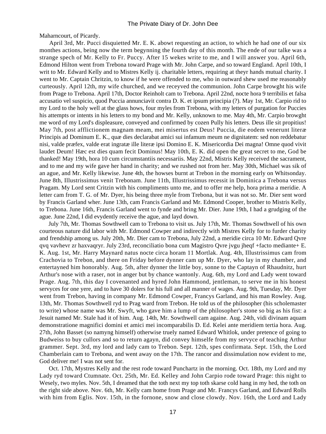Maharncourt, of Picardy.

 April 3rd, Mr. Pucci disquietted Mr. E. K. abowt requesting an action, to which he had one of our six monthes actions, being now the term begynning the fourth day of this month. The ende of our talke was a strange spech of Mr. Kelly to Fr. Puccy. After 15 wekes write to me, and I will answer you. April 6th, Edmond Hilton went from Trebona toward Prage with Mr. John Carpe, and so toward England. April 10th, I writ to Mr. Edward Kelly and to Mistres Kelly ij. charitable letters, requiring at theyr hands mutual charity. I went to Mr. Captain Chritzin, to know if he were offended to me, who in outward shew used me reasonably curteously. April 12th, my wife churched, and we receyved the communion. John Carpe browght his wife from Prage to Trebona. April 17th, Doctor Reinholt cam to Trebona. April 22nd, nocte hora 9 terribilis et falsa accusatio vel suspicio, quod Puccia annunciavit contra D. K. et ipsum principia (?). May 1st, Mr. Carpio rid to my Lord to the holy well at the glass hows, four myles from Trebona, with my letters of purgation for Puccies his attempts or intents in his letters to my bond and Mr. Kelly, unknown to me. May 4th, Mr. Carpio browght me word of my Lord's displeasure, conveyed and confirmed by cozen Pully his letters. Deus ille sit propitius! May 7th, post afflictionem magnam meam, mei misertus est Deus! Puccia, die eodem venerunt literæ Principis ad Dominum E. K., quæ dies declarabat amici sui infamum meum ne dignitatem: sed non reddebatur nisi, valde præfex, valde erat ingratæ ille literæ ipsi Domino E. K. Misericordia Dei magna! Omne quod vivit laudet Deum! Hæc est dies quam fecit Dominus! May 10th, E. K. did open the great secret to me, God be thanked! May 19th, hora 10 cum circumstantiis necessariis. May 22nd, Mistris Kelly received the sacrament, and to me and my wife gave her hand in charity; and we rushed not from her. May 30th, Michael was sik of an ague, and Mr. Kelly likewise. June 4th, the howses burnt at Trebon in the morning early on Whitsonday. June 8th, Illustrissimus venit Trebonam. June 11th, Illustrissimus recessit in Dominica a Trebona versus Pragam. My Lord sent Critzin with his compliments unto me, and to offer me help, hora prima a meridie. A letter cam from T. G. of Mr. Dyer, his being three myle from Trebona, but it was not so. Mr. Dier sent word by Francis Garland wher. June 13th, cam Francis Garland and Mr. Edmond Cooper, brother to Mistris Kelly, to Trebona. June 16th, Francis Garland went to fynde and bring Mr. Dier. June 19th, I had a grudging of the ague. June 22nd, I did evydently receive the ague, and layd down.

 July 7th, Mr. Thomas Sowthwell cam to Trebona to visit us. July 17th, Mr. Thomas Sowthwell of his own courteous nature did labor with Mr. Edmond Cowper and indirectly with Mistres Kelly for to furder charity and frendship among us. July 20th, Mr. Dier cam to Trebona, July 22nd, a meridie circa 10 Mr. Edward Qvre qvq vavhevr zr haxvaqryr. July 23rd, reconciliatio bona cum Magistro Qvre jvgu jheqf +facto mediante+ E. K. Aug. 1st, Mr. Harry Maynard natus nocte circa horam 11 Mortlak. Aug. 4th, Illustrissimus cam from Crachovia to Trebon, and there on Friday before dynner cam up Mr. Dyer, who lay in my chamber, and entertayned him honorably. Aug. 5th, after dynner the little boy, sonne to the Captayn of Rhaudnitz, hurt Arthur's nose with a raser, not in anger but by chance wantonly. Aug. 6th, my Lord and Lady went toward Prage. Aug. 7th, this day I covenanted and hyred John Hammond, jentleman, to serve me in his honest servyces for one yere, and to have 30 dolers for his full and all manner of wages. Aug. 9th, Tuesday, Mr. Dyer went from Trebon, having in company Mr. Edmond Cowper, Francys Garland, and his man Rowley. Aug. 13th, Mr. Thomas Sowthwell ryd to Prag ward from Trebon. He told us of the philosopher (his scholemaster to write) whose name was Mr. Swyft, who gave him a lump of the philosopher's stone so big as his fist: a Jesuit named Mr. Stale had it of him. Aug. 14th, Mr. Sowthwell cam againe. Aug. 24th, vidi divinam aquam demonstratione magnifici domini et amici mei incomparabilis D. Ed. Kelei ante meridiem tertia hora. Aug. 27th, John Basset (so namyng himself) otherwise truely named Edward Whitlok, under pretence of going to Budweiss to buy cullors and so to return agayn, did convey himselfe from my servyce of teaching Arthur grammer. Sept. 3rd, my lord and lady cam to Trebon. Sept. 12th, spes confirmata. Sept. 15th, the Lord Chamberlain cam to Trebona, and went away on the 17th. The rancor and dissimulation now evident to me, God deliver me! I was not sent for.

 Oct. 17th, Mystres Kelly and the rest rode toward Punchartz in the morning. Oct. 18th, my Lord and my Lady ryd toward Ctumnate. Oct. 25th, Mr. Ed. Kelley and John Carpio rode toward Prage: this night to Wesely, two myles. Nov. 5th, I dreamed that the toth next my top toth skarse cold hang in my hed, the toth on the right side above. Nov. 6th, Mr. Kelly cam home from Prage and Mr. Francys Garland, and Edward Rolls with him from Eglis. Nov. 15th, in the fornone, snow and close clowdy. Nov. 16th, the Lord and Lady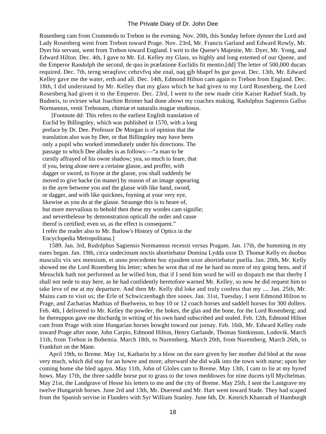Rosenberg cam from Crummedo to Trebon in the evening. Nov. 20th, this Sonday before dynner the Lord and Lady Rosenberg went from Trebon toward Prage. Nov. 23rd, Mr. Francis Garland and Edward Rowly, Mr. Dyer his servant, went from Trebon toward England. I writ to the Quene's Majestie, Mr. Dyer, Mr. Yong, and Edward Hilton. Dec. 4th, I gave to Mr. Ed. Kelley my Glass, so highly and long estemed of our Quene, and the Emperor Randolph the second, de quo in præfatione Euclidis fit mentio.[dd] The letter of 500,000 ducats required. Dec. 7th, terng seraqfuvc cebzvfvq sbe znal, naq gjb bhaprf bs gur guvat. Dec. 13th, Mr. Edward Kelley gave me the water, erth and all. Dec. 14th, Edmond Hilton cam again to Trebon from England. Dec. 18th, I did understand by Mr. Kelley that my glass which he had given to my Lord Rosenberg, the Lord Rosenberg had given it to the Emperor. Dec. 23rd, I went to the new made citie Kaiser Radnef Stadt, by Budneis, to ovirsee what Joachim Reimer had done abowt my coaches making. Radulphus Sagiensis Gallus Normannus, venit Trebonam, chimiæ et naturalis magiæ studiosus.

 [Footnote dd: This refers to the earliest English translation of Euclid by Billingsley, which was published in 1570, with a long preface by Dr. Dee. Professor De Morgan is of opinion that the translation also was by Dee, or that Billingsley may have been only a pupil who worked immediately under his directions. The passage to which Dee alludes is as follows:—"a man to be curstly affrayed of his owne shadow; yea, so much to feare, that if you, being alone nere a certaine glasse, and proffer, with dagger or sword, to foyne at the glasse, you shall suddenly be moved to give backe (in maner) by reason of an image appearing in the ayre betwene you and the glasse with like hand, sword, or dagger, and with like quicknes, foyning at your very eye, likewise as you do at the glasse. Straunge this is to heare of, but more mervailous to behold then these my wordes cam signifie; and neverthelesse by demonstration opticall the order and cause therof is certified; even so, as the effect is consequent." I refer the reader also to Mr. Barlow's History of Optics in the Encyclopedia Metropolitana.]

 1589. Jan. 3rd, Rudolphus Sagiensis Normannus recessit versus Pragam. Jan. 17th, the humming in my eares began. Jan. 19th, circa undecimam noctis abortiebatur Domina Lydda uxor D. Thomæ Kelly ex duobus masculis vix sex mensium, et anno precedente hoc ejusdem uxor abortiebatur puella. Jan. 20th, Mr. Kelly showed me the Lord Rosenberg his letter; when he wrot that of me he hard no more of my going hens, and if Menschik hath not performed as he willed him, that if I send him word he will so dispatch me that therby I shall not nede to stay here, as he had confidently heretofore warned Mr. Kelley, so now he did request him to take leve of me at my departure. And then Mr. Kelly did loke and truly confess that my .... Jan. 25th, Mr. Mains cam to visit us; the Erle of Schwiczenbagh thre sones. Jan. 31st, Tuesday, I sent Edmond Hilton to Prage, and Zacharias Mathias of Buelweiss, to buy 10 or 12 coach horses and saddell horses for 300 dollers. Feb. 4th, I delivered to Mr. Kelley the powder, the bokes, the glas and the bone, for the Lord Rosenberg; and he thereuppon gave me dischardg in writing of his own hand subscribed and sealed. Feb. 12th, Edmond Hilton cam from Prage with nine Hungarian horses bowght toward our jornay. Feb. 16th, Mr. Edward Kelley rode toward Prage after none, John Carpio, Edmond Hilton, Henry Garlande, Thomas Simkinson, Lodovik. March 11th, from Trebon in Bohemia. March 18th, to Nuremberg. March 20th, from Nuremberg. March 26th, to Frankfurt on the Mane.

 April 19th, to Breme. May 1st, Katharin by a blow on the eare given by her mother did bled at the nose very much, which did stay for an howre and more; afterward she did walk into the town with nurse; upon her coming home she bled agayn. May 11th, John of Gloles cam to Breme. May 13th, I cam to lie at my hyred hows. May 17th, the three saddle horse put to grass to the town meddowes for nine ducets tyll Mychelmas. May 21st, the Landgrave of Hesse his letters to me and the city of Breme. May 25th, I sent the Lantgrave my twelve Hungarish horses. June 2rd and 13th, Mr. Duerend and Mr. Hart went toward Stade. They had scaped from the Spanish servise in Flanders with Syr William Stanley. June 6th, Dr. Kenrich Khanradt of Hamburgh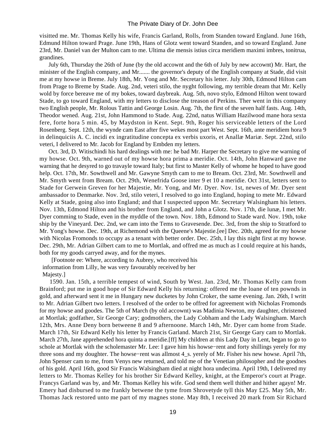visitted me. Mr. Thomas Kelly his wife, Francis Garland, Rolls, from Standen toward England. June 16th, Edmund Hilton toward Prage. June 19th, Hans of Glotz went toward Standen, and so toward England. June 23rd, Mr. Daniel van der Multon cam to me. Ultima die mensis istius circa meridiem maximi imbres, tonitrua, grandines.

 July 6th, Thursday the 26th of June (by the old accownt and the 6th of July by new accownt) Mr. Hart, the minister of the English company, and Mr....... the governor's deputy of the English company at Stade, did visit me at my howse in Breme. July 18th, Mr. Yong and Mr. Secretary his letter. July 30th, Edmond Hilton cam from Prage to Breme by Stade. Aug. 2nd, veteri stilo, the nyght following, my terrible dream that Mr. Kelly wold by force bereave me of my bokes, toward daybreak. Aug. 5th, novo stylo, Edmond Hilton went toward Stade, to go toward England, with my letters to disclose the treason of Perkins. Ther went in this company two English people, Mr. Rolous Tattin and George Losin. Aug. 7th, the first of the seven half fasts. Aug. 14th, Theodor wened. Aug. 21st, John Hammond to Stade. Aug. 22nd, natus William Hazilwood mane hora sexta fere, forte hora 5 min. 45, by Maydston in Kent. Sept. 9th, Roger his serviceable letters of the Lord Rosenberg. Sept. 12th, the wynde cam East after five wekes most part West. Sept. 16th, ante meridiem hora 9 in delinquiciis A. C. incidi ex ingratitudine concepta ex verbis uxoris, et Anallæ Mariæ. Sept. 22nd, stilo veteri, I delivered to Mr. Jacob for England by Embden my letters.

 Oct. 3rd, D. Witischindi his hard dealings with me: he bad Mr. Harper the Secretary to give me warning of my howse. Oct. 9th, warned out of my howse hora prima a meridie. Oct. 14th, John Hanward gave me warning that he desyred to go travayle toward Italy; but first to Master Kelly of whome he hoped to have good help. Oct. 17th, Mr. Sowthwell and Mr. Gawyne Smyth cam to me to Bream. Oct. 23rd, Mr. Sowthwell and Mr. Smyth went from Bream. Oct. 29th, Wenefrida Goose inter 9 et 10 a meridie. Oct 31st, letters sent to Stade for Gerwein Greven for her Majestie, Mr. Yong, and Mr. Dyer. Nov. 1st, newes of Mr. Dyer sent ambassador to Denmarke. Nov. 3rd, stilo veteri, I resolved to go into England, hoping to mete Mr. Edward Kelly at Stade, going also into England; and that I suspected uppon Mr. Secretary Walsingham his letters. Nov. 13th, Edmond Hilton and his brother from England, and John a Glotz. Nov. 17th, die lunæ, I met Mr. Dyer comming to Stade, even in the myddle of the town. Nov. 18th, Edmond to Stade ward. Nov. 19th, toke ship by the Vineyard. Dec. 2nd, we cam into the Tems to Gravesende. Dec. 3rd, from the ship to Stratford to Mr. Yong's howse. Dec. 19th, at Richemond with the Queene's Majestie.[ee] Dec. 20th, agreed for my howse with Nicolas Fromonds to occupy as a tenant with better order. Dec. 25th, I lay this night first at my howse. Dec. 29th, Mr. Adrian Gilbert cam to me to Mortlak, and offred me as much as I could require at his hands, both for my goods carryed away, and for the mynes.

 [Footnote ee: Where, according to Aubrey, who received his information from Lilly, he was very favourably received by her Majesty.]

 1590. Jan. 15th, a terrible tempest of wind, South by West. Jan. 23rd, Mr. Thomas Kelly cam from Brainford; put me in good hope of Sir Edward Kelly his returning: offered me the loane of ten pownds in gold, and afterward sent it me in Hungary new ducketes by John Croker, the same evening. Jan. 26th, I writt to Mr. Adrian Gilbert two letters. I resolved of the order to be offred for agreement with Nicholas Fromonds for my howse and goodes. The 5th of March (by old accownt) was Madinia Newton, my daughter, christened at Mortlak; godfather, Sir George Cary; godmothers, the Lady Cobham and the Lady Walsingham. March 12th, Mrs. Anne Deny born betweene 8 and 9 afternoone. March 14th, Mr. Dyer cam home from Stade. March 17th, Sir Edward Kelly his letter by Francis Garland. March 21st, Sir George Gary cam to Mortlak. March 27th, Jane apprehended hora quinta a meridie.[ff] My children at this Lady Day in Lent, began to go to schole at Mortlak with the scholemaster Mr. Lee: I gave him his howse−rent and forty shillings yerely for my three sons and my doughter. The howse−rent was allmost 4\_s. yerely of Mr. Fisher his new howse. April 7th, John Spenser cam to me, from Venys new returned, and told me of the Venetian philosopher and the goodnes of his gold. April 16th, good Sir Francis Walsingham died at night hora undecima. April 19th, I delivered my letters to Mr. Thomas Kelley for his brother Sir Edward Kelley, knight, at the Emperor's court at Prage. Francys Garland was by, and Mr. Thomas Kelley his wife. God send them well thither and hither agayn! Mr. Emery had disbursed to me frankly betwene the tyme from Shrovetyde tyll this May £25. May 5th, Mr. Thomas Jack restored unto me part of my magnes stone. May 8th, I received 20 mark from Sir Richard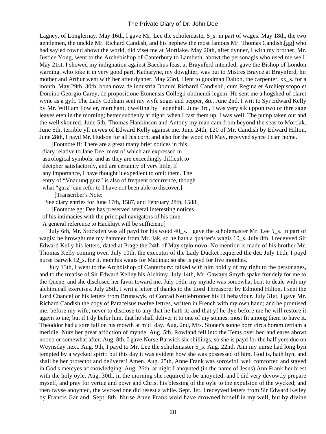Lagney, of Longlernay. May 16th, I gave Mr. Lee the scholemaster 5\_s. in part of wages. May 18th, the two gentlemen, the unckle Mr. Richard Candish, and his nephew the most famous Mr. Thomas Candish,[gg] who had sayled rownd abowt the world, did viset me at Mortlake. May 20th, after dynner, I with my brother, Mr. Justice Yong, went to the Archebishop of Canterbury to Lambeth, abowt the personagis who used me well. May 21st, I showed my indignation against Bacchus feast at Braynferd intended; gave the Bishop of London warning, who toke it in very good part. Katharyne, my dowghter, was put to Mistres Brayce at Braynferd, hir mother and Arthur went with her after dynner. May 23rd, I lent to goodman Dalton, the carpenter, xx\_s. for a month. May 29th, 30th, bona nova de industria Domini Richardi Candishii, cum Regina et Archiepiscopo et Domino Georgio Carey, de propositione Etonensis Collegii obtinendi legem. He sent me a hogshed of claret wyne as a gyft. The Lady Cobham sent my wyfe suger and pepper, &c. June 2nd, I writ to Syr Edward Kelly by Mr. William Fowler, merchant, dwelling by Ledenhall. June 3rd, I was very sik uppon two or thre sage leaves eten in the morning; better suddenly at night; when I cast them up, I was well. The pump taken out and the well skoured. June 5th, Thomas Hankinson and Antony my man cam from beyond the seas to Mortlak. June 5th, terrible yll newes of Edward Kelly against me. June 24th, £20 of Mr. Candish by Edward Hilton. June 28th, I payd Mr. Hudson for all his corn, and also for the wood tyll May, receyved synce I cam home.

 [Footnote ff: There are a great many brief notices in this diary relative to Jane Dee, most of which are expressed in astrological symbols; and as they are exceedingly difficult to decipher satisfactorily, and are certainly of very little, if any importance, I have thought it expedient to omit them. The entry of "Vnar unq gurz" is also of frequent occurrence, though what "gurz" can refer to I have not been able to discover.

[Transcriber's Note:

See diary entries for June 17th, 1587, and February 28th, 1588.]

 [Footnote gg: Dee has preserved several interesting notices of his intimacies with the principal navigators of his time.

A general reference to Hackluyt will be sufficient.]

 July 6th, Mr. Stockden was all payd for his wood 40\_s. I gave the scholemaster Mr. Lee 5\_s. in part of wagis: he browght me my hammer from Mr. Jak, so he hath a quarter's wagis 10 s. July 8th, I receyved Sir Edward Kelly his letters, dated at Prage the 24th of May stylo novo. No mention is made of his brother Mr. Thomas Kelly coming over. July 10th, the executor of the Lady Ducket requered the det. July 11th, I payd nurse Barwik 12\_s. for ii. monthis wagis for Madinia: so she is payd for five monthes.

 July 13th, I went to the Archbishop of Canterbury: talked with him boldly of my right to the personages, and to the treatise of Sir Edward Kelley his Alchimy. July 14th, Mr. Gawayn Smyth spake frendely for me to the Quene, and she disclosed her favor toward me. July 16th, my mynde was somewhat bent to deale with my alchimicall exercises. July 25th, I writ a letter of thanks to the Lord Threasorer by Edmond Hilton. I sent the Lord Chancellor his letters from Brunswyk, of Conrad Nettlebronner his ill behaviour. July 31st, I gave Mr. Richard Candish the copy of Paracelsus twelve lettres, written in French with my own hand; and he promised me, before my wife, never to disclose to any that he hath it; and that yf he dye before me he will restore it agayn to me; but if I dy befor him, that he shall deliver it to one of my sonnes, most fit among them to have it. Theoddor had a sore fall on his mowth at mid−day. Aug. 2nd, Mrs. Stoner's sonne born circa horam tertiam a meridie. Nurs her great affliction of mynde. Aug. 5th, Rowland fell into the Tems over hed and eares abowt noone or somewhat after. Aug. 8th, I gave Nurse Barwick six shillings, so she is payd for the half yere due on Weynsday next. Aug. 9th, I payd to Mr. Lee the scholemaster 5 s. Aug. 22nd, Ann my nurse had long byn tempted by a wycked spirit: but this day it was evident how she was possessed of him. God is, hath byn, and shall be her protector and deliverer! Amen. Aug. 25th, Anne Frank was sorowfol, well comforted and stayed in God's mercyes acknowledging. Aug. 26th, at night I anoynted (in the name of Jesus) Ann Frank her brest with the holy oyle. Aug. 30th, in the morning she required to be anoynted, and I did very devowtly prepare myself, and pray for vertue and powr and Christ his blessing of the oyle to the expulsion of the wycked; and then twyse anoynted, the wycked one did resest a while. Sept. 1st, I receyved letters from Sir Edward Kelley by Francis Garland. Sept. 8th, Nurse Anne Frank wold have drowned hirself in my well, but by divine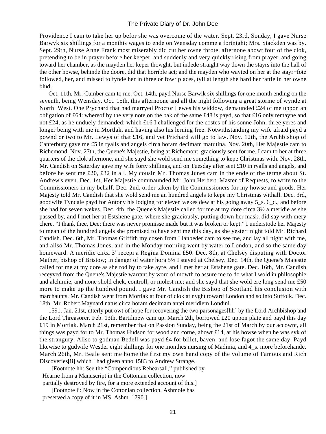Providence I cam to take her up befor she was overcome of the water. Sept. 23rd, Sonday, I gave Nurse Barwyk six shillings for a monthis wages to ende on Wensday comme a fortnight; Mrs. Stackden was by. Sept. 29th, Nurse Anne Frank most miserably did cut her owne throte, afternone abowt four of the clok, pretending to be in prayer before her keeper, and suddenly and very quickly rising from prayer, and going toward her chamber, as the mayden her keper thowght, but indede straight way down the stayrs into the hall of the other howse, behinde the doore, did that horrible act; and the mayden who wayted on her at the stayr−fote followed, her, and missed to fynde her in three or fowr places, tyll at length she hard her rattle in her owne blud.

 Oct. 11th, Mr. Cumber cam to me. Oct. 14th, payd Nurse Barwik six shillings for one month ending on the seventh, being Wensday. Oct. 15th, this afternoone and all the night following a great storme of wynde at North−West. One Prychard that had marryed Proctor Lewes his widdow, demaunded £24 of me uppon an obligation of £64: whereof by the very note on the bak of the same £48 is payd, so that £16 only remayne and not £24, as he unduely demanded: which £16 I challenged for the costes of his sonne John, three yeres and longer being with me in Mortlak, and having also his lerning free. Notwithstanding my wife afraid payd a pownd or two to Mr. Lewys of that £16, and yet Prichard will go to law. Nov. 12th, the Archbishop of Canterbury gave me £5 in ryalls and angels circa horam decimam matutina. Nov. 20th, Her Majestie cam to Richemond. Nov. 27th, the Quene's Majestie, being at Richemont, graciously sent for me. I cam to her at three quarters of the clok afternone, and she sayd she wold send me something to kepe Christmas with. Nov. 28th, Mr. Candish on Saterday gave my wife forty shillings, and on Tuesday after sent £10 in ryalls and angels, and before he sent me £20, £32 in all. My cousin Mr. Thomas Junes cam in the ende of the terme about St. Andrew's even. Dec. 1st, Her Majestie commaunded Mr. John Herbert, Master of Requests, to write to the Commissioners in my behalf. Dec. 2nd, order taken by the Commissioners for my howse and goods. Her Majesty told Mr. Candish that she wold send me an hundred angels to kepe my Christmas withall. Dec. 3rd, goodwife Tyndale payd for Antony his lodging for eleven wekes dew at his going away 5\_s. 6\_d., and before she had for seven wekes. Dec. 4th, the Quene's Majestie called for me at my dore circa 3½ a meridie as she passed by, and I met her at Estshene gate, where she graciously, putting down her mask, did say with mery chere, "I thank thee, Dee; there was never promisse made but it was broken or kept." I understode her Majesty to mean of the hundred angels she promised to have sent me this day, as she yester−night told Mr. Richard Candish. Dec. 6th, Mr. Thomas Griffith my cosen from Llanbeder cam to see me, and lay all night with me, and allso Mr. Thomas Jones, and in the Monday morning went by water to London, and so the same day homeward. A meridie circa  $3^a$  recepi a Regina Domina £50. Dec. 8th, at Chelsey disputing with Doctor Mather, bishop of Bristow; in danger of water hora 5½ I stayed at Chelsey. Dec. 14th, the Quene's Majestie called for me at my dore as she rod by to take ayre, and I met her at Estshene gate. Dec. 16th, Mr. Candish receyved from the Quene's Majestie warrant by word of mowth to assure me to do what I wold in philosophie and alchimie, and none shold chek, controll, or molest me; and she sayd that she wold ere long send me £50 more to make up the hundred pound. I gave Mr. Candish the Bishop of Scotland his conclusion with marchaunts. Mr. Candish went from Mortlak at four of clok at nyght toward London and so into Suffolk. Dec. 18th, Mr. Robert Maynard natus circa horam decimam antei meridiem Londini.

 1591. Jan. 21st, utterly put owt of hope for recovering the two parsonages[hh] by the Lord Archbishop and the Lord Threasorer. Feb. 13th, Bartilmew cam up. March 2th, borrowed £20 uppon plate and payd this day £19 in Mortlak. March 21st, remember that on Passion Sunday, being the 21st of March by our accownt, all things was payd for to Mr. Thomas Hudson for wood and corne, abowt £14, at his howse when he was syk of the strangury. Allso to godman Bedell was payd £4 for billet, baven, and lose fagot the same day. Payd likewise to gudwife Wesder eight shillings for one monthes nursing of Madinia, and 4 s. more beforehande. March 26th, Mr. Beale sent me home the first my own hand copy of the volume of Famous and Rich Discoveries[ii] which I had given anno 1583 to Andrew Strange.

 [Footnote hh: See the "Compendious Rehearsall," published by Hearne from a Manuscript in the Cottonian collection, now partially destroyed by fire, for a more extended account of this.]

 [Footnote ii: Now in the Cottonian collection. Ashmole has preserved a copy of it in MS. Ashm. 1790.]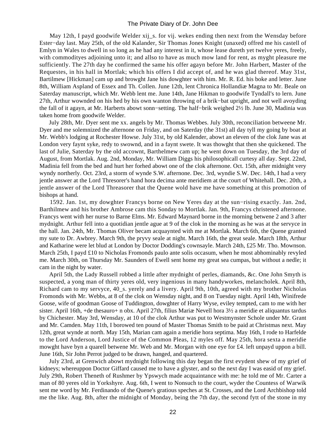May 12th, I payd goodwife Welder xij\_s. for vij. wekes ending then next from the Wensday before Ester−day last. May 25th, of the old Kalander, Sir Thomas Jones Knight (unaxed) offred me his castell of Emlyn in Wales to dwell in so long as he had any interest in it, whose lease dureth yet twelve yeres, freely, with commodityes adjoining unto it; and allso to have as much mow land for rent, as myght pleasure me sufficiently. The 27th day he confirmed the same his offer agayn before Mr. John Harbert, Master of the Requestes, in his hall in Mortlak; which his offers I did accept of, and he was glad thereof. May 31st, Bartilmew [Hickman] cam up and browght Jane his dowghter with him. Mr. R. Ed. his boke and letter. June 8th, William Aspland of Essex and Th. Collen. June 12th, lent Chronica Hollandiæ Magna to Mr. Beale on Saterday manuscript, which Mr. Webb lent me. June 14th, Jane Hikman to goodwife Tyndall's to lern. June 27th, Arthur wownded on his hed by his own wanton throwing of a brik−bat upright, and not well avoyding the fall of it agayn, at Mr. Harberts abowt sonn−setting. The half−brik weighed 2½ lb. June 30, Madinia was taken home from goodwife Welder.

 July 28th, Mr. Dyer sent me xx. angels by Mr. Thomas Webbes. July 30th, reconciliation betweene Mr. Dyer and me solemnized the afternone on Friday, and on Saterday (the 31st) all day tyll my going by boat at Mr. Webb's lodging at Rochester Howse. July 31st, by old Kalender, abowt an eleven of the clok Jane was at London very faynt syke, redy to swownd, and in a faynt swete. It was thowght that then she quickened. The last of Julie, Saterday by the old accownt, Barthelmew cam up; he went down on Tuesday, the 3rd day of August, from Mortlak. Aug. 2nd, Monday, Mr. William Diggs his philosophicall curtesy all day. Sept. 22nd, Madinia fell from the bed and hurt her forhed abowt one of the clok afternone. Oct. 15th, after midnight very wyndy northerly. Oct. 23rd, a storm of wynde S.W. afternone. Dec. 3rd, wyndie S.W. Dec. 14th, I had a very jentle answer at the Lord Thresorer's hand hora decima ante meridiem at the court of Whitehall. Dec. 20th, a jentle answer of the Lord Threasorer that the Quene wold have me have something at this promotion of bishops at hand.

 1592. Jan. 1st, my dowghter Francys borne on New Yeres day at the sun−rising exactly. Jan. 2nd, Barthilmew and his brother Ambrose cam this Sonday to Mortlak. Jan. 9th, Francys christened afternone. Francys went with her nurse to Barne Elms. Mr. Edward Maynard borne in the morning betwene 2 and 3 after mydnight. Arthur fell into a quotidian jentle ague at 9 of the clok in the morning as he was at the servyce in the hall. Jan. 24th, Mr. Thomas Oliver becam acquaynted with me at Mortlak. March 6th, the Quene granted my sute to Dr. Awbrey. March 9th, the pryvy seale at night. March 16th, the great seale. March 18th, Arthur and Katharine were let blud at London by Doctor Dodding's cownsayle. March 24th, £25 Mr. Tho. Mownson. March 25th, I payd £10 to Nicholas Fromonds paulo ante solis occasum, when he most abhominably revyled me. March 30th, on Thursday Mr. Saunders of Ewell sent home my great sea cumpas, but without a nedle; it cam in the night by water.

 April 5th, the Lady Russell robbed a little after mydnight of perles, diamands, &c. One John Smyth is suspected, a yong man of thirty yeres old, very ingenious in many handyworkes, melancholek. April 8th, Richard cam to my servyce, 40\_s. yerely and a livery. April 9th, 10th, agreed with my brother Nicholas Fromonds with Mr. Webbs, at 8 of the clok on Wensday night, and 8 on Tuesday night. April 14th, Winifrede Goose, wife of goodman Goose of Tuddington, dowghter of Harry Wyse, eviley tempted, cam to me with her sister. April 16th, +de thesauro+ n obx. April 27th, filius Mariæ Nevell hora 3½ a meridie et aliquantus tardus by Chichester. May 3rd, Wensday, at 10 of the clok Arthur was put to Westmynster Schole under Mr. Grant and Mr. Camden. May 11th, I borowed ten pound of Master Thomas Smith to be paid at Christmas next. May 12th, great wynde at north. May 15th, Marian cam again a meridie hora septima. May 16th, I rode to Harfelde to the Lord Anderson, Lord Justice of the Common Pleas, 12 myles off. May 25th, hora sexta a meridie mowght have byn a quarell betwene Mr. Web and Mr. Morgan with one eye for £4. left unpayd uppon a bill. June 16th, Sir John Perrot judged to be drawn, hanged, and quartered.

 July 23rd, at Grenwich abowt mydnight following this day began the first evydent shew of my grief of kidneys; whereuppon Doctor Giffard caused me to have a glyster, and so the next day I was easid of my grief. July 29th, Robert Theneth of Rushmer by Ypswych made acquaintance with me: he told me of Mr. Carter a man of 80 yeres old in Yorkshyre. Aug. 6th, I went to Nonsuch to the court, wyder the Countess of Warwik sent me word by Mr. Ferdinando of the Quene's gratious speches at St. Crosses, and the Lord Archbishop told me the like. Aug. 8th, after the midnight of Monday, being the 7th day, the second fytt of the stone in my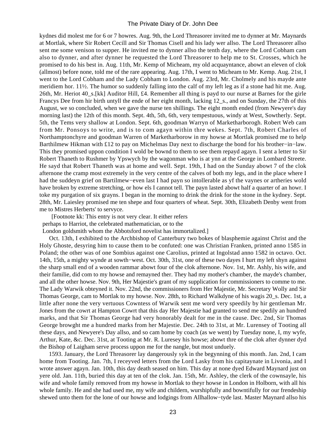kydnes did molest me for 6 or 7 howres. Aug. 9th, the Lord Threasorer invited me to dynner at Mr. Maynards at Mortlak, where Sir Robert Cecill and Sir Thomas Cisell and his lady wer allso. The Lord Threasorer allso sent me some venison to supper. He invited me to dynner allso the tenth day, where the Lord Cobham cam also to dynner, and after dynner he requested the Lord Threasorer to help me to St. Crosses, which he promised to do his best in. Aug. 11th, Mr. Kemp of Micheam, my old acquayntance, abowt an eleven of clok (allmost) before none, told me of the rare appearing. Aug. 17th, I went to Micheam to Mr. Kemp. Aug. 21st, I went to the Lord Cobham and the Lady Cobham to London. Aug. 23rd, Mr. Cholmely and his mayde ante meridiem hor. 11½. The humor so suddenly falling into the calf of my left leg as if a stone had hit me. Aug. 26th, Mr. Heriot 40 s.[kk] Auditor Hill, £4. Remember all thing is payd to our nurse at Barnes for the girle Francys Dee from hir birth untyll the ende of her eight month, lacking 12\_s., and on Sunday, the 27th of this August, we so concluded, when we gave the nurse ten shillings. The eight month ended (from Newyere's day morning last) the 12th of this month. Sept. 4th, 5th, 6th, very tempestuous, windy at West, Sowtherly. Sept. 5th, the Tems very shallow at London. Sept. 6th, goodman Warryn of Marketharborogh. Robert Web cam from Mr. Ponsoys to write, and is to com agayn within thre wekes. Sept. 7th, Robert Charles of Northamptonchyre and goodman Warren of Marketharborow in my howse at Mortlak promised me to help Barthilmew Hikman with £12 to pay on Michelmas Day next to discharge the bond for his brother−in−law. This they promised uppon condition I wold be bownd to them to see them repayd agayn. I sent a letter to Sir Robert Thaneth to Rushmer by Ypswych by the wagonman who is at ynn at the George in Lombard Streete. He sayd that Robert Thaneth was at home and well. Sept. 19th, I had on the Sunday abowt 7 of the clok afternone the cramp most extremely in the very centre of the calves of both my legs, and in the place where I had the suddeyn grief on Bartilmew−even last I had payn so intollerable as yf the vaynes or artheries wold have broken by extreme stretching, or how els I cannot tell. The payn lasted abowt half a quarter of an howr. I toke my purgation of six grayns. I began in the morning to drink the drink for the stone in the kydney. Sept. 28th, Mr. Laiesley promised me ten shepe and four quarters of wheat. Sept. 30th, Elizabeth Denby went from me to Mistres Herberts' to servyce.

 [Footnote kk: This entry is not very clear. It either refers perhaps to Harriot, the celebrated mathematician, or to the

London goldsmith whom the Abbotsford novelist has immortalized.]

 Oct. 13th, I exhibited to the Archbishop of Canterbury two bokes of blasphemie against Christ and the Holy Ghoste, desyring him to cause them to be confuted: one was Christian Franken, printed anno 1585 in Poland; the other was of one Sombius against one Carolius, printed at Ingolstad anno 1582 in octavo. Oct. 14th, 15th, a mighty wynde at sowth−west. Oct. 30th, 31st, one of these two dayes I hurt my left shyn against the sharp small end of a wooden rammar abowt four of the clok afternone. Nov. 1st, Mr. Ashly, his wife, and their familie, did com to my howse and remayned ther. They had my mother's chamber, the mayde's chamber, and all the other howse. Nov. 9th, Her Majestie's grant of my supplication for commissioners to comme to me. The Lady Warwik obteyned it. Nov. 22nd, the commissioners from Her Majestie, Mr. Secretary Wolly and Sir Thomas George, cam to Mortlak to my howse. Nov. 28th, to Richard Walkdyne of his wagis 20\_s. Dec. 1st, a little after none the very vertuous Cowntess of Warwik sent me word very speedily by hir gentleman Mr. Jones from the cowrt at Hampton Cowrt that this day Her Majestie had granted to send me spedily an hundred marks, and that Sir Thomas George had very honorably dealt for me in the cause. Dec. 2nd, Sir Thomas George browght me a hundred marks from her Majestie. Dec. 24th to 31st, at Mr. Lurensey of Tooting all these days, and Newyere's Day allso, and so cam home by coach (as we went) by Tuesday none, I, my wyfe, Arthur, Kate, &c. Dec. 31st, at Tooting at Mr. R. Luresey his howse; abowt thre of the clok after dynner dyd the Bishop of Laigham serve process uppon me for the nangle, but most unduely.

 1593. January, the Lord Threasorer lay dangerously syk in the begynning of this month. Jan. 2nd, I cam home from Tooting. Jan. 7th, I receyved letters from the Lord Lasky from his capitaynate in Livonia, and I wrote answer agayn. Jan. 10th, this day death seased on him. This day at none dyed Edward Maynard just on yere old. Jan. 11th, buried this day at ten of the clok. Jan. 15th, Mr. Ashley, the clerk of the cownsayle, his wife and whole family removed from my howse in Mortlak to theyr howse in London in Holborn, with all his whole family. He and she had used me, my wife and childern, wurshipfully and bowntifully for our frendeship shewed unto them for the lone of our howse and lodgings from Allhallow−tyde last. Master Maynard allso his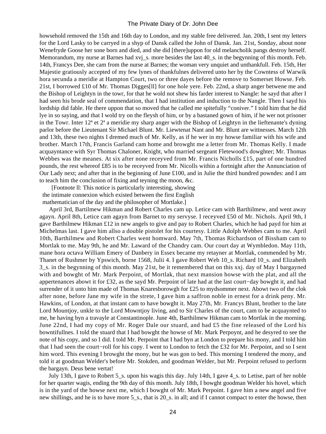howsehold removed the 15th and 16th day to London, and my stable free delivered. Jan. 20th, I sent my letters for the Lord Lasky to be carryed in a shyp of Dansk called the John of Dansk. Jan. 21st, Sonday, about none Wenefryde Goose her sone born and died, and she did [there]uppon for old melancholik pangs destroy herself. Memorandum, my nurse at Barnes had xvj s. more besides the last 40 s. in the begynning of this month. Feb. 14th, Francys Dee, she cam from the nurse at Barnes; the woman very unquiet and unthankfull. Feb. 15th, Her Majestie gratiously accepted of my few lynes of thankfulnes delivered unto her by the Cowntess of Warwik hora secunda a meridie at Hampton Court, two or three dayes before the remove to Somerset Howse. Feb. 21st, I borrowed £10 of Mr. Thomas Digges[ll] for one hole yere. Feb. 22nd, a sharp anger betwene me and the Bishop of Leightyn in the towr, for that he wold not shew his farder interest to Nangle: he sayd that after I had seen his brode seal of commendation, that I had institution and induction to the Nangle. Then I sayd his lordship did fable. He there uppon that so moved that he called me spitefully "coniver." I told him that he did lye in so saying, and that I wold try on the fleysh of him, or by a bastaned gown of him, if he wer not prisoner in the Towr. Inter 12ª et 2ª a meridie my sharp anger with the Bishop of Leightyn in the lieftenante's dyning parlor before the Lieutenant Sir Michael Blunt. Mr. Liewtenat Nant and Mr. Blunt are wittnesses. March 12th and 13th, these two nights I dremed much of Mr. Kelly, as if he wer in my howse familiar with his wife and brother. March 17th, Francis Garland cam home and browght me a letter from Mr. Thomas Kelly. I made acquayntance with Syr Thomas Chaloner, Knight, who married sergeant Fletewood's dowghter; Mr. Thomas Webbes was the meanes. At six after none receyved from Mr. Francis Nicholls £15, part of one hundred pounds, the rest whereof £85 is to be receyved from Mr. Nicolls within a fortnight after the Annunciation of Our Lady next; and after that in the beginning of June  $\pounds$ 100, and in Julie the third hundred powndes: and I am to teach him the conclusion of fixing and teyning the moon, &c.

 [Footnote ll: This notice is particularly interesting, showing the intimate connexion which existed between the first English mathematician of the day and the philosopher of Mortlake.]

 April 3rd, Bartilmew Hikman and Robert Charles cam up. Letice cam with Barthilmew, and went away agayn. April 8th, Letice cam agayn from Barnet to my servyse. I receyved £50 of Mr. Nichols. April 9th, I gave Barthilmew Hikman £12 in new angels to give and pay to Robert Charles, which he had payd for him at Michelmas last. I gave him allso a double pistolet for his courtesy. Little Adolph Webbes cam to me. April 10th, Barthilmew and Robert Charles went homward. May 7th, Thomas Richardson of Bissham cam to Mortlak to me. May 9th, he and Mr. Laward of the Chandry cam. Our court day at Wymbledon. May 11th, mane hora octava William Emery of Danbery in Essex became my retayner at Mortlak, commended by Mr. Thanet of Rushmer by Ypswich, borne 1568, Julii 4. I gave Robert Web 10\_s. Richard 10\_s. and Elizabeth 3\_s. in the begynning of this month. May 21st, be it remembered that on this xxj. day of May I bargayned with and bowght of Mr. Mark Perpoint, of Mortlak, that next mansion howse with the plat, and all the appertenances abowt it for £32, as the sayd Mr. Perpoint of late had at the last court−day bowght it, and had surrender of it unto him made of Thomas Knaresborowgh for £25 to mydsommer next. Abowt two of the clok after none, before Jane my wife in the strete, I gave him a saffron noble in ernest for a drink peny. Mr. Hawkins, of London, at that instant cam to have bowght it. May 27th, Mr. Francys Blunt, brother to the late Lord Mountjoy, unkle to the Lord Mowntjoy living, and to Sir Charles of the court, cam to be acquaynted to me, he having byn a travayle at Constantinople. June 4th, Barthilmew Hikman cam to Mortlak in the morning. June 22nd, I had my copy of Mr. Roger Dale our stuard, and had £5 the fine released of the Lord his bowntifullnes. I told the stuard that I had bowght the howse of Mr. Mark Perpoynt, and he desyred to see the note of his copy, and so I did. I told Mr. Perpoint that I had byn at London to prepare his mony, and I told him that I had seen the court−roll for his copy. I went to London to fetch the £32 for Mr. Perpoint, and so I sent him word. This evening I browght the mony, but he was gon to bed. This morning I tendered the mony, and told it at goodman Welder's before Mr. Stokden, and goodman Welder, but Mr. Perpoint refused to perform the bargayn. Deus bene vertat!

 July 13th, I gave to Robert 5\_s. upon his wagis this day. July 14th, I gave 4\_s. to Letise, part of her noble for her quarter wagis, ending the 9th day of this month. July 18th, I bowght goodman Welder his hovel, which is in the yard of the howse next me, which I bowght of Mr. Mark Perpoint. I gave him a new angel and five new shillings, and he is to have more 5\_s., that is 20\_s. in all; and if I cannot compact to enter the howse, then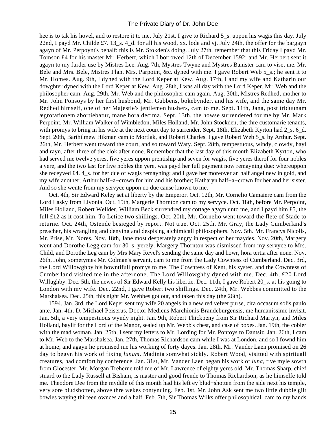hee is to tak his hovel, and to restore it to me. July 21st, I give to Richard 5\_s. uppon his wagis this day. July 22nd, I payd Mr. Childe £7. 13\_s. 4\_d. for all his wood, xx. lode and vj. July 24th, the offer for the bargayn agayn of Mr. Perpoynt's behalf: this is Mr. Stokden's doing. July 27th, remember that this Friday I payd Mr. Tomson £4 for his master Mr. Herbert, which I borrowed 12th of December 1592: and Mr. Herbert sent it agayn to my furder use by Mistres Lee. Aug. 7th, Mystres Twyne and Mystres Banister cam to viset me. Mr. Bele and Mrs. Bele, Mistres Plan, Mrs. Parpoint, &c. dyned with me. I gave Robert Web 5\_s.; he sent it to Mr. Homes. Aug. 9th, I dyned with the Lord Keper at Kew. Aug. 17th, I and my wife and Katharin our dowghter dyned with the Lord Keper at Kew. Aug. 28th, I was all day with the Lord Keper. Mr. Web and the philosopher cam. Aug. 29th, Mr. Web and the philosopher cam again. Aug. 30th, Mistres Redhed, mother to Mr. John Ponsoys by her first husbond, Mr. Gubbens, bokebynder, and his wife, and the same day Mr. Redhed himself, one of her Majestie's jentlemen hushers, cam to me. Sept. 11th, Jana, post triduunam ægrotationem abortiebatur, mane hora decima. Sept. 13th, the howse surrendered for me by Mr. Mark Perpoint, Mr. William Walker of Wimbledon, Miles Holland, Mr. John Stockden, the thre customarie tenants, with promys to bring in his wife at the next court day to surrender. Sept. 18th, Elizabeth Kyrton had 2 s. 6 d. Sept. 20th, Barthilmew Hikman cam to Mortlak, and Robert Charles. I gave Robert Web 5\_s. by Arthur. Sept. 26th, Mr. Herbert went toward the court, and so toward Waty. Sept. 28th, tempestuous, windy, clowdy, hayl and rayn, after three of the clok after none. Remember that the last day of this month Elizabeth Kyrton, who had served me twelve yeres, five yeres uppon prentiship and seven for wagis, five yeres therof for four nobles a yere, and the two last for five nobles the yere, was payd her full payment now remayning due: whereuppon she receyved £4. 4\_s. for her due of wagis remayning; and I gave her moreover an half angel new in gold, and my wife another; Arthur half−a−crown for him and his brother; Katharyn half−a−crown for her and her sister. And so she wente from my servyce uppon no due cause known to me.

 Oct. 4th, Sir Edward Keley set at liberty by the Emperor. Oct. 12th, Mr. Cornelio Camaiere cam from the Lord Lasky from Livonia. Oct. 15th, Margerie Thornton cam to my servyce. Oct. 18th, before Mr. Perpoint, Miles Holland, Robert Wellder, William Beck surrendred my cottage agayn unto me, and I payd him £5, the full £12 as it cost him. To Letice two shillings. Oct. 20th, Mr. Cornelio went toward the flete of Stade to returne. Oct. 24th, Ostende besieged by report. Not true. Oct. 25th, Mr. Gray, the Lady Cumberland's preacher, his wrangling and denying and despising alchimicall philosophers. Nov. 5th. Mr. Francys Nicolls, Mr. Prise, Mr. Nores. Nov. 18th, Jane most desperately angry in respect of her maydes. Nov. 20th, Margery went and Dorothe Legg cam for 30\_s. yerely. Margery Thornton was dismissed from my servyce to Mrs. Child, and Dorothe Leg cam by Mrs Mary Revel's sending the same day and howr, hora tertia after none. Nov. 26th, John, sometymes Mr. Colman's servant, cam to me from the Lady Cowntess of Cumberland. Dec. 3rd, the Lord Willowghby his bowntifull promys to me. The Cowntess of Kent, his syster, and the Cowntess of Cumberland visited me in the afternone. The Lord Willowghby dyned with me. Dec. 4th, £20 Lord Willughby. Dec. 5th, the newes of Sir Edward Kelly his libertie. Dec. 11th, I gave Robert 20\_s. at his going to London with my wife. Dec. 22nd, I gave Robert two shillings. Dec. 24th, Mr. Webbes committed to the Marshalsea. Dec. 25th, this night Mr. Webbes got out, and taken this day (the 26th).

 1594. Jan. 3rd, the Lord Keper sent my wife 20 angels in a new red velvet purse, cira occasum solis paulo ante. Jan. 4th, D. Michael Peiserus, Doctor Medicus Marchionis Brandeburgensis, me humanissime invisit. Jan. 5th, a very tempestuous wyndy night. Jan. 9th, Robert Thickpeny from Sir Richard Martyn, and Miles Holland, baylif for the Lord of the Manor, sealed up Mr. Webb's chest, and case of boxes. Jan. 19th, the cobler with the mad woman. Jan. 25th, I sent my letters to Mr. Lording for Mr. Pontoys to Dantsiz. Jan. 26th, I cam to Mr. Web to the Marshalsea. Jan. 27th, Thomas Richardson cam while I was at London, and so I fownd him at home; and agayn he promised me his working of forty dayes. Jan. 28th, Mr. Vander Laen promised on 26 day to begyn his work of fixing *lunam*. Madinia somwhat sickly. Robert Wood, visitted with spirituall creatures, had comfort by conference. Jan. 31st, Mr. Vander Laen began his work of *luna*, five myle sowth from Glocester. Mr. Morgan Treherne told me of Mr. Lawrence of eighty yeres old. Mr. Thomas Sharp, chief stuard to the Lady Russell at Bisham, is master and good frende to Thomas Richardson, as he himselfe told me. Theodore Dee from the myddle of this month had his left ey blud−shotten from the side next his temple, very sore bludshotten, above thre wekes contynuing. Feb. 1st, Mr. John Ask sent me two little dubble gilt bowles waying thirteen ownces and a half. Feb. 7th, Sir Thomas Wilks offer philosophicall cam to my hands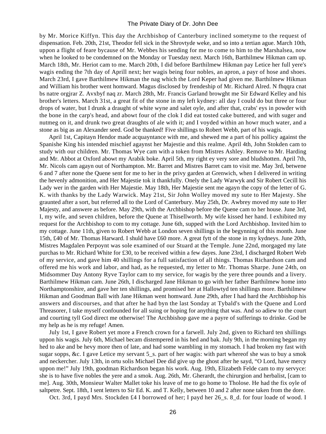by Mr. Morice Kiffyn. This day the Archbishop of Canterbury inclined sometyme to the request of dispensation. Feb. 20th, 21st, Theodor fell sick in the Shrovtyde weke, and so into a tertian ague. March 10th, uppon a flight of feare bycause of Mr. Webbes his sending for me to come to him to the Marshalsea, now when he looked to be condemned on the Monday or Tuesday next. March 16th, Barthilmew Hikman cam up. March 18th, Mr. Heriot cam to me. March 20th, I did before Barthilmew Hikman pay Letice her full yere's wagis ending the 7th day of Aprill next; her wagis being four nobles, an apron, a payr of hose and shoes. March 23rd, I gave Barthilmew Hikman the nag which the Lord Keper had given me. Barthilmew Hikman and William his brother went homward. Magus disclosed by frendeship of Mr. Richard Alred. N fhqqra cnat bs natre orgjrar Z. Avxbyf naq zr. March 28th, Mr. Francis Garland browght me Sir Edward Kelley and his brother's letters. March 31st, a great fit of the stone in my left kydney: all day I could do but three or four drops of water, but I drunk a draught of white wyne and salet oyle, and after that, crabs' eys in powder with the bone in the carp's head, and abowt four of the clok I did eat tosted cake buttered, and with suger and nutmeg on it, and drunk two great draughts of ale with it; and I voyded within an howr much water, and a stone as big as an Alexander seed. God be thanked! Five shillings to Robert Webb, part of his wagis.

 April 1st, Capitayn Hendor made acquayntance with me, and shewed me a part of his pollicy against the Spanishe King his intended mischief agaynst her Majestie and this realme. April 4th, John Stokden cam to study with our children. Mr. Thomas Wye cam with a token from Mistres Ashley. Remove to Mr. Harding and Mr. Abbot at Oxford abowt my Arabik boke. April 5th, my right ey very sore and bludshotten. April 7th, Mr. Nicols cam agayn out of Northampton. Mr. Barret and Mistres Barret cam to visit me. May 3rd, betwene 6 and 7 after none the Quene sent for me to her in the privy garden at Grenwich, when I delivered in writing the hevenly admonition, and Her Majestie tok it thankfully. Onely the Lady Warwyk and Sir Robert Cecill his Lady wer in the garden with Her Majestie. May 18th, Her Majestie sent me agayn the copy of the letter of G. K. with thanks by the Lady Warwick. May 21st, Sir John Wolley moved my sute to Her Majesty. She graunted after a sort, but referred all to the Lord of Canterbury. May 25th, Dr. Awbrey moved my sute to Her Majesty, and answere as before. May 29th, with the Archbishop before the Quene cam to her house. June 3rd, I, my wife, and seven children, before the Quene at Thisellworth. My wife kissed her hand. I exhibited my request for the Archbishop to com to my cottage. June 6th, supped with the Lord Archbishop. Invited him to my cottage. June 11th, given to Robert Webb at London seven shillings in the begynning of this month. June 15th, £40 of Mr. Thomas Harward. I shuld have £60 more. A great fytt of the stone in my kydneys. June 20th, Mistres Magdalen Perpoynt was sole examined of our Stuard at the Temple. June 22nd, morgaged my late purchas to Mr. Richard White for £30, to be received within a few dayes. June 23rd, I discharged Robert Web of my service, and gave him 40 shillings for a full satisfaction of all things. Thomas Richardson cam and offered me his work and labor, and had, as he requested, my letter to Mr. Thomas Sharpe. June 24th, on Midsommer Day Antony Ryve Taylor cam to my service, for wagis by the yere three pounds and a livery. Barthilmew Hikman cam. June 26th, I discharged Jane Hikman to go with her father Barthilmew home into Northamptonshire, and gave her ten shillings, and promised her at Hallowtyd ten shillings more. Barthilmew Hikman and Goodman Ball with Jane Hikman went homward. June 29th, after I had hard the Archbishop his answers and discourses, and that after he had byn the last Sonday at Tybald's with the Quene and Lord Threasorer, I take myself confounded for all suing or hoping for anything that was. And so adiew to the court and courting tyll God direct me otherwise! The Archbishop gave me a payre of sufferings to drinke. God be my help as he is my refuge! Amen.

 July 1st, I gave Robert yet more a French crown for a farwell. July 2nd, given to Richard ten shillings uppon his wagis. July 6th, Michael becam distempered in his hed and bak. July 9th, in the morning began my hed to ake and be hevy more then of late, and had some wambling in my stomach. I had broken my fast with sugar sopps, &c. I gave Letice my servant 5\_s. part of her wagis: with part whereof she was to buy a smok and neckercher. July 13th, in ortu solis Michael Dee did give up the ghost after he sayd, "O Lord, have mercy uppon me!" July 19th, goodman Richardson began his work. Aug. 19th, Elizabeth Felde cam to my servyce: she is to have five nobles the yere and a smok. Aug. 26th, Mr. Gherardt, the chirurgion and herbalist, [cam to me]. Aug. 30th, Monsieur Walter Mallet toke his leave of me to go home to Tholose. He had the fix oyle of saltpetre. Sept. 18th, I sent letters to Sir Ed. K. and T. Kelly, between 10 and 2 after none taken from the dore.

Oct. 3rd, I payd Mrs. Stockden £4 I borrowed of her; I payd her 26\_s. 8\_d. for four loade of wood. I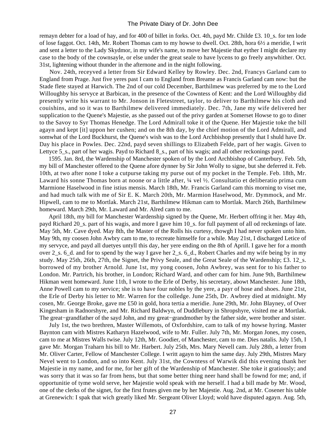remayn debter for a load of hay, and for 400 of billet in forks. Oct. 4th, payd Mr. Childe £3. 10\_s. for ten lode of lose faggot. Oct. 14th, Mr. Robert Thomas cam to my howse to dwell. Oct. 28th, hora 6½ a meridie, I writ and sent a letter to the Lady Skydmor, in my wife's name, to move her Majestie that eyther I might declare my case to the body of the cownsayle, or else under the great seale to have lycens to go freely anywhither. Oct. 31st, lightening without thunder in the afternone and in the night following.

 Nov. 24th, receyved a letter from Sir Edward Kelley by Rowley. Dec. 2nd, Francys Garland cam to England from Prage. Just five yeres past I cam to England from Breame as Francis Garland cam now: but the Stade flete stayed at Harwich. The 2nd of our cold December, Barthilmew was preferred by me to the Lord Willoughby his servyce at Barbican, in the presence of the Cowntess of Kent: and the Lord Willoughby did presently write his warrant to Mr. Jonson in Fletestreet, taylor, to deliver to Barthilmew his cloth and couishins, and so it was to Barthilmew delivered immediately. Dec. 7th, Jane my wife delivered her supplication to the Quene's Majestie, as she passed out of the privy garden at Somerset Howse to go to diner to the Savoy to Syr Thomas Henedge. The Lord Admirall toke it of the Quene. Her Majestie toke the bill agayn and kept [it] uppon her cushen; and on the 8th day, by the chief motion of the Lord Admirall, and somwhat of the Lord Buckhurst, the Quene's wish was to the Lord Archbishop presently that I shuld have Dr. Day his place in Powles. Dec. 22nd, payd seven shillings to Elizabeth Felde, part of her wagis. Given to Lettyce 5<sub>\_s</sub>., part of her wagis. Payd to Richard 8<sub>\_s</sub>., part of his wagis; and all other reckonings payd.

 1595. Jan. 8rd, the Wardenship of Manchester spoken of by the Lord Archbishop of Canterbury. Feb. 5th, my bill of Manchester offered to the Quene afore dynner by Sir John Wolly to signe, but she deferred it. Feb. 10th, at two after none I toke a cutpurse taking my purse out of my pocket in the Temple. Feb. 18th, Mr. Laward his sonne Thomas born at noone or a little after, ¼ vel ½. Consultatio et deliberatio prima cum Marmione Haselwood in fine istius mensis. March 18th, Mr. Francis Garland cam this morning to viset me, and had much talk with me of Sir E. K. March 20th, Mr. Marmion Haselwood, Mr. Dymmock, and Mr. Hipwell, cam to me to Mortlak. March 21st, Barthilmew Hikman cam to Mortlak. March 26th, Barthilmew homeward. March 29th, Mr. Laward and Mr. Alred cam to me.

 April 18th, my bill for Manchester Wardenship signed by the Quene, Mr. Herbert offring it her. May 4th, payd Richard 20\_s. part of his wagis, and more I gave him 10\_s. for full payment of all od reckenings of late. May 5th, Mr. Cave dyed. May 8th, the Master of the Rolls his curtesy, thowgh I had never spoken unto him. May 9th, my coosen John Awbry cam to me, to recreate himselfe for a while. May 21st, I discharged Letice of my servyce, and payd all duetyes untyll this day, her yere ending on the 8th of Aprill. I gave her for a month over 2\_s. 6\_d. and for to spend by the way I gave her 2\_s. 6\_d., Robert Charles and my wife being by in my study. May 25th, 26th, 27th, the Signet, the Privy Seale, and the Great Seale of the Wardenship; £3. 12\_s. borrowed of my brother Arnold. June 1st, my yong coosen, John Awbrey, was sent for to his father to London. Mr. Partrich, his brother, in London; Richard Ward, and other cam for him. June 9th, Barthilmew Hikman went homeward. June 11th, I wrote to the Erle of Derby, his secretary, abowt Manchester. June 18th, Anne Powell cam to my service; she is to have four nobles by the yere, a payr of hose and shoes. June 21st, the Erle of Derby his letter to Mr. Warren for the colledge. June 25th, Dr. Awbrey died at midnight. My cosen, Mr. George Broke, gave me £50 in gold, hora tertia a meridie. June 29th, Mr. John Blayney, of Over Kingesham in Radnorshyre, and Mr. Richard Baldwyn, of Duddlebury in Shropshyre, visited me at Mortlak. The great−grandfather of the sayd John, and my great−grandmother by the father side, were brother and sister.

 July 1st, the two brethren, Master Willemots, of Oxfordshire, cam to talk of my howse hyring. Master Baynton cam with Mistres Katharyn Hazelwood, wife to Mr. Fuller. July 7th, Mr. Morgan Jones, my cosen, cam to me at Mistres Walls twise. July 12th, Mr. Goodier, of Manchester, cam to me. Dies natalis. July 15th, I gave Mr. Morgan Traharn his bill to Mr. Harbert. July 25th, Mrs. Mary Nevell cam. July 28th, a letter from Mr. Oliver Carter, Fellow of Manchester College. I writt agayn to him the same day. July 29th, Mistres Mary Nevel went to London, and so into Kent. July 31st, the Cowntess of Warwik did this evening thank her Majestie in my name, and for me, for her gift of the Wardenship of Manchester. She toke it gratiously; and was sorry that it was so far from hens, but that some better thing neer hand shall be fownd for me; and, if opportunitie of tyme wold serve, her Majestie wold speak with me herself. I had a bill made by Mr. Wood, one of the clerks of the signet, for the first frutes given me by her Majestie. Aug. 2nd, at Mr. Cosener his table at Grenewich: I spak that wich greatly liked Mr. Sergeant Oliver Lloyd; wold have disputed agayn. Aug. 5th,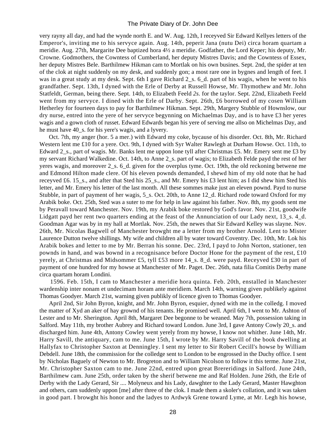very rayny all day, and had the wynde north E. and W. Aug. 12th, I receyved Sir Edward Kellyes letters of the Emperor's, inviting me to his servyce again. Aug. 14th, peperit Jana (nutu Dei) circa horam quartam a meridie. Aug. 27th, Margarite Dee baptized hora 4½ a meridie. Godfather, the Lord Keper; his deputy, Mr. Crowne. Godmothers, the Cowntess of Cumberland, her deputy Mistres Davis; and the Cowntess of Essex, her deputy Mistres Bele. Barthilmew Hikman cam to Mortlak on his own busines. Sept. 2nd, the spider at ten of the clok at night suddenly on my desk, and suddenly gon; a most rare one in bygnes and length of feet. I was in a great study at my desk. Sept. 6th I gave Richard 2, s. 6, d. part of his wagis, when he went to his grandfather. Sept. 13th, I dyned with the Erle of Derby at Russell Howse, Mr. Thymothew and Mr. John Statfeldt, German, being there. Sept. 14th, to Elizabeth Feeld *2s.* for the taylor. Sept. 22nd, Elizabeth Feeld went from my servyce. I dined with the Erle of Darby. Sept. 26th, £6 borrowed of my cosen William Hetherley for fourteen days to pay for Barthilmew Hikman. Sept. 29th, Margery Stubble of Hownslow, our dry nurse, entred into the yere of her servyce begynning on Michaelmas Day, and is to have £3 her yeres wagis and a gown cloth of russet. Edward Edwards began his yere of serving me allso on Michelmas Day, and he must have 40\_s. for his yere's wagis, and a lyvery.

 Oct. 7th, my anger (hor. 5 a mer.) with Edward my coke, bycause of his disorder. Oct. 8th, Mr. Richard Western lent me £10 for a yere. Oct. 9th, I dyned with Syr Walter Rawlegh at Durham Howse. Oct. 11th, to Edward 2\_s., part of wagis. Mr. Banks lent me uppon lone tyll after Christmas £5. Mr. Emery sent me £3 by my servant Richard Walkedine. Oct. 14th, to Anne 2\_s. part of wagis; to Elizabeth Felde payd the rest of her yeres wagis, and moreover 2\_s. 6\_d. given for the overplus tyme. Oct. 19th, the old reckoning betwene me and Edmond Hilton made clere. Of his eleven pownds demanded, I shewd him of my old note that he had receyved £6. 15\_s., and after that Sted his 25\_s., and Mr. Emery his £3 lent him; as I did shew him Sted his letter, and Mr. Emery his letter of the last month. All these sommes make just an eleven pownd. Payd to nurse Stubble, in part of payment of her wagis, 5\_s. Oct. 20th, to Anne 12\_d. Richard rode toward Oxford for my Arabik boke. Oct. 25th, Sted was a suter to me for help in law against his father. Nov. 8th, my goods sent me by Peravall toward Manchester. Nov. 19th, my Arabik boke restored by God's favor. Nov. 21st, goodwife Lidgatt payd her rent two quarters ending at the feast of the Annunciation of our Lady next, 13\_s. 4\_d. Goodman Agar was by in my hall at Mortlak. Nov. 25th, the newes that Sir Edward Kelley was slayne. Nov. 26th, Mr. Nicolas Bagwell of Manchester browght me a letter from my brother Arnold. Lent to Mister Laurence Dutton twelve shillings. My wife and children all by water toward Coventry. Dec. 10th, Mr. Lok his Arabik bokes and letter to me by Mr. Berran his sonne. Dec. 23rd, I payd to John Norton, stationer, ten pownds in hand, and was bownd in a recognisance before Doctor Hone for the payment of the rest, £10 yerely, at Christmas and Midsommer £5, tyll £53 more 14\_s. 8\_d. were payd. Receyved £30 in part of payment of one hundred for my howse at Manchester of Mr. Paget. Dec. 26th, nata filia Comitis Derby mane circa quartam horam Londini.

 1596. Feb. 15th, I cam to Manchester a meridie hora quinta. Feb. 20th, enstalled in Manchester wardenship inter nonam et undecimam horam ante meridiem. March 14th, warning given publikely against Thomas Goodyer. March 21st, warning given publikly of licence given to Thomas Goodyer.

 April 2nd, Sir John Byron, knight, and Mr. John Byron, esquier, dyned with me in the colledg. I moved the matter of Xyd an aker of hay grownd of his tenants. He promised well. April 6th, I went to Mr. Ashton of Lester and to Mr. Sherington. April 8th, Margaret Dee begonne to be weaned. May 7th, possession taking in Salford. May 11th, my brother Aubrey and Richard toward London. June 3rd, I gave Antony Cowly 20\_s. and discharged him. June 4th, Antony Cowley went yerely from my howse, I know not whither. June 14th, Mr. Harry Savill, the antiquary, cam to me. June 15th, I wrote by Mr. Harry Savill of the book dwelling at Hallyfax to Christopher Saxton at Denningley. I sent my letter to Sir Robert Cecill's howse by William Debdell. June 18th, the commission for the colledge sent to London to be engrossed in the Duchy office. I sent by Nicholas Baguely of Newton to Mr. Brogreton and to William Nicolson to follow it this terme. June 21st, Mr. Christopher Saxton cam to me. June 22nd, entred upon great Brereridings in Salford. June 24th, Barthilmew cam. June 25th, order taken by the sherif betwene me and Raf Holden. June 26th, the Erle of Derby with the Lady Gerard, Sir .... Molyneux and his Lady, dawghter to the Lady Gerard, Master Hawghton and others, cam suddenly uppon [me] after three of the clok. I made them a skoler's collation, and it was taken in good part. I browght his honor and the ladyes to Ardwyk Grene toward Lyme, at Mr. Legh his howse,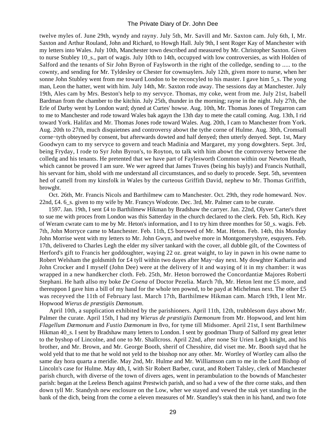twelve myles of. June 29th, wyndy and rayny. July 5th, Mr. Savill and Mr. Saxton cam. July 6th, I, Mr. Saxton and Arthur Rouland, John and Richard, to Howgh Hall. July 9th, I sent Roger Kay of Manchester with my letters into Wales. July 10th, Manchester town described and measured by Mr. Christopher Saxton. Given to nurse Stubley 10\_s., part of wagis. July 10th to 14th, occupyed with low controversies, as with Holden of Salford and the tenants of Sir John Byron of Faylsworth in the right of the colledge, sending to ..... to the cownty, and sending for Mr. Tyldesley or Chester for cownsaylers. July 12th, given more to nurse, when her sonne John Stubley went from me toward London to be reconcyled to his master. I gave him 5\_s. The yong man, Leon the hatter, went with him. July 14th, Mr. Saxton rode away. The sessions day at Manchester. July 19th, Ales cam by Mrs. Beston's help to my servyce. Thomas, my coke, went from me. July 21st, Isabell Bardman from the chamber to the kitchin. July 25th, thunder in the morning; rayne in the night. July 27th, the Erle of Darby went by London ward; dyned at Curtes' howse. Aug. 10th, Mr. Thomas Jones of Tregarron cam to me to Manchester and rode toward Wales bak agayn the 13th day to mete the catall coming. Aug. 13th, I rid toward York. Halifax and Mr. Thomas Jones rode toward Wales. Aug. 20th, I cam to Manchester from York. Aug. 20th to 27th, much disquietnes and controversy abowt the tythe corne of Hulme. Aug. 30th, Cromsall corne−tyth obteyned by consent, but afterwards dowted and half denyed; then utterly denyed. Sept. 1st, Mary Goodwyn cam to my servyce to govern and teach Madinia and Margaret, my yong dowghters. Sept. 3rd, being Fryday, I rode to Syr John Byron's, to Royton, to talk with him abowt the controversy betwene the colledg and his tenants. He pretented that we have part of Faylesworth Common within our Newton Heath, which cannot be proved I am sure. We wer agreed that James Traves (being his bayly) and Francis Nutthall, his servant for him, shold with me understand all circumstances, and so duely to procede. Sept. 5th, seventeen hed of cattell from my kinsfolk in Wales by the curteous Griffith David, nephew to Mr. Thomas Griffith, browght.

 Oct. 26th, Mr. Francis Nicols and Barthilmew cam to Manchester. Oct. 29th, they rode homeward. Nov. 22nd, £4. 6 s. given to my wife by Mr. Francys Wodcote. Dec. 3rd, Mr. Palmer cam to be curate.

 1597. Jan. 19th, I sent £4 to Barthilmew Hikman by Bradshaw the carryer. Jan. 22nd, Olyver Carter's thret to sue me with proces from London was this Satterday in the church declared to the clerk. Feb. 5th, Rich. Key of Weram cwrate cam to me by Mr. Heton's information, and I to try him three monthes for 50\_s. wagis. Feb. 7th, John Morryce came to Manchester. Feb. 11th, £5 borowed of Mr. Mat. Heton. Feb. 14th, this Monday John Morrise went with my letters to Mr. John Gwyn, and twelve more in Montgomeryshyre, esquyers. Feb. 17th, delivered to Charles Legh the elder my silver tankard with the cover, all dubble gilt, of the Cowntess of Herford's gift to Francis her goddoughter, waying 22 oz. great waight, to lay in pawn in his owne name to Robert Welsham the goldsmith for £4 tyll within two dayes after May−day next. My dowghter Katharin and John Crocker and I myself (John Dee) were at the delivery of it and waying of it in my chamber: it was wrapped in a new handkercher cloth. Feb. 25th, Mr. Heton borrowed the Concordantiæ Majores Roberti Stephani. He hath allso my boke *De Coena* of Doctor Pezelia. March 7th, Mr. Heton lent me £5 more, and thereuppon I gave him a bill of my hand for the whole ten pownd, to be payd at Michelmas next. The other £5 was receyved the 11th of February last. March 17th, Barthilmew Hikman cam. March 19th, I lent Mr. Hopwood *Wierus de præstigiis Dæmonum*.

 April 10th, a supplication exhibited by the parishioners. April 11th, 12th, trubblesom days abowt Mr. Palmer the curate. April 15th, I had my *Wierus de præstigiis Dæmonum* from Mr. Hopwood, and lent him *Flagellum Dæmonum* and *Fustio Dæmonum* in 8vo, for tyme till Midsomer. April 21st, I sent Barthilmew Hikman 40\_s. I sent by Bradshaw many letters to London. I sent by goodman Thurp of Salford my great letter to the byshop of Lincolne, and one to Mr. Shallcross. April 22nd, after none Sir Urien Legh knight, and his brother, and Mr. Brown, and Mr. George Booth, sherif of Chesshire, did viset me. Mr. Booth sayd that he wold yeld that to me that he wold not yeld to the bisshop nor any other. Mr. Wortley of Wortley cam allso the same day hora quarta a meridie. May 2nd, Mr. Hulme and Mr. Williamson cam to me in the Lord Bishop of Lincoln's case for Hulme. May 4th, I, with Sir Robert Barber, curat, and Robert Talsley, clerk of Manchester parish church, with diverse of the town of divers ages, went in perambulation to the bownds of Manchester parish: began at the Leeless Bench against Prestwich parish, and so had a vew of the thre corne staks, and then down tyll Mr. Standysh new enclosure on the Low, wher we stayed and vewed the stak yet standing in the bank of the dich, being from the corne a eleven measures of Mr. Standley's stak then in his hand, and two fote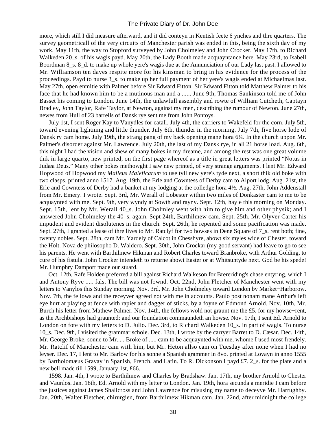more, which still I did measure afterward, and it did conteyn in Kentish feete 6 ynches and thre quarters. The survey geometricall of the very circuits of Manchester parish was ended in this, being the sixth day of my work. May 11th, the way to Stopford surveyed by John Cholmeley and John Crocker. May 17th, to Richard Walkeden 20 s. of his wagis payd. May 20th, the Lady Booth made acquayntance here. May 23rd, to Isabell Boordman 8\_s. 8\_d. to make up whole yere's wagis due at the Annunciation of our Lady last past. I allowed to Mr. Williamson ten dayes respite more for his kinsman to bring in his evidence for the process of the proceedings. Payd to nurse 3\_s. to make up her full payment of her yere's wagis ended at Michaelmas last. May 27th, open enmitie with Palmer before Sir Edward Fitton. Sir Edward Fitton told Matthew Palmer to his face that he had known him to be a mutinous man and a ...... June 9th, Thomas Sankinson told me of John Basset his coming to London. June 14th, the unlawfull assembly and rowte of William Cutcheth, Captayn Bradley, John Taylor, Rafe Taylor, at Newton, against my men, describing the rumour of Newton. June 27th, newes from Hull of 23 barrells of Dansk rye sent me from John Pontoys.

 July 1st, I sent Roger Kay to Vanydles for catall. July 4th, the carriers to Wakefeld for the corn. July 5th, toward evening lightning and little thunder. July 6th, thunder in the morning. July 7th, five horse lode of Dansk ry cam home. July 19th, the strang pang of my back opening mane hora 6¼. In the church uppon Mr. Palmer's disorder against Mr. Lawrence. July 20th, the last of my Dansk rye, in all 21 horse load. Aug. 6th, this night I had the vision and shew of many bokes in my dreame, and among the rest was one great volume thik in large quarto, new printed, on the first page whereof as a title in great letters was printed "Notus in Judæa Deus." Many other bokes methowght I saw new printed, of very strange arguments. I lent Mr. Edward Hopwood of Hopwood my *Malleus Maleficarum* to use tyll new yere's tyde next, a short thik old boke with two clasps, printed anno 1517. Aug. 19th, the Erle and Cowntess of Derby cam to Alport lodg. Aug. 21st, the Erle and Cowntess of Derby had a banket at my lodging at the colledge hora 4½. Aug. 27th, John Addenstall from Mr. Emery. I wrote. Sept. 3rd, Mr. Werall of Lobester within two miles of Donkaster cam to me to be acquaynted with me. Sept. 9th, very wyndy at Sowth and rayny. Sept. 12th, hayle this morning on Monday. Sept. 15th, lent by Mr. Werall 40\_s. John Cholmley went with him to give him and other physik; and I answered John Cholmeley the 40\_s. again. Sept 24th, Barthilmew cam. Sept. 25th, Mr. Olyver Carter his impudent and evident disolutenes in the church. Sept. 26th, he repented and some pacification was made. Sept. 27th, I granted a lease of thre lives to Mr. Ratclyf for two howses in Dene Square of 7\_s. rent both; fine, twenty nobles. Sept. 28th, cam Mr. Yardely of Calcot in Chesshyre, abowt six myles wide of Chester, toward the Holt. Nova de philosopho D. Waldero. Sept. 30th, John Crockar (my good servant) had leave to go to see his parents. He went with Barthilmew Hikman and Robert Charles toward Branbroke, with Arthur Golding, to cure of his fistula. John Crocker intendeth to returne abowt Easter or at Whitsuntyde next. God be his spede! Mr. Humphry Damport made our stuard.

 Oct. 12th, Rafe Holden preferred a bill against Richard Walkeson for Brereriding's chase entyring, which I and Antony Ryve ..... fals. The bill was not fownd. Oct. 22nd, John Fletcher of Manchester went with my letters to Vanylos this Sunday morning. Nov. 3rd, Mr. John Cholmeley toward London by Market−Harborow. Nov. 7th, the fellows and the receyver agreed not with me in accounts. Paulo post nonam mane Arthur's left eye hurt at playing at fence with rapier and dagger of sticks, by a foyne of Edmond Arnold. Nov. 10th, Mr. Burch his letter from Mathew Palmer. Nov. 14th, the fellows wold not graunt me the £5. for my howse−rent, as the Archbishops had graunted: and our foundation commaundeth an howse. Nov. 17th, I sent Ed. Arnold to London on fote with my letters to D. Julio. Dec. 3rd, to Richard Walkeden 10\_s. in part of wagis. To nurse 10\_s. Dec. 9th, I visited the grammar schole. Dec. 13th, I wrote by the carryer Barret to D. Cæsar. Dec. 14th, Mr. George Broke, sonne to Mr..... Broke of ...., cam to be acquaynted with me, whome I used most frendely. Mr. Ratclif of Manchester cam with him, but Mr. Heton allso cam on Tuesday after none when I had no leyser. Dec. 17, I lent to Mr. Barlow for his sonne a Spanish grammer in 8vo. printed at Lovayn in anno 1555 by Bartholomæus Gravay in Spanish, French, and Latin. To R. Dickonson I payd £7. 2\_s. for the plate and a new bell made till 1599, January 1st, £66.

 1598. Jan. 4th, I wrote to Barthilmew and Charles by Bradshaw. Jan. 17th, my brother Arnold to Chester and Vaunlos. Jan. 18th, Ed. Arnold with my letter to London. Jan. 19th, hora secunda a meridie I cam before the justices against James Shallcross and John Lawrence for misusing my name to deceyve Mr. Harrughby. Jan. 20th, Walter Fletcher, chirurgien, from Barthilmew Hikman cam. Jan. 22nd, after midnight the college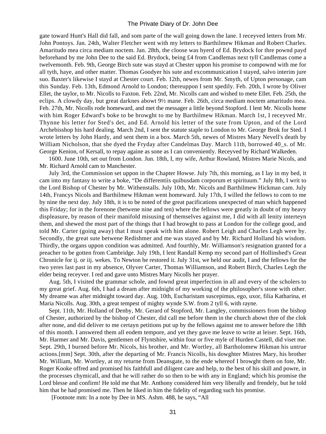gate toward Hunt's Hall did fall, and som parte of the wall going down the lane. I receyved letters from Mr. John Pontoys. Jan. 24th, Walter Fletcher went with my letters to Barthilmew Hikman and Robert Charles. Amaritudo mea circa mediam noctem. Jan. 28th, the cloose was hyerd of Ed. Brydock for thre pownd payd beforehand by me John Dee to the said Ed. Brydock, being £4 from Candlemas next tyll Candlemas come a twelvemonth. Feb. 9th, George Birch sute was stayd at Chester uppon his promise to compownd with me for all tyth, haye, and other matter. Thomas Goodyer his sute and excommunication I stayed, salvo interim jure suo. Baxter's likewise I stayd at Chester court. Feb. 12th, newes from Mr. Smyth, of Upton personage, cam this Sunday. Feb. 13th, Edmond Arnold to London; thereuppon I sent spedily. Feb. 20th, I wrote by Oliver Ellet, the taylor, to Mr. Nicolls to Faxton. Feb. 22nd, Mr. Nicolls cam and wished to mete Ellet. Feb. 25th, the eclips. A clowdy day, but great darknes abowt 9½ mane. Feb. 26th, circa mediam noctem amaritudo mea. Feb. 27th, Mr. Nicolls rode homeward, and met the messager a little beyond Stopford. I lent Mr. Nicolls home with him Roger Edward's boke to be browght to me by Barthilmew Hikman. March 1st, I receyved Mr. Thynne his letter for Sted's det, and Ed. Arnold his letter of the sute from Upton, and of the Lord Archebisshop his hard dealing. March 2nd, I sent the statute staple to London to Mr. George Brok for Sted. I wrote letters by John Hardy, and sent them in a box. March 5th, newes of Mistres Mary Nevell's death by William Nicholson, that she dyed the Fryday after Candelmas Day. March 11th, borrowed 40\_s. of Mr. George Kenion, of Kersall, to repay againe as sone as I can conveniently. Receyved by Richard Walkeden.

 1600. June 10th, set out from London. Jun. 18th, I, my wife, Arthur Rowland, Mistres Marie Nicols, and Mr. Richard Arnold cam to Manchester.

 July 3rd, the Commission set uppon in the Chapter Howse. July 7th, this morning, as I lay in my bed, it cam into my fantasy to write a boke, "De differentiis quibusdam corporum et spirituum." July 8th, I writ to the Lord Bishop of Chester by Mr. Withenstalls. July 10th, Mr. Nicols and Barthilmew Hickman cam. July 14th, Francys Nicols and Barthilmew Hikman went homeward. July 17th, I willed the fellows to com to me by nine the next day. July 18th, it is to be noted of the great pacifications unexpected of man which happened this Friday; for in the forenone (betwene nine and ten) where the fellows were greatly in doubt of my heavy displeasure, by reason of their manifold misusing of themselves against me, I did with all lenity interteyn them, and shewed the most part of the things that I had browght to pass at London for the college good, and told Mr. Carter (going away) that I must speak with him alone. Robert Leigh and Charles Legh were by. Secondly, the great sute betwene Redishmer and me was stayed and by Mr. Richard Holland his wisdom. Thirdly, the organs uppon condition was admitted. And fourthly, Mr. Williamson's resignation granted for a preacher to be gotten from Cambridge. July 19th, I lent Randall Kemp my second part of Hollinshed's Great Chronicle for ij. or iij. wekes. To Newton he restored it. July 31st, we held our audit, I and the fellows for the two yeres last past in my absence, Olyver Carter, Thomas Williamson, and Robert Birch, Charles Legh the elder being receyver. I red and gave unto Mistres Mary Nicolls her prayer.

 Aug. 5th, I visited the grammar schole, and fownd great imperfection in all and every of the scholers to my great grief. Aug. 6th, I had a dream after midnight of my working of the philosopher's stone with other. My dreame was after midnight toward day. Aug. 10th, Eucharistam suscepimus, ego, uxor, filia Katharina, et Maria Nicolls. Aug. 30th, a great tempest of mighty wynde S.W. from 2 tyll 6, with rayne.

 Sept. 11th, Mr. Holland of Denby, Mr. Gerard of Stopford, Mr. Langley, commissioners from the bishop of Chester, authorized by the bishop of Chester, did call me before them in the church abowt thre of the clok after none, and did deliver to me certayn petitions put up by the fellows against me to answer before the 18th of this month. I answered them all eodem tempore, and yet they gave me leave to write at leiser. Sept. 16th, Mr. Harmer and Mr. Davis, gentlemen of Flyntshire, within four or five myle of Hurden Castell, did viset me. Sept. 29th, I burned before Mr. Nicols, his brother, and Mr. Wortley, all Bartholomew Hikman his untrue actions.[mm] Sept. 30th, after the departing of Mr. Francis Nicolls, his dowghter Mistres Mary, his brother Mr. William, Mr. Wortley, at my returne from Deansgate, to the ende whereof I browght them on fote, Mr. Roger Kooke offred and promised his faithfull and diligent care and help, to the best of his skill and powre, in the processes chymicall, and that he will rather do so then to be with any in England; which his promise the Lord blesse and confirm! He told me that Mr. Anthony considered him very liberally and frendely, but he told him that he had promised me. Then he liked in him the fidelity of regarding such his promise.

[Footnote mm: In a note by Dee in MS. Ashm. 488, he says, "All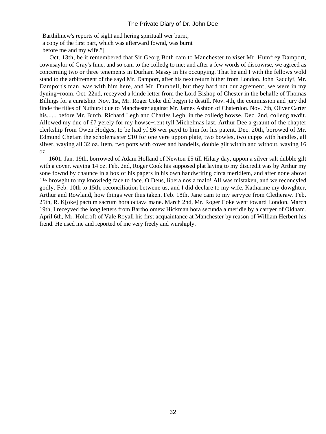Barthilmew's reports of sight and hering spirituall wer burnt; a copy of the first part, which was afterward fownd, was burnt before me and my wife."]

 Oct. 13th, be it remembered that Sir Georg Both cam to Manchester to viset Mr. Humfrey Damport, cownsaylor of Gray's Inne, and so cam to the colledg to me; and after a few words of discowrse, we agreed as concerning two or three tenements in Durham Massy in his occupying. That he and I with the fellows wold stand to the arbitrement of the sayd Mr. Damport, after his next return hither from London. John Radclyf, Mr. Damport's man, was with him here, and Mr. Dumbell, but they hard not our agrement; we were in my dyning−room. Oct. 22nd, receyved a kinde letter from the Lord Bishop of Chester in the behalfe of Thomas Billings for a curatship. Nov. 1st, Mr. Roger Coke did begyn to destill. Nov. 4th, the commission and jury did finde the titles of Nuthurst due to Manchester against Mr. James Ashton of Chaterdon. Nov. 7th, Oliver Carter his...... before Mr. Birch, Richard Legh and Charles Legh, in the colledg howse. Dec. 2nd, colledg awdit. Allowed my due of £7 yerely for my howse−rent tyll Michelmas last. Arthur Dee a graunt of the chapter clerkship from Owen Hodges, to be had yf £6 wer payd to him for his patent. Dec. 20th, borowed of Mr. Edmund Chetam the scholemaster £10 for one yere uppon plate, two bowles, two cupps with handles, all silver, waying all 32 oz. Item, two potts with cover and handells, double gilt within and without, waying 16 oz.

 1601. Jan. 19th, borrowed of Adam Holland of Newton £5 till Hilary day, uppon a silver salt dubble gilt with a cover, waying 14 oz. Feb. 2nd, Roger Cook his supposed plat laying to my discredit was by Arthur my sone fownd by chaunce in a box of his papers in his own handwriting circa meridiem, and after none abowt 1½ browght to my knowledg face to face. O Deus, libera nos a malo! All was mistaken, and we reconcyled godly. Feb. 10th to 15th, reconciliation betwene us, and I did declare to my wife, Katharine my dowghter, Arthur and Rowland, how things wer thus taken. Feb. 18th, Jane cam to my servyce from Cletheraw. Feb. 25th, R. K[oke] pactum sacrum hora octava mane. March 2nd, Mr. Roger Coke went toward London. March 19th, I receyved the long letters from Bartholomew Hickman hora secunda a meridie by a carryer of Oldham. April 6th, Mr. Holcroft of Vale Royall his first acquaintance at Manchester by reason of William Herbert his frend. He used me and reported of me very freely and wurshiply.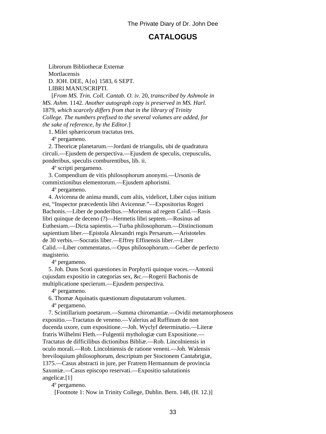## **CATALOGUS**

<span id="page-34-0"></span> Librorum Bibliothecæ Externæ **Mortlacensis**  D. JOH. DEE, A{o} 1583, 6 SEPT. LIBRI MANUSCRIPTI.

 [*From MS. Trin. Coll. Cantab. O. iv.* 20, *transcribed by Ashmole in MS. Ashm.* 1142. *Another autograph copy is preserved in MS. Harl.* 1879, *which scarcely differs from that in the library of Trinity College. The numbers prefixed to the several volumes are added, for the sake of reference, by the Editor.*]

1. Milei sphæricorum tractatus tres.

4º pergameno.

 2. Theoricæ planetarum.—Jordani de triangulis, ubi de quadratura circuli.—Ejusdem de perspectiva.—Ejusdem de speculis, crepusculis, ponderibus, speculis comburentibus, lib. ii.

4º scripti pergameno.

 3. Compendium de vitis philosophorum anonymi.—Ursonis de commixtionibus elementorum.—Ejusdem aphorismi.

4º pergameno.

 4. Avicenna de anima mundi, cum aliis, videlicet, Liber cujus initium est, "Inspector præcedentis libri Avicennæ."—Expositorius Rogeri Bachonis.—Liber de ponderibus.—Morienus ad regem Calid.—Rasis libri quinque de deceno (?)—Hermetis libri septem.—Rosinus ad Euthesiam.—Dicta sapientis.—Turba philosophorum.—Distinctionum sapientium liber.—Epistola Alexandri regis Persarum.—Aristoteles de 30 verbis.—Socratis liber.—Effrey Effinensis liber.—Liber Calid.—Liber commentatus.—Opus philosophorum.—Geber de perfecto magisterio.

4º pergameno.

 5. Joh. Duns Scoti quæstiones in Porphyrii quinque voces.—Antonii cujusdam expositio in categorias sex, &c.—Rogerii Bachonis de multiplicatione specierum.—Ejusdem perspectiva.

4º pergameno.

6. Thomæ Aquinatis quæstionum disputatarum volumen.

4º pergameno.

 7. Scintillarium poetarum.—Summa chiromantiæ.—Ovidii metamorphoseos expositio.—Tractatus de veneno.—Valerius ad Ruffinum de non ducenda uxore, cum expositione.—Joh. Wyclyf determinatio.—Literæ fratris Wilhelmi Fleth.—Fulgentii mythologiæ cum Expositione.— Tractatus de difficilibus dictionibus Bibliæ.—Rob. Lincolniensis in oculo morali.—Rob. Lincolniensis de ratione veneni.—Joh. Walensis breviloquium philosophorum, descriptum per Stoctonem Cantabrigiæ, 1375.—Casus abstracti in jure, per Fratrem Hermannum de provincia Saxoniæ.—Casus episcopo reservati.—Expositio salutationis angelicæ.[1]

4º pergameno.

[Footnote 1: Now in Trinity College, Dublin. Bern. 148, (H. 12.)]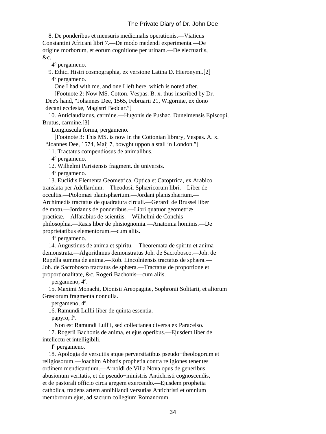8. De ponderibus et mensuris medicinalis operationis.—Viaticus Constantini Africani libri 7.—De modo medendi experimenta.—De origine morborum, et eorum cognitione per urinam.—De electuariis, &c.

4º pergameno.

 9. Ethici Histri cosmographia, ex versione Latina D. Hieronymi.[2] 4º pergameno.

One I had with me, and one I left here, which is noted after.

 [Footnote 2: Now MS. Cotton. Vespas. B. x. thus inscribed by Dr. Dee's hand, "Johannes Dee, 1565, Februarii 21, Wigorniæ, ex dono

decani ecclesiæ, Magistri Beddar."]

 10. Anticlaudianus, carmine.—Hugonis de Pushac, Dunelmensis Episcopi, Brutus, carmine.[3]

Longiuscula forma, pergameno.

 [Footnote 3: This MS. is now in the Cottonian library, Vespas. A. x. "Joannes Dee, 1574, Maij 7, bowght uppon a stall in London."]

11. Tractatus compendiosus de animalibus.

4º pergameno.

12. Wilhelmi Parisiensis fragment. de universis.

4º pergameno.

 13. Euclidis Elementa Geometrica, Optica et Catoptrica, ex Arabico translata per Adellardum.—Theodosii Sphæricorum libri.—Liber de occultis.—Ptolomæi planisphærium.—Jordani planisphærium.— Archimedis tractatus de quadratura circuli.—Gerardi de Brussel liber de motu.—Jordanus de ponderibus.—Libri quatuor geometriæ practicæ.—Alfarabius de scientiis.—Wilhelmi de Conchis philosophia.—Rasis liber de phisiognomia.—Anatomia hominis.—De proprietatibus elementorum.—cum aliis.

4º pergameno.

 14. Augustinus de anima et spiritu.—Theoremata de spiritu et anima demonstrata.—Algorithmus demonstratus Joh. de Sacrobosco.—Joh. de Rupella summa de anima.—Rob. Lincolniensis tractatus de sphæra.— Joh. de Sacrobosco tractatus de sphæra.—Tractatus de proportione et proportionalitate, &c. Rogeri Bachonis—cum aliis.

pergameno, 4º.

 15. Maximi Monachi, Dionisii Areopagitæ, Sophronii Solitarii, et aliorum Græcorum fragmenta nonnulla.

pergameno, 4º.

16. Ramundi Lullii liber de quinta essentia.

papyro, fº.

Non est Ramundi Lullii, sed collectanea diversa ex Paracelso.

 17. Rogerii Bachonis de anima, et ejus operibus.—Ejusdem liber de intellectu et intelligibili.

fº pergameno.

 18. Apologia de versutiis atque perversitatibus pseudo−theologorum et religiosorum.—Joachim Abbatis prophetia contra religiones tenentes ordinem mendicantium.—Arnoldi de Villa Nova opus de generibus abusionum veritatis, et de pseudo−ministris Antichristi cognoscendis, et de pastorali officio circa gregem exercendo.—Ejusdem prophetia catholica, tradens artem annihilandi versutias Antichristi et omnium membrorum ejus, ad sacrum collegium Romanorum.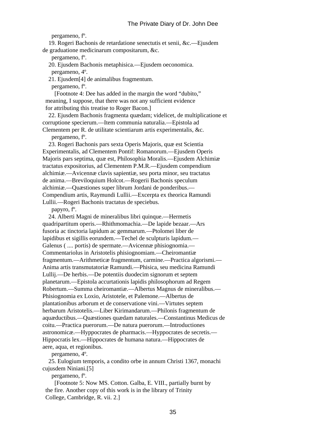```
 pergameno, fº.
```
 19. Rogeri Bachonis de retardatione senectutis et senii, &c.—Ejusdem de graduatione medicinarum compositarum, &c.

pergameno, fº.

20. Ejusdem Bachonis metaphisica.—Ejusdem oeconomica.

pergameno, 4º.

21. Ejusdem[4] de animalibus fragmentum.

pergameno, fº.

 [Footnote 4: Dee has added in the margin the word "dubito," meaning, I suppose, that there was not any sufficient evidence for attributing this treatise to Roger Bacon.]

 22. Ejusdem Bachonis fragmenta quædam; videlicet, de multiplicatione et corruptione specierum.—Item communia naturalia.—Epistola ad Clementem per R. de utilitate scientiarum artis experimentalis, &c.

pergameno, fº.

 23. Rogeri Bachonis pars sexta Operis Majoris, quæ est Scientia Experimentalis, ad Clementem Pontif: Romanorum.—Ejusdem Operis Majoris pars septima, quæ est, Philosophia Moralis.—Ejusdem Alchimiæ tractatus expositorius, ad Clementem P.M.R.—Ejusdem compendium alchimiæ.—Avicennæ clavis sapientiæ, seu porta minor, seu tractatus de anima.—Breviloquium Holcot.—Rogerii Bachonis speculum alchimiæ.—Quæstiones super librum Jordani de ponderibus.— Compendium artis, Raymundi Lullii.—Excerpta ex theorica Ramundi Lullii.—Rogeri Bachonis tractatus de speciebus.

papyro, fº.

 24. Alberti Magni de mineralibus libri quinque.—Hermetis quadripartitum operis.—Rhithmomachia.—De lapide bezaar.—Ars fusoria ac tinctoria lapidum ac gemmarum.—Ptolomei liber de lapidibus et sigillis eorundem.—Techel de sculpturis lapidum.— Galenus ( .... portis) de spermate.—Avicennæ phisiognomia.— Commentariolus in Aristotelis phisiognomiam.—Cheiromantiæ fragmentum.—Arithmeticæ fragmentum, carmine.—Practica algorismi.— Anima artis transmutatoriæ Ramundi.—Phisica, seu medicina Ramundi Lullij.—De herbis.—De potentiis duodecim signorum et septem planetarum.—Epistola accurtationis lapidis philosophorum ad Regem Robertum.—Summa cheiromantiæ.—Albertus Magnus de mineralibus.— Phisiognomia ex Loxio, Aristotele, et Palemone.—Albertus de plantationibus arborum et de conservatione vini.—Virtutes septem herbarum Aristotelis.—Liber Kirimandarum.—Philonis fragmentum de aquæductibus.—Quæstiones quædam naturales.—Constantinus Medicus de coitu.—Practica puerorum.—De natura puerorum.—Introductiones astronomicæ.—Hyppocrates de pharmacis.—Hyppocrates de secretis.— Hippocratis lex.—Hippocrates de humana natura.—Hippocrates de aere, aqua, et regionibus.

pergameno, 4º.

 25. Eulogium temporis, a condito orbe in annum Christi 1367, monachi cujusdem Niniani.[5]

pergameno, fº.

 [Footnote 5: Now MS. Cotton. Galba, E. VIII., partially burnt by the fire. Another copy of this work is in the library of Trinity College, Cambridge, R. vii. 2.]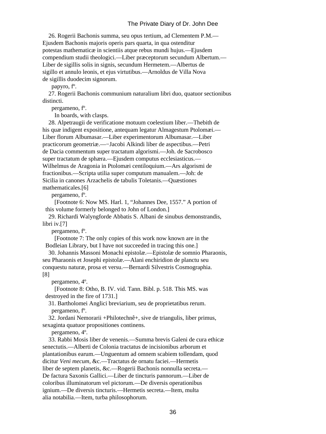26. Rogerii Bachonis summa, seu opus tertium, ad Clementem P.M.— Ejusdem Bachonis majoris operis pars quarta, in qua ostenditur potestas mathematicæ in scientiis atque rebus mundi hujus.—Ejusdem compendium studii theologici.—Liber præceptorum secundum Albertum.— Liber de sigillis solis in signis, secundum Hermetem.—Albertus de sigillo et annulo leonis, et ejus virtutibus.—Arnoldus de Villa Nova de sigillis duodecim signorum.

papyro, fº.

 27. Rogerii Bachonis communium naturalium libri duo, quatuor sectionibus distincti.

pergameno, fº.

In boards, with clasps.

 28. Alpetraugii de verificatione motuum coelestium liber.—Thebith de his quæ indigent expositione, antequam legatur Almagestum Ptolomæi.— Liber florum Albumasar.—Liber experimentorum Albumasar.—Liber practicorum geometriæ.—−Jacobi Alkindi liber de aspectibus.—Petri de Dacia commentum super tractatum algorismi.—Joh. de Sacrobosco super tractatum de sphæra.—Ejusdem computus ecclesiasticus.— Wilhelmus de Aragonia in Ptolomæi centiloquium.—Ars algorismi de fractionibus.—Scripta utilia super computum manualem.—Joh: de Sicilia in canones Arzachelis de tabulis Toletanis.—Quæstiones mathematicales.[6]

pergameno, fº.

 [Footnote 6: Now MS. Harl. 1, "Johannes Dee, 1557." A portion of this volume formerly belonged to John of London.]

 29. Richardi Walyngforde Abbatis S. Albani de sinubus demonstrandis, libri iv.[7]

pergameno, fº.

 [Footnote 7: The only copies of this work now known are in the Bodleian Library, but I have not succeeded in tracing this one.]

 30. Johannis Massoni Monachi epistolæ.—Epistolæ de somnio Pharaonis, seu Pharaonis et Josephi epistolæ.—Alani enchiridion de planctu seu conquestu naturæ, prosa et versu.—Bernardi Silvestris Cosmographia. [8]

pergameno, 4º.

 [Footnote 8: Otho, B. IV. vid. Tann. Bibl. p. 518. This MS. was destroyed in the fire of 1731.]

 31. Bartholomei Anglici breviarium, seu de proprietatibus rerum. pergameno, fº.

 32. Jordani Nemorarii +Philotechnê+, sive de triangulis, liber primus, sexaginta quatuor propositiones continens.

pergameno, 4º.

 33. Rabbi Mosis liber de venenis.—Summa brevis Galeni de cura ethicæ senectutis.—Alberti de Colonia tractatus de incisionibus arborum et plantationibus earum.—Unguentum ad omnem scabiem tollendam, quod dicitur *Veni mecum*, &c.—Tractatus de ornatu faciei.—Hermetis liber de septem planetis, &c.—Rogerii Bachonis nonnulla secreta.— De factura Saxonis Gallici.—Liber de tincturis pannorum.—Liber de coloribus illuminatorum vel pictorum.—De diversis operationibus ignium.—De diversis tincturis.—Hermetis secreta.—Item, multa alia notabilia.—Item, turba philosophorum.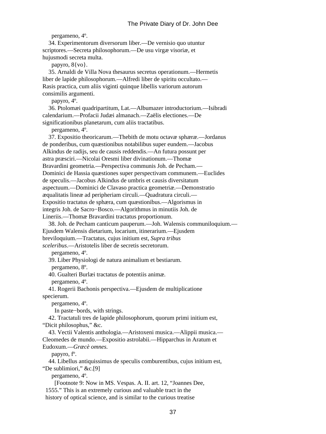pergameno, 4º.

 34. Experimentorum diversorum liber.—De vernisio quo utuntur scriptores.—Secreta philosophorum.—De usu virgæ visoriæ, et hujusmodi secreta multa.

papyro, 8{vo}.

 35. Arnaldi de Villa Nova thesaurus secretus operationum.—Hermetis liber de lapide philosophorum.—Alfredi liber de spiritu occultato.— Rasis practica, cum aliis viginti quinque libellis variorum autorum consimilis argumenti.

papyro, 4º.

 36. Ptolomæi quadripartitum, Lat.—Albumazer introductorium.—Isibradi calendarium.—Profacii Judæi almanach.—Zaëlis electiones.—De significationibus planetarum, cum aliis tractatibus.

pergameno, 4º.

 37. Expositio theoricarum.—Thebith de motu octavæ sphæræ.—Jordanus de ponderibus, cum quæstionibus notabilibus super eundem.—Jacobus Alkindus de radijs, seu de causis reddendis.—An futura possunt per astra præsciri.—Nicolai Oresmi liber divinationum.—Thomæ Bravardini geometria.—Perspectiva communis Joh. de Pecham.— Dominici de Hassia quæstiones super perspectivam communem.—Euclides de speculis.—Jacobus Alkindus de umbris et causis diversitatum aspectuum.—Dominici de Clavaso practica geometriæ.—Demonstratio æqualitatis lineæ ad peripheriam circuli.—Quadratura circuli.— Expositio tractatus de sphæra, cum quæstionibus.—Algorismus in integris Joh. de Sacro−Bosco.—Algorithmus in minutiis Joh. de Lineriis.—Thomæ Bravardini tractatus proportionum.

 38. Joh. de Pecham canticum pauperum.—Joh. Walensis communiloquium.— Ejusdem Walensis dietarium, locarium, itinerarium.—Ejusdem breviloquium.—Tractatus, cujus initium est, *Supra tribus sceleribus*.—Aristotelis liber de secretis secretorum.

pergameno, 4º.

 39. Liber Physiologi de natura animalium et bestiarum. pergameno, 8º.

40. Gualteri Burlæi tractatus de potentiis animæ.

pergameno, 4º.

 41. Rogerii Bachonis perspectiva.—Ejusdem de multiplicatione specierum.

pergameno, 4º.

In paste−bords, with strings.

 42. Tractatuli tres de lapide philosophorum, quorum primi initium est, "Dicit philosophus," &c.

 43. Vectii Valentis anthologia.—Aristoxeni musica.—Alippii musica.— Cleomedes de mundo.—Expositio astrolabii.—Hipparchus in Aratum et

Eudoxum.—*Græcè omnes.*

papyro, fº.

 44. Libellus antiquissimus de speculis comburentibus, cujus initium est, "De sublimiori," &c.[9]

pergameno, 4º.

 [Footnote 9: Now in MS. Vespas. A. II. art. 12, "Joannes Dee, 1555." This is an extremely curious and valuable tract in the history of optical science, and is similar to the curious treatise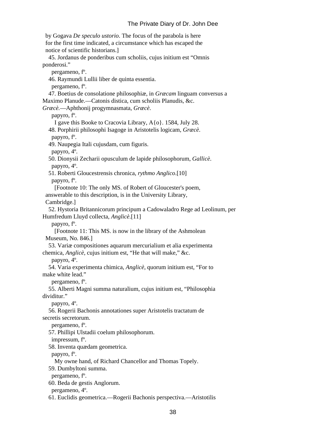by Gogava *De speculo ustorio*. The focus of the parabola is here for the first time indicated, a circumstance which has escaped the notice of scientific historians.] 45. Jordanus de ponderibus cum scholiis, cujus initium est "Omnis ponderosi." pergameno, fº. 46. Raymundi Lullii liber de quinta essentia. pergameno, fº. 47. Boetius de consolatione philosophiæ, in *Græcam* linguam conversus a Maximo Planude.—Catonis distica, cum scholiis Planudis, &c. *Græcè.*—Aphthonij progymnasmata, *Græcè*. papyro, fº. I gave this Booke to Cracovia Library, A{o}. 1584, July 28. 48. Porphirii philosophi Isagoge in Aristotelis logicam, *Græcè*. papyro, fº. 49. Naupegia Itali cujusdam, cum figuris. papyro, 4º. 50. Dionysii Zecharii opusculum de lapide philosophorum, *Gallicè*. papyro, 4º. 51. Roberti Gloucestrensis chronica, *rythmo Anglico*.[10] papyro, fº. [Footnote 10: The only MS. of Robert of Gloucester's poem, answerable to this description, is in the University Library, Cambridge.] 52. Hystoria Britannicorum principum a Cadowaladro Rege ad Leolinum, per Humfredum Lluyd collecta, *Anglicè*.[11] papyro, fº. [Footnote 11: This MS. is now in the library of the Ashmolean Museum, No. 846.] 53. Variæ compositiones aquarum mercurialium et alia experimenta chemica, *Anglicè*, cujus initium est, "He that will make," &c. papyro, 4º. 54. Varia experimenta chimica, *Anglicè*, quorum initium est, "For to make white lead." pergameno, fº. 55. Alberti Magni summa naturalium, cujus initium est, "Philosophia dividitur." papyro, 4º. 56. Rogerii Bachonis annotationes super Aristotelis tractatum de secretis secretorum. pergameno, fº. 57. Phillipi Ulstadii coelum philosophorum. impressum, fº. 58. Inventa quædam geometrica. papyro, fº. My owne hand, of Richard Chancellor and Thomas Topely. 59. Dumbyltoni summa. pergameno, fº. 60. Beda de gestis Anglorum. pergameno, 4º.

61. Euclidis geometrica.—Rogerii Bachonis perspectiva.—Aristotilis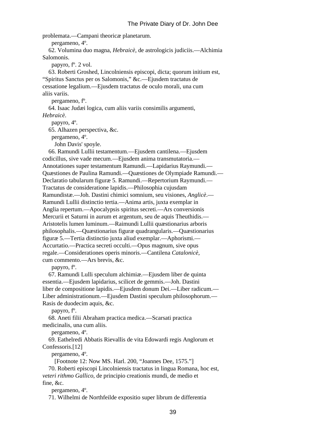problemata.—Campani theoricæ planetarum.

pergameno, 4º.

 62. Volumina duo magna, *Hebraicè*, de astrologicis judiciis.—Alchimia Salomonis.

papyro, fº. 2 vol.

 63. Roberti Groshed, Lincolniensis episcopi, dicta; quorum initium est, "Spiritus Sanctus per os Salomonis," &c.—Ejusdem tractatus de cessatione legalium.—Ejusdem tractatus de oculo morali, una cum aliis variis.

pergameno, fº.

64. Isaac Judæi logica, cum aliis variis consimilis argumenti,

*Hebraicè*.

papyro, 4º.

65. Alhazen perspectiva, &c.

pergameno, 4º.

John Davis' spoyle.

 66. Ramundi Lullii testamentum.—Ejusdem cantilena.—Ejusdem codicillus, sive vade mecum.—Ejusdem anima transmutatoria.— Annotationes super testamentum Ramundi.—Lapidarius Raymundi.— Quæstiones de Paulina Ramundi.—Quæstiones de Olympiade Ramundi.— Declaratio tabularum figuræ 5. Ramundi.—Repertorium Raymundi.— Tractatus de consideratione lapidis.—Philosophia cujusdam Ramundistæ.—Joh. Dastini chimici somnium, seu visiones, *Anglicè*.— Ramundi Lullii distinctio tertia.—Anima artis, juxta exemplar in Anglia repertum.—Apocalypsis spiritus secreti.—Ars conversionis Mercurii et Saturni in aurum et argentum, seu de aquis Theuthidis.— Aristotelis lumen luminum.—Raimundi Lullii quæstionarius arboris philosophalis.—Quæstionarius figuræ quadrangularis.—Quæstionarius figuræ 5.—Tertia distinctio juxta aliud exemplar.—Aphorismi.— Accurtatio.—Practica secreti occulti.—Opus magnum, sive opus regale.—Considerationes operis minoris.—Cantilena *Catalonicè*, cum commento.—Ars brevis, &c.

papyro, fº.

 67. Ramundi Lulli speculum alchimiæ.—Ejusdem liber de quinta essentia.—Ejusdem lapidarius, scilicet de gemmis.—Joh. Dastini liber de compositione lapidis.—Ejusdem donum Dei.—Liber radicum.— Liber administrationum.—Ejusdem Dastini speculum philosophorum.— Rasis de duodecim aquis, &c.

papyro, fº.

 68. Aneti filii Abraham practica medica.—Scarsati practica medicinalis, una cum aliis.

pergameno, 4º.

 69. Eathelredi Abbatis Rievallis de vita Edowardi regis Anglorum et Confessoris.[12]

pergameno, 4º.

[Footnote 12: Now MS. Harl. 200, "Joannes Dee, 1575."]

 70. Roberti episcopi Lincolniensis tractatus in lingua Romana, hoc est, *veteri rithmo Gallico*, de principio creationis mundi, de medio et fine, &c.

pergameno, 4º.

71. Wilhelmi de Northfeilde expositio super librum de differentia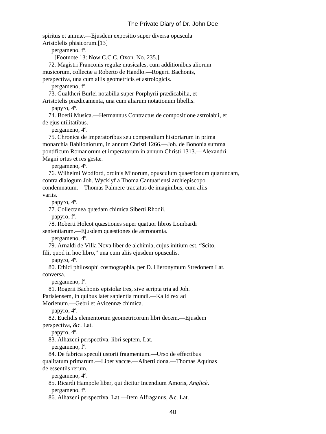spiritus et animæ.—Ejusdem expositio super diversa opuscula Aristolelis phisicorum.[13] pergameno, fº. [Footnote 13: Now C.C.C. Oxon. No. 235.] 72. Magistri Franconis regulæ musicales, cum additionibus aliorum musicorum, collectæ a Roberto de Handlo.—Rogerii Bachonis, perspectiva, una cum aliis geometricis et astrologicis. pergameno, fº. 73. Gualtheri Burlei notabilia super Porphyrii prædicabilia, et Aristotelis prædicamenta, una cum aliarum notationum libellis. papyro, 4º. 74. Boetii Musica.—Hermannus Contractus de compositione astrolabii, et de ejus utilitatibus. pergameno, 4º. 75. Chronica de imperatoribus seu compendium historiarum in prima monarchia Babiloniorum, in annum Christi 1266.—Joh. de Bononia summa pontificum Romanorum et imperatorum in annum Christi 1313.—Alexandri Magni ortus et res gestæ. pergameno, 4º. 76. Wilhelmi Wodford, ordinis Minorum, opusculum quaestionum quarundam, contra dialogum Joh. Wycklyf a Thoma Cantuariensi archiepiscopo condemnatum.—Thomas Palmere tractatus de imaginibus, cum aliis variis. papyro, 4º. 77. Collectanea quædam chimica Siberti Rhodii. papyro, fº. 78. Roberti Holcot quæstiones super quatuor libros Lombardi sententiarum.—Ejusdem quæstiones de astronomia. pergameno, 4º.

 79. Arnaldi de Villa Nova liber de alchimia, cujus initium est, "Scito, fili, quod in hoc libro," una cum aliis ejusdem opusculis.

papyro, 4º.

 80. Ethici philosophi cosmographia, per D. Hieronymum Stredonem Lat. conversa.

pergameno, fº.

81. Rogerii Bachonis epistolæ tres, sive scripta tria ad Joh.

Parisiensem, in quibus latet sapientia mundi.—Kalid rex ad

Morienum.—Gebri et Avicennæ chimica.

papyro, 4º.

82. Euclidis elementorum geometricorum libri decem.—Ejusdem

perspectiva, &c. Lat.

papyro, 4º.

83. Alhazeni perspectiva, libri septem, Lat.

pergameno, fº.

84. De fabrica speculi ustorii fragmentum.—Urso de effectibus

 qualitatum primarum.—Liber vaccæ.—Alberti dona.—Thomas Aquinas de essentiis rerum.

pergameno, 4º.

85. Ricardi Hampole liber, qui dicitur Incendium Amoris, *Anglicè*.

pergameno, fº.

86. Alhazeni perspectiva, Lat.—Item Alfraganus, &c. Lat.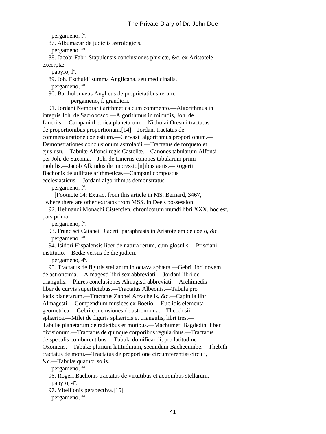pergameno, fº.

87. Albumazar de judiciis astrologicis.

pergameno, fº.

 88. Jacobi Fabri Stapulensis conclusiones phisicæ, &c. ex Aristotele excerptæ.

papyro, fº.

 89. Joh. Eschuidi summa Anglicana, seu medicinalis. pergameno, fº.

 90. Bartholomæus Anglicus de proprietatibus rerum. pergameno, f. grandiori.

 91. Jordani Nemorarii arithmetica cum commento.—Algorithmus in integris Joh. de Sacrobosco.—Algorithmus in minutiis, Joh. de Lineriis.—Campani theorica planetarum.—Nicholai Oresmi tractatus de proportionibus proportionum.[14]—Jordani tractatus de commensuratione coelestium.—Gervasii algorithmus proportionum.— Demonstrationes conclusionum astrolabii.—Tractatus de torqueto et ejus usu.—Tabulæ Alfonsi regis Castellæ.—Canones tabularum Alfonsi per Joh. de Saxonia.—Joh. de Lineriis canones tabularum primi mobilis.—Jacob Alkindus de impressio[n]ibus aeris.—Rogerii Bachonis de utilitate arithmeticæ.—Campani compostus ecclesiasticus.—Jordani algorithmus demonstratus.

pergameno, fº.

 [Footnote 14: Extract from this article in MS. Bernard, 3467, where there are other extracts from MSS. in Dee's possession.]

 92. Helinandi Monachi Cistercien. chronicorum mundi libri XXX. hoc est, pars prima.

pergameno, fº.

 93. Francisci Catanei Diacetii paraphrasis in Aristotelem de coelo, &c. pergameno, fº.

 94. Isidori Hispalensis liber de natura rerum, cum glosulis.—Prisciani institutio.—Bedæ versus de die judicii.

pergameno, 4º.

 95. Tractatus de figuris stellarum in octava sphæra.—Gebri libri novem de astronomia.—Almagesti libri sex abbreviati.—Jordani libri de triangulis.—Plures conclusiones Almagisti abbreviati.—Archimedis liber de curvis superficiebus.—Tractatus Albeonis.—Tabula pro locis planetarum.—Tractatus Zaphei Arzachelis, &c.—Capitula libri Almagesti.—Compendium musices ex Boetio.—Euclidis elementa geometrica.—Gebri conclusiones de astronomia.—Theodosii sphærica.—Milei de figuris sphæricis et triangulis, libri tres.— Tabulæ planetarum de radicibus et motibus.—Machumeti Bagdedini liber divisionum.—Tractatus de quinque corporibus regularibus.—Tractatus de speculis comburentibus.—Tabula domificandi, pro latitudine Oxoniens.—Tabulæ plurium latitudinum, secundum Bachecumbe.—Thebith tractatus de motu.—Tractatus de proportione circumferentiæ circuli, &c.—Tabulæ quatuor solis.

pergameno, fº.

96. Rogeri Bachonis tractatus de virtutibus et actionibus stellarum.

papyro, 4º.

97. Vitellionis perspectiva.[15]

pergameno, fº.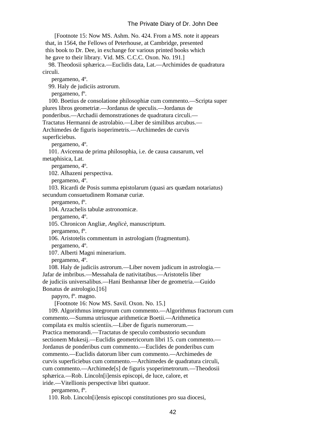[Footnote 15: Now MS. Ashm. No. 424. From a MS. note it appears that, in 1564, the Fellows of Peterhouse, at Cambridge, presented this book to Dr. Dee, in exchange for various printed books which he gave to their library. Vid. MS. C.C.C. Oxon. No. 191.]

 98. Theodosii sphærica.—Euclidis data, Lat.—Archimides de quadratura circuli.

pergameno, 4º.

99. Haly de judiciis astrorum.

pergameno, fº.

 100. Boetius de consolatione philosophiæ cum commento.—Scripta super plures libros geometriæ.—Jordanus de speculis.—Jordanus de ponderibus.—Archadii demonstrationes de quadratura circuli.—

Tractatus Hermanni de astrolabio.—Liber de similibus arcubus.—

 Archimedes de figuris isoperimetris.—Archimedes de curvis superficiebus.

pergameno, 4º.

 101. Avicenna de prima philosophia, i.e. de causa causarum, vel metaphisica, Lat.

pergameno, 4º.

102. Alhazeni perspectiva.

pergameno, 4º.

 103. Ricardi de Posis summa epistolarum (quasi ars quædam notariatus) secundum consuetudinem Romanæ curiæ.

pergameno, fº.

104. Arzachelis tabulæ astronomicæ.

pergameno, 4º.

105. Chronicon Angliæ, *Anglicè*, manuscriptum.

pergameno, fº.

106. Aristotelis commentum in astrologiam (fragmentum).

pergameno, 4º.

107. Alberti Magni minerarium.

pergameno, 4º.

 108. Haly de judiciis astrorum.—Liber novem judicum in astrologia.— Jafar de imbribus.—Messahala de nativitatibus.—Aristotelis liber de judiciis universalibus.—Hani Benhannæ liber de geometria.—Guido Bonatus de astrologio.[16]

papyro, fº. magno.

[Footnote 16: Now MS. Savil. Oxon. No. 15.]

 109. Algorithmus integrorum cum commento.—Algorithmus fractorum cum commento.—Summa utriusque arithmeticæ Boetii.—Arithmetica compilata ex multis scientiis.—Liber de figuris numerorum.— Practica memorandi.—Tractatus de speculo combustorio secundum sectionem Mukesij.—Euclidis geometricorum libri 15. cum commento.— Jordanus de ponderibus cum commento.—Euclides de ponderibus cum commento.—Euclidis datorum liber cum commento.—Archimedes de curvis superficiebus cum commento.—Archimedes de quadratura circuli, cum commento.—Archimede[s] de figuris ysoperimetrorum.—Theodosii sphærica.—Rob. Lincoln[i]ensis episcopi, de luce, calore, et iride.—Vitellionis perspectivæ libri quatuor.

pergameno, fº.

110. Rob. Lincoln[i]ensis episcopi constitutiones pro sua diocesi,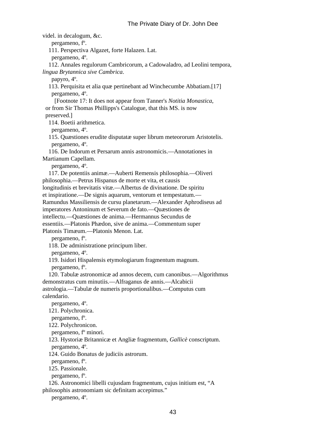videl. in decalogum, &c. pergameno, fº. 111. Perspectiva Algazet, forte Halazen. Lat. pergameno, 4º. 112. Annales regulorum Cambricorum, a Cadowaladro, ad Leolini tempora, *lingua Brytannica sive Cambrica*. papyro, 4º. 113. Perquisita et alia quæ pertinebant ad Winchecumbe Abbatiam.[17] pergameno, 4º. [Footnote 17: It does not appear from Tanner's *Notitia Monastica*, or from Sir Thomas Phillipps's Catalogue, that this MS. is now preserved.] 114. Boetii arithmetica. pergameno, 4º. 115. Quæstiones erudite disputatæ super librum meteororum Aristotelis. pergameno, 4º. 116. De Indorum et Persarum annis astronomicis.—Annotationes in Martianum Capellam. pergameno, 4º. 117. De potentiis animæ.—Auberti Remensis philosophia.—Oliveri philosophia.—Petrus Hispanus de morte et vita, et causis longitudinis et brevitatis vitæ.—Albertus de divinatione. De spiritu et inspiratione.—De signis aquarum, ventorum et tempestatum.— Ramundus Massiliensis de cursu planetarum.—Alexander Aphrodiseus ad imperatores Antoninum et Severum de fato.—Quæstiones de intellectu.—Quæstiones de anima.—Hermannus Secundus de essentiis.—Platonis Phædon, sive de anima.—Commentum super Platonis Timæum.—Platonis Menon. Lat. pergameno, fº. 118. De administratione principum liber. pergameno, 4º. 119. Isidori Hispalensis etymologiarum fragmentum magnum. pergameno, fº. 120. Tabulæ astronomicæ ad annos decem, cum canonibus.—Algorithmus demonstratus cum minutiis.—Alfraganus de annis.—Alcabicii astrologia.—Tabulæ de numeris proportionalibus.—Computus cum calendario. pergameno, 4º. 121. Polychronica. pergameno, fº. 122. Polychronicon. pergameno, fº minori. 123. Hystoriæ Britannicæ et Angliæ fragmentum, *Gallicè* conscriptum. pergameno, 4º. 124. Guido Bonatus de judiciis astrorum. pergameno, fº. 125. Passionale. pergameno, fº. 126. Astronomici libelli cujusdam fragmentum, cujus initium est, "A philosophis astronomiam sic definitam accepimus."

pergameno, 4º.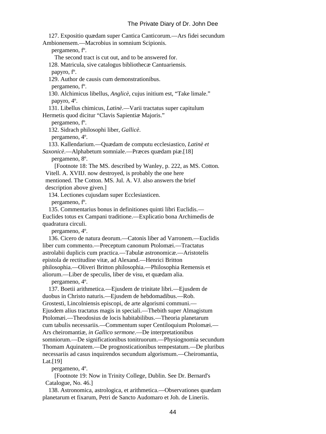127. Expositio quædam super Cantica Canticorum.—Ars fidei secundum Ambionensem.—Macrobius in somnium Scipionis. pergameno, fº. The second tract is cut out, and to be answered for. 128. Matricula, sive catalogus bibliothecæ Cantuariensis. papyro, fº. 129. Author de causis cum demonstrationibus. pergameno, fº. 130. Alchimicus libellus, *Anglicè*, cujus initium est, "Take limale." papyro, 4º. 131. Libellus chimicus, *Latinè*.—Varii tractatus super capitulum Hermetis quod dicitur "Clavis Sapientiæ Majoris." pergameno, fº. 132. Sidrach philosophi liber, *Gallicè*. pergameno, 4º. 133. Kallendarium.—Quædam de computu ecclesiastico, *Latinè et Saxonicè*.—Alphabetum somniale.—Præces quædam piæ.[18] pergameno, 8º. [Footnote 18: The MS. described by Wanley, p. 222, as MS. Cotton. Vitell. A. XVIIJ. now destroyed, is probably the one here mentioned. The Cotton. MS. Jul. A. VJ. also answers the brief description above given.] 134. Lectiones cujusdam super Ecclesiasticen. pergameno, fº. 135. Commentarius bonus in definitiones quinti libri Euclidis.— Euclides totus ex Campani traditione.—Explicatio bona Archimedis de quadratura circuli. pergameno, 4º. 136. Cicero de natura deorum.—Catonis liber ad Varronem.—Euclidis liber cum commento.—Preceptum canonum Ptolomæi.—Tractatus astrolabii duplicis cum practica.—Tabulæ astronomicæ.—Aristotelis epistola de rectitudine vitæ, ad Alexand.—Henrici Britton philosophia.—Oliveri Britton philosophia.—Philosophia Remensis et aliorum.—Liber de speculis, liber de visu, et quædam alia. pergameno, 4º. 137. Boetii arithmetica.—Ejusdem de trinitate libri.—Ejusdem de duobus in Christo naturis.—Ejusdem de hebdomadibus.—Rob. Grostesti, Lincolniensis episcopi, de arte algorismi communi.— Ejusdem alius tractatus magis in speciali.—Thebith super Almagistum Ptolomæi.—Theodosius de locis habitabilibus.—Theoria planetarum cum tabulis necessariis.—Commentum super Centiloquium Ptolomæi.— Ars cheiromantiæ, *in Gallico sermone*.—De interpretationibus somniorum.—De significationibus tonitruorum.—Physiognomia secundum Thomam Aquinatem.—De prognosticationibus tempestatum.—De pluribus necessariis ad casus inquirendos secundum algorismum.—Cheiromantia, Lat.[19] pergameno, 4º.

 [Footnote 19: Now in Trinity College, Dublin. See Dr. Bernard's Catalogue, No. 46.]

 138. Astronomica, astrologica, et arithmetica.—Observationes quædam planetarum et fixarum, Petri de Sancto Audomaro et Joh. de Lineriis.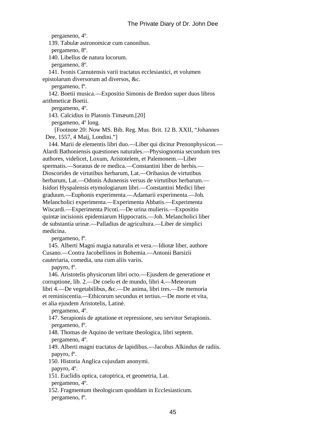pergameno, 4º. 139. Tabulæ astronomicæ cum canonibus. pergameno, 8º. 140. Libellus de natura locorum. pergameno, 8º. 141. Ivonis Carnutensis varii tractatus ecclesiastici, et volumen epistolarum diversorum ad diversos, &c. pergameno, fº. 142. Boetii musica.—Expositio Simonis de Bredon super duos libros arithmeticæ Boetii. pergameno, 4º. 143. Calcidius in Platonis Timæum.[20] pergameno, 4º long. [Footnote 20: Now MS. Bib. Reg. Mus. Brit. 12 B. XXII, "Johannes Dee, 1557, 4 Maij, Londini."] 144. Marii de elementis libri duo.—Liber qui dicitur Prenonphysicon.— Alardi Bathoniensis quæstiones naturales.—Physiognomia secundum tres authores, videlicet, Loxum, Aristotelem, et Palemonem.—Liber spermatis.—Soranus de re medica.—Constantini liber de herbis.— Dioscorides de virtutibus herbarum, Lat.—Oribasius de virtutibus herbarum, Lat.—Odonis Adunensis versus de virtutibus herbarum.— Isidori Hyspalensis etymologiarum libri.—Constantini Medici liber graduum.—Euphonis experimenta.—Adamarii experimenta.—Joh. Melancholici experimenta.—Experimenta Abbatis.—Experimenta Wiscardi.—Experimenta Picoti.—De urina mulieris.—Expositio quintæ incisionis epidemiarum Hippocratis.—Joh. Melancholici liber de substantia urinæ.—Palladius de agricultura.—Liber de simplici medicina. pergameno, fº. 145. Alberti Magni magia naturalis et vera.—Idiotæ liber, authore

 Cusano.—Contra Jacobellinos in Bohemia.—Antonii Barsizii cauteriaria, comedia, una cum aliis variis.

papyro, fº.

 146. Aristotelis physicorum libri octo.—Ejusdem de generatione et corruptione, lib. 2.—De coelo et de mundo, libri 4.—Meteorum libri 4.—De vegetabilibus, &c.—De anima, libri tres.—De memoria et reminiscentia.—Ethicorum secundus et tertius.—De morte et vita, et alia ejusdem Aristotelis, Latinè.

pergameno, 4º.

 147. Serapionis de aptatione et repressione, seu servitor Serapionis. pergameno, fº.

 148. Thomas de Aquino de veritate theologica, libri septem. pergameno, 4º.

 149. Alberti magni tractatus de lapidibus.—Jacobus Alkindus de radiis. papyro, fº.

150. Historia Anglica cujusdam anonymi.

papyro, 4º.

 151. Euclidis optica, catoptrica, et geometria, Lat. pergameno, 4º.

 152. Fragmentum theologicum quoddam in Ecclesiasticum. pergameno, fº.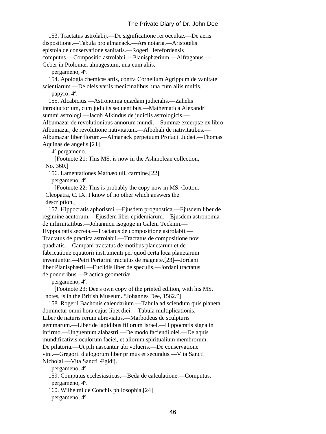153. Tractatus astrolabij.—De significatione rei occultæ.—De aeris dispositione.—Tabula pro almanack.—Ars notaria.—Aristotelis epistola de conservatione sanitatis.—Rogeri Herefordensis computus.—Compositio astrolabii.—Planisphærium.—Alfraganus.— Geber in Ptolomæi almagestum, una cum aliis.

pergameno, 4º.

 154. Apologia chemicæ artis, contra Cornelium Agrippum de vanitate scientiarum.—De oleis variis medicinalibus, una cum aliis multis.

papyro, 4º.

 155. Alcabicius.—Astronomia quædam judicialis.—Zahelis introductorium, cum judiciis sequentibus.—Mathematica Alexandri summi astrologi.—Jacob Alkindus de judiciis astrologicis.— Albumazar de revolutionibus annorum mundi.—Summæ excerptæ ex libro Albumazar, de revolutione nativitatum.—Albohali de nativitatibus.— Albumazar liber florum.—Almanack perpetuum Profacii Judæi.—Thomas Aquinas de angelis.[21]

4º pergameno.

 [Footnote 21: This MS. is now in the Ashmolean collection, No. 360.]

156. Lamentationes Mathæoluli, carmine.[22]

pergameno, 4º.

 [Footnote 22: This is probably the copy now in MS. Cotton. Cleopatra, C. IX. I know of no other which answers the description.]

 157. Hippocratis aphorismi.—Ejusdem prognostica.—Ejusdem liber de regimine acutorum.—Ejusdem liber epidemiarum.—Ejusdem astronomia de infirmitatibus.—Johannicii isogoge in Galeni Tecknin.— Hyppocratis secreta.—Tractatus de compositione astrolabii.— Tractatus de practica astrolabii.—Tractatus de compositione novi quadratis.—Campani tractatus de motibus planetarum et de fabricatione equatorii instrumenti per quod certa loca planetarum inveniuntur.—Petri Perigrini tractatus de magnete.[23]—Jordani liber Planisphærii.—Euclidis liber de speculis.—Jordani tractatus de ponderibus.—Practica geometriæ.

pergameno, 4º.

 [Footnote 23: Dee's own copy of the printed edition, with his MS. notes, is in the British Museum. "Johannes Dee, 1562."]

 158. Rogerii Bachonis calendarium.—Tabula ad sciendum quis planeta dominetur omni hora cujus libet diei.—Tabula multiplicationis.— Liber de naturis rerum abreviatus.—Marbodeus de sculpturis gemmarum.—Liber de lapidibus filiorum Israel.—Hippocratis signa in infirmo.—Unguentum alabastri.—De modo faciendi olei.—De aquis mundificativis oculorum faciei, et aliorum spiritualium membrorum.— De pilatoria.—Ut pili nascantur ubi volueris.—De conservatione vini.—Gregorii dialogorum liber primus et secundus.—Vita Sancti Nicholai.—Vita Sancti Ægidij.

pergameno, 4º.

 159. Computus ecclesiasticus.—Beda de calculatione.—Computus. pergameno, 4º.

 160. Wilhelmi de Conchis philosophia.[24] pergameno, 4º.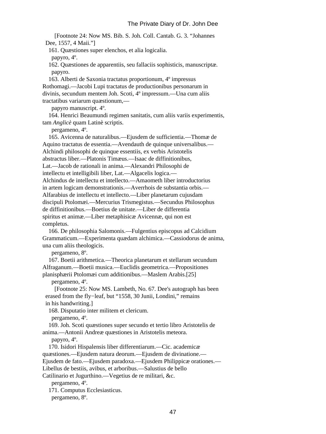[Footnote 24: Now MS. Bib. S. Joh. Coll. Cantab. G. 3. "Johannes Dee, 1557, 4 Maii."]

161. Quæstiones super elenchos, et alia logicalia.

papyro, 4º.

 162. Quæstiones de apparentiis, seu fallaciis sophisticis, manuscriptæ. papyro.

 163. Alberti de Saxonia tractatus proportionum, 4º impressus Rothomagi.—Jacobi Lupi tractatus de productionibus personarum in divinis, secundum mentem Joh. Scoti, 4º impressum.—Una cum aliis tractatibus variarum quæstionum,—

papyro manuscript. 4º.

 164. Henrici Beaumundi regimen sanitatis, cum aliis variis experimentis, tam *Anglicè* quam Latinè scriptis.

pergameno, 4º.

 165. Avicenna de naturalibus.—Ejusdem de sufficientia.—Thomæ de Aquino tractatus de essentia.—Avendauth de quinque universalibus.— Alchindi philosophi de quinque essentiis, ex verbis Aristotelis abstractus liber.—Platonis Timæus.—Isaac de diffinitionibus, Lat.—Jacob de rationali in anima.—Alexandri Philosophi de intellectu et intelligibili liber, Lat.—Algacelis logica.— Alchindus de intellectu et intellecto.—Amaometh liber introductorius in artem logicam demonstrationis.—Averrhois de substantia orbis.— Alfarabius de intellectu et intellecto.—Liber planetarum cujusdam discipuli Ptolomæi.—Mercurius Trismegistus.—Secundus Philosophus de diffinitionibus.—Boetius de unitate.—Liber de differentia spiritus et animæ.—Liber metaphisicæ Avicennæ, qui non est completus.

 166. De philosophia Salomonis.—Fulgentius episcopus ad Calcidium Grammaticum.—Experimenta quædam alchimica.—Cassiodorus de anima, una cum aliis theologicis.

pergameno, 8º.

 167. Boetii arithmetica.—Theorica planetarum et stellarum secundum Alfraganum.—Boetii musica.—Euclidis geometrica.—Propositiones planisphærii Ptolomæi cum additionibus.—Maslem Arabis.[25]

pergameno, 4º.

 [Footnote 25: Now MS. Lambeth, No. 67. Dee's autograph has been erased from the fly−leaf, but "1558, 30 Junii, Londini," remains in his handwriting.]

168. Disputatio inter militem et clericum.

pergameno, 4º.

 169. Joh. Scoti quæstiones super secundo et tertio libro Aristotelis de anima.—Antonii Andreæ quæstiones in Aristotelis meteora.

papyro, 4º.

 170. Isidori Hispalensis liber differentiarum.—Cic. academicæ quæstiones.—Ejusdem natura deorum.—Ejusdem de divinatione.— Ejusdem de fato.—Ejusdem paradoxa.—Ejusdem Philippicæ orationes.— Libellus de bestiis, avibus, et arboribus.—Salustius de bello

Catilinario et Jugurthino.—Vegetius de re militari, &c.

pergameno, 4º.

171. Computus Ecclesiasticus.

pergameno, 8º.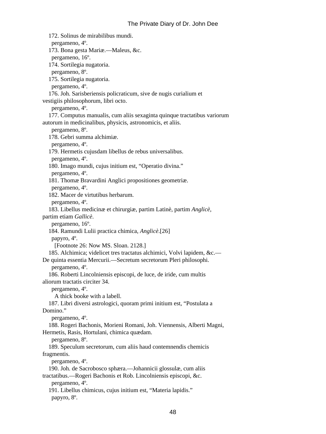172. Solinus de mirabilibus mundi. pergameno, 4º. 173. Bona gesta Mariæ.—Maleus, &c. pergameno, 16º. 174. Sortilegia nugatoria. pergameno, 8º. 175. Sortilegia nugatoria. pergameno, 4º. 176. Joh. Sarisberiensis policraticum, sive de nugis curialium et vestigiis philosophorum, libri octo. pergameno, 4º. 177. Computus manualis, cum aliis sexaginta quinque tractatibus variorum autorum in medicinalibus, physicis, astronomicis, et aliis. pergameno, 8º. 178. Gebri summa alchimiæ. pergameno, 4º. 179. Hermetis cujusdam libellus de rebus universalibus. pergameno, 4º. 180. Imago mundi, cujus initium est, "Operatio divina." pergameno, 4º. 181. Thomæ Bravardini Anglici propositiones geometriæ. pergameno, 4º. 182. Macer de virtutibus herbarum. pergameno, 4º. 183. Libellus medicinæ et chirurgiæ, partim Latinè, partim *Anglicè*, partim etiam *Gallicè*. pergameno, 16º. 184. Ramundi Lulii practica chimica, *Anglicè*.[26] papyro, 4º. [Footnote 26: Now MS. Sloan. 2128.] 185. Alchimica; videlicet tres tractatus alchimici, Volvi lapidem, &c.— De quinta essentia Mercurii.—Secretum secretorum Pleri philosophi. pergameno, 4º. 186. Roberti Lincolniensis episcopi, de luce, de iride, cum multis aliorum tractatis circiter 34. pergameno, 4º. A thick booke with a labell. 187. Libri diversi astrologici, quoram primi initium est, "Postulata a Domino." pergameno, 4º. 188. Rogeri Bachonis, Morieni Romani, Joh. Viennensis, Alberti Magni, Hermetis, Rasis, Hortulani, chimica quædam. pergameno, 8º. 189. Speculum secretorum, cum aliis haud contemnendis chemicis fragmentis. pergameno, 4º. 190. Joh. de Sacrobosco sphæra.—Johannicii glossulæ, cum aliis tractatibus.—Rogeri Bachonis et Rob. Lincolniensis episcopi, &c. pergameno, 4º. 191. Libellus chimicus, cujus initium est, "Materia lapidis." papyro, 8º.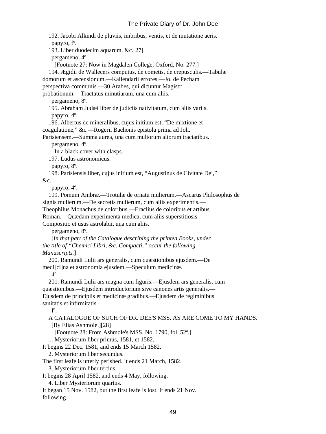192. Jacobi Alkindi de pluviis, imbribus, ventis, et de mutatione aeris. papyro, fº. 193. Liber duodecim aquarum, &c.[27] pergameno, 4º. [Footnote 27: Now in Magdalen College, Oxford, No. 277.] 194. Ægidii de Wallecers computus, de cometis, de crepusculis.—Tabulæ domorum et ascensionum.—Kallendarii errores.—Jo. de Pecham perspectiva communis.—30 Arabes, qui dicuntur Magistri probationum.—Tractatus minutiarum, una cum aliis. pergameno, 8º. 195. Abraham Judæi liber de judiciis nativitatum, cum aliis variis. papyro, 4º. 196. Albertus de mineralibus, cujus initium est, "De mixtione et coagulatione," &c.—Rogerii Bachonis epistola prima ad Joh. Parisiensem.—Summa aurea, una cum multorum aliorum tractatibus. pergameno, 4º. In a black cover with clasps. 197. Ludus astronomicus. papyro, 8º. 198. Parisiensis liber, cujus initium est, "Augustinus de Civitate Dei," &c. papyro, 4º. 199. Pomum Ambræ.—Trotulæ de ornatu mulierum.—Ascarus Philosophus de signis mulierum.—De secretis mulierum, cum aliis experimentis.— Theophilus Monachus de coloribus.—Eraclius de coloribus et artibus Roman.—Quædam experimenta medica, cum aliis superstitiosis.— Compositio et usus astrolabii, una cum aliis. pergameno, 8º. [*In that part of the Catalogue describing the printed Books, under the title of "Chemici Libri, &c. Compacti," occur the following Manuscripts.*] 200. Ramundi Lulii ars generalis, cum quæstionibus ejusdem.—De medi[ci]na et astronomia ejusdem.—Speculum medicinæ. 4º. 201. Ramundi Lulii ars magna cum figuris.—Ejusdem ars generalis, cum quæstionibus.—Ejusdem introductorium sive canones artis generalis.— Ejusdem de principiis et medicinæ gradibus.—Ejusdem de regiminibus sanitatis et infirmitatis. fº. A CATALOGUE OF SUCH OF DR. DEE'S MSS. AS ARE COME TO MY HANDS. [By Elias Ashmole.][28] [Footnote 28: From Ashmole's MSS. No. 1790, fol. 52ª.] 1. Mysteriorum liber primus, 1581, et 1582. It begins 22 Dec. 1581, and ends 15 March 1582. 2. Mysteriorum liber secundus. The first leafe is utterly perished. It ends 21 March, 1582. 3. Mysteriorum liber tertius. It begins 28 April 1582, and ends 4 May, following. 4. Liber Mysteriorum quartus.

 It began 15 Nov. 1582, but the first leafe is lost. It ends 21 Nov. following.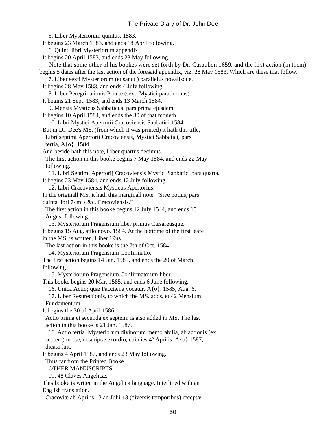5. Liber Mysteriorum quintus, 1583. It begins 23 March 1583, and ends 18 April following. 6. Quinti libri Mysteriorum appendix. It begins 20 April 1583, and ends 23 May following. Note that some other of his bookes were set forth by Dr. Casaubon 1659, and the first action (in them) begins 5 daies after the last action of the foresaid appendix, viz. 28 May 1583, Which are these that follow. 7. Liber sexti Mysteriorum (et sancti) parallelus novalisque. It begins 28 May 1583, and ends 4 July following. 8. Liber Peregrinationis Primæ (sexti Mystici paradromus). It begins 21 Sept. 1583, and ends 13 March 1584. 9. Mensis Mysticus Sabbaticus, pars prima ejusdem. It begins 10 April 1584, and ends the 30 of that moneth. 10. Libri Mystici Apertorii Cracoviensis Sabbatici 1584. But in Dr. Dee's MS. (from which it was printed) it hath this title, Libri septimi Apertorii Cracoviensis, Mystici Sabbatici, pars tertia, A{o}. 1584. And beside hath this note, Liber quartus decimus. The first action in this booke begins 7 May 1584, and ends 22 May following. 11. Libri Septimi Apertorij Cracoviensis Mystici Sabbatici pars quarta. It begins 23 May 1584, and ends 12 July following. 12. Libri Cracoviensis Mysticus Apertorius. In the originall MS. it hath this marginall note, "Sive potius, pars quinta libri 7{mi} &c. Cracoviensis." The first action in this booke begins 12 July 1544, and ends 15 August following. 13. Mysteriorum Pragensium liber primus Cæsareusque. It begins 15 Aug. stilo novo, 1584. At the bottome of the first leafe in the MS. is written, Liber 19us. The last action in this booke is the 7th of Oct. 1584. 14. Mysteriorum Pragensium Confirmatio. The first action begins 14 Jan, 1585, and ends the 20 of March following. 15. Mysteriorum Pragensium Confirmatorum liber. This booke begins 20 Mar. 1585, and ends 6 June following. 16. Unica Actio; quæ Pacciæna vocatur. A{o}. 1585, Aug. 6. 17. Liber Resurectionis, to which the MS. adds, et 42 Mensium Fundamentum. It begins the 30 of April 1586. Actio prima et secunda ex septem: is also added in MS. The last action in this booke is 21 Jan. 1587. 18. Actio tertia. Mysteriorum divinorum memorabilia, ab actionis (ex septem) tertiæ, descriptæ exordio, cui dies 4º Aprilis, A{o} 1587, dicata fuit. It begins 4 April 1587, and ends 23 May following. Thus far from the Printed Booke. OTHER MANUSCRIPTS. 19. 48 Claves Angelicæ. This booke is writen in the Angelick language. Interlined with an English translation. Cracoviæ ab Aprilis 13 ad Julii 13 (diversis temporibus) receptæ,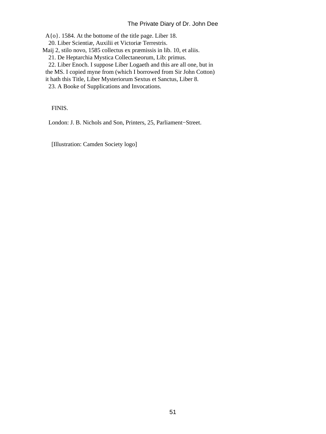A{o}. 1584. At the bottome of the title page. Liber 18.

20. Liber Scientiæ, Auxilii et Victoriæ Terrestris.

Maij 2, stilo novo, 1585 collectus ex præmissis in lib. 10, et aliis.

- 21. De Heptarchia Mystica Collectaneorum, Lib: primus.
- 22. Liber Enoch. I suppose Liber Logaeth and this are all one, but in
- the MS. I copied myne from (which I borrowed from Sir John Cotton)

it hath this Title, Liber Mysteriorum Sextus et Sanctus, Liber 8.

23. A Booke of Supplications and Invocations.

FINIS.

London: J. B. Nichols and Son, Printers, 25, Parliament−Street.

[Illustration: Camden Society logo]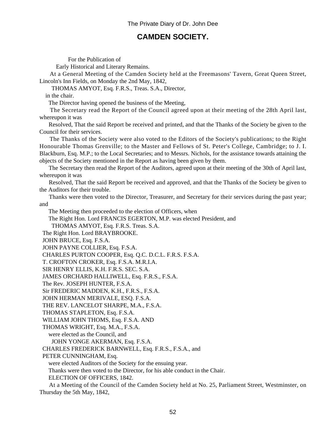# **CAMDEN SOCIETY.**

For the Publication of

Early Historical and Literary Remains.

 At a General Meeting of the Camden Society held at the Freemasons' Tavern, Great Queen Street, Lincoln's Inn Fields, on Monday the 2nd May, 1842,

THOMAS AMYOT, Esq. F.R.S., Treas. S.A., Director,

in the chair.

The Director having opened the business of the Meeting,

 The Secretary read the Report of the Council agreed upon at their meeting of the 28th April last, whereupon it was

 Resolved, That the said Report be received and printed, and that the Thanks of the Society be given to the Council for their services.

 The Thanks of the Society were also voted to the Editors of the Society's publications; to the Right Honourable Thomas Grenville; to the Master and Fellows of St. Peter's College, Cambridge; to J. I. Blackburn, Esq. M.P.; to the Local Secretaries; and to Messrs. Nichols, for the assistance towards attaining the objects of the Society mentioned in the Report as having been given by them.

 The Secretary then read the Report of the Auditors, agreed upon at their meeting of the 30th of April last, whereupon it was

 Resolved, That the said Report be received and approved, and that the Thanks of the Society be given to the Auditors for their trouble.

 Thanks were then voted to the Director, Treasurer, and Secretary for their services during the past year; and

The Meeting then proceeded to the election of Officers, when

The Right Hon. Lord FRANCIS EGERTON, M.P. was elected President, and

THOMAS AMYOT, Esq. F.R.S. Treas. S.A.

The Right Hon. Lord BRAYBROOKE.

JOHN BRUCE, Esq. F.S.A.

JOHN PAYNE COLLIER, Esq. F.S.A.

CHARLES PURTON COOPER, Esq. Q.C. D.C.L. F.R.S. F.S.A.

T. CROFTON CROKER, Esq. F.S.A. M.R.I.A.

SIR HENRY ELLIS, K.H. F.R.S. SEC. S.A.

JAMES ORCHARD HALLIWELL, Esq. F.R.S., F.S.A.

The Rev. JOSEPH HUNTER, F.S.A.

Sir FREDERIC MADDEN, K.H., F.R.S., F.S.A.

JOHN HERMAN MERIVALE, ESQ. F.S.A.

THE REV. LANCELOT SHARPE, M.A., F.S.A.

THOMAS STAPLETON, Esq. F.S.A.

WILLIAM JOHN THOMS, Esq. F.S.A. AND

THOMAS WRIGHT, Esq. M.A., F.S.A.

were elected as the Council, and

JOHN YONGE AKERMAN, Esq. F.S.A.

CHARLES FREDERICK BARNWELL, Esq. F.R.S., F.S.A., and

PETER CUNNINGHAM, Esq.

were elected Auditors of the Society for the ensuing year.

Thanks were then voted to the Director, for his able conduct in the Chair.

ELECTION OF OFFICERS, 1842.

 At a Meeting of the Council of the Camden Society held at No. 25, Parliament Street, Westminster, on Thursday the 5th May, 1842,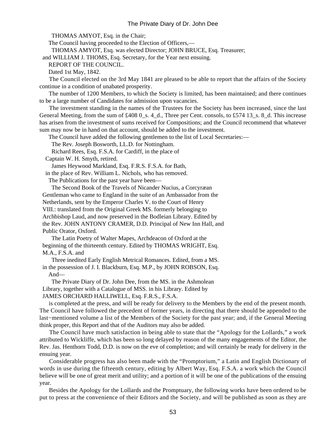THOMAS AMYOT, Esq. in the Chair;

The Council having proceeded to the Election of Officers,—

THOMAS AMYOT, Esq. was elected Director; JOHN BRUCE, Esq. Treasurer;

and WILLIAM J. THOMS, Esq. Secretary, for the Year next ensuing.

REPORT OF THE COUNCIL.

Dated 1st May, 1842.

 The Council elected on the 3rd May 1841 are pleased to be able to report that the affairs of the Society continue in a condition of unabated prosperity.

 The number of 1200 Members, to which the Society is limited, has been maintained; and there continues to be a large number of Candidates for admission upon vacancies.

 The investment standing in the names of the Trustees for the Society has been increased, since the last General Meeting, from the sum of  $\text{\pounds}4080$ <sub>-S</sub>. 4<sub>-</sub>d., Three per Cent. consols, to £574 13<sub>-S</sub>. 8<sub>-</sub>d. This increase has arisen from the investment of sums received for Compositions; and the Council recommend that whatever sum may now be in hand on that account, should be added to the investment.

The Council have added the following gentlemen to the list of Local Secretaries:—

The Rev. Joseph Bosworth, LL.D. for Nottingham.

Richard Rees, Esq. F.S.A. for Cardiff, in the place of

Captain W. H. Smyth, retired.

James Heywood Markland, Esq. F.R.S. F.S.A. for Bath,

in the place of Rev. William L. Nichols, who has removed.

The Publications for the past year have been—

 The Second Book of the Travels of Nicander Nucius, a Corcyræan Gentleman who came to England in the suite of an Ambassador from the Netherlands, sent by the Emperor Charles V. to the Court of Henry VIII.: translated from the Original Greek MS. formerly belonging to Archbishop Laud, and now preserved in the Bodleian Library. Edited by the Rev. JOHN ANTONY CRAMER, D.D. Principal of New Inn Hall, and Public Orator, Oxford.

 The Latin Poetry of Walter Mapes, Archdeacon of Oxford at the beginning of the thirteenth century. Edited by THOMAS WRIGHT, Esq. M.A., F.S.A. and

 Three inedited Early English Metrical Romances. Edited, from a MS. in the possession of J. I. Blackburn, Esq. M.P., by JOHN ROBSON, Esq.

And—

 The Private Diary of Dr. John Dee, from the MS. in the Ashmolean Library, together with a Catalogue of MSS. in his Library. Edited by JAMES ORCHARD HALLIWELL, Esq. F.R.S., F.S.A.

 is completed at the press, and will be ready for delivery to the Members by the end of the present month. The Council have followed the precedent of former years, in directing that there should be appended to the last−mentioned volume a list of the Members of the Society for the past year; and, if the General Meeting think proper, this Report and that of the Auditors may also be added.

 The Council have much satisfaction in being able to state that the "Apology for the Lollards," a work attributed to Wickliffe, which has been so long delayed by reason of the many engagements of the Editor, the Rev. Jas. Henthorn Todd, D.D. is now on the eve of completion; and will certainly be ready for delivery in the ensuing year.

 Considerable progress has also been made with the "Promptorium," a Latin and English Dictionary of words in use during the fifteenth century, editing by Albert Way, Esq. F.S.A. a work which the Council believe will be one of great merit and utility; and a portion of it will be one of the publications of the ensuing year.

 Besides the Apology for the Lollards and the Promptuary, the following works have been ordered to be put to press at the convenience of their Editors and the Society, and will be published as soon as they are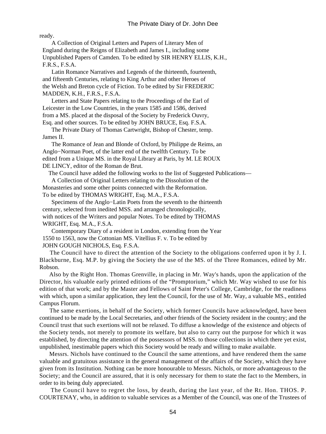ready.

 A Collection of Original Letters and Papers of Literary Men of England during the Reigns of Elizabeth and James I., including some Unpublished Papers of Camden. To be edited by SIR HENRY ELLIS, K.H., F.R.S., F.S.A.

 Latin Romance Narratives and Legends of the thirteenth, fourteenth, and fifteenth Centuries, relating to King Arthur and other Heroes of the Welsh and Breton cycle of Fiction. To be edited by Sir FREDERIC MADDEN, K.H., F.R.S., F.S.A.

 Letters and State Papers relating to the Proceedings of the Earl of Leicester in the Low Countries, in the years 1585 and 1586, derived from a MS. placed at the disposal of the Society by Frederick Ouvry, Esq. and other sources. To be edited by JOHN BRUCE, Esq. F.S.A.

 The Private Diary of Thomas Cartwright, Bishop of Chester, temp. James II.

 The Romance of Jean and Blonde of Oxford, by Philippe de Reims, an Anglo−Norman Poet, of the latter end of the twelfth Century. To be edited from a Unique MS. in the Royal Library at Paris, by M. LE ROUX DE LINCY, editor of the Roman de Brut.

The Council have added the following works to the list of Suggested Publications—

 A Collection of Original Letters relating to the Dissolution of the Monasteries and some other points connected with the Reformation. To be edited by THOMAS WRIGHT, Esq. M.A., F.S.A.

 Specimens of the Anglo−Latin Poets from the seventh to the thirteenth century, selected from inedited MSS. and arranged chronologically, with notices of the Writers and popular Notes. To be edited by THOMAS WRIGHT, Esq. M.A., F.S.A.

 Contemporary Diary of a resident in London, extending from the Year 1550 to 1563, now the Cottonian MS. Vitellius F. v. To be edited by JOHN GOUGH NICHOLS, Esq. F.S.A.

 The Council have to direct the attention of the Society to the obligations conferred upon it by J. I. Blackburne, Esq. M.P. by giving the Society the use of the MS. of the Three Romances, edited by Mr. Robson.

 Also by the Right Hon. Thomas Grenville, in placing in Mr. Way's hands, upon the application of the Director, his valuable early printed editions of the "Promptorium," which Mr. Way wished to use for his edition of that work; and by the Master and Fellows of Saint Peter's College, Cambridge, for the readiness with which, upon a similar application, they lent the Council, for the use of Mr. Way, a valuable MS., entitled Campus Florum.

 The same exertions, in behalf of the Society, which former Councils have acknowledged, have been continued to be made by the Local Secretaries, and other friends of the Society resident in the country; and the Council trust that such exertions will not be relaxed. To diffuse a knowledge of the existence and objects of the Society tends, not merely to promote its welfare, but also to carry out the purpose for which it was established, by directing the attention of the possessors of MSS. to those collections in which there yet exist, unpublished, inestimable papers which this Society would be ready and willing to make available.

 Messrs. Nichols have continued to the Council the same attentions, and have rendered them the same valuable and gratuitous assistance in the general management of the affairs of the Society, which they have given from its Institution. Nothing can be more honourable to Messrs. Nichols, or more advantageous to the Society; and the Council are assured, that it is only necessary for them to state the fact to the Members, in order to its being duly appreciated.

 The Council have to regret the loss, by death, during the last year, of the Rt. Hon. THOS. P. COURTENAY, who, in addition to valuable services as a Member of the Council, was one of the Trustees of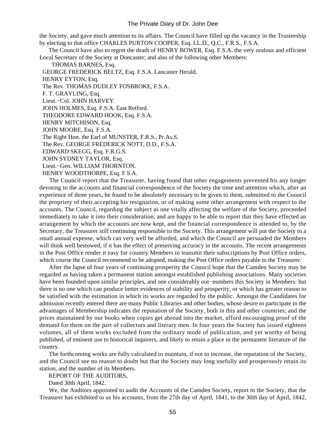the Society, and gave much attention to its affairs. The Council have filled up the vacancy in the Trusteeship by electing to that office CHARLES PURTON COOPER, Esq. LL.D., Q.C., F.R.S., F.S.A.

 The Council have also to regret the death of HENRY BOWER, Esq. F.S.A. the very zealous and efficient Local Secretary of the Society at Doncaster; and also of the following other Members:

THOMAS BARNES, Esq.

GEORGE FREDERICK BELTZ, Esq. F.S.A. Lancaster Herald.

HENRY EYTON, Esq.

The Rev. THOMAS DUDLEY FOSBROKE, F.S.A.

F. T. GRAYLING, Esq.

Lieut.−Col. JOHN HARVEY.

JOHN HOLMES, Esq. F.S.A. East Retford.

THEODORE EDWARD HOOK, Esq. F.S.A.

HENRY MITCHISON, Esq.

JOHN MOORE, Esq. F.S.A.

The Right Hon. the Earl of MUNSTER, F.R.S., Pr.As.S.

The Rev. GEORGE FREDERICK NOTT, D.D., F.S.A.

EDWARD SKEGG, Esq. F.R.G.S.

JOHN SYDNEY TAYLOR, Esq.

Lieut.−Gen. WILLIAM THORNTON.

HENRY WOODTHORPE, Esq. F.S.A.

 The Council report that the Treasurer, having found that other engagements prevented his any longer devoting to the accounts and financial correspondence of the Society the time and attention which, after an experience of three years, he found to be absolutely necessary to be given to them, submitted to the Council the propriety of their accepting his resignation, or of making some other arrangement with respect to the accounts. The Council, regarding the subject as one vitally affecting the welfare of the Society, proceeded immediately to take it into their consideration, and are happy to be able to report that they have effected an arrangement by which the accounts are now kept, and the financial correspondence is attended to, by the Secretary, the Treasurer still continuing responsible to the Society. This arrangement will put the Society to a small annual expense, which can very well be afforded, and which the Council are persuaded the Members will think well bestowed, if it has the effect of preserving accuracy in the accounts. The recent arrangements in the Post Office render it easy for country Members to transmit their subscriptions by Post Office orders, which course the Council recommend to be adopted, making the Post Office orders payable to the Treasurer.

 After the lapse of four years of continuing prosperity the Council hope that the Camden Society may be regarded as having taken a permanent station amongst established publishing associations. Many societies have been founded upon similar principles, and one considerably out−numbers this Society in Members: but there is no one which can produce better evidences of stability and prosperity, or which has greater reason to be satisfied with the estimation in which its works are regarded by the public. Amongst the Candidates for admission recently entered there are many Public Libraries and other bodies, whose desire to participate in the advantages of Membership indicates the reputation of the Society, both in this and other countries; and the prices maintained by our books when copies get abroad into the market, afford encouraging proof of the demand for them on the part of collectors and literary men. In four years the Society has issued eighteen volumes, all of them works excluded from the ordinary mode of publication, and yet worthy of being published, of eminent use to historical inquirers, and likely to retain a place in the permanent literature of the country.

 The forthcoming works are fully calculated to maintain, if not to increase, the reputation of the Society, and the Council see no reason to doubt but that the Society may long usefully and prosperously retain its station, and the number of its Members.

REPORT OF THE AUDITORS,

Dated 30th April, 1842.

 We, the Auditors appointed to audit the Accounts of the Camden Society, report to the Society, that the Treasurer has exhibited to us his accounts, from the 27th day of April, 1841, to the 30th day of April, 1842,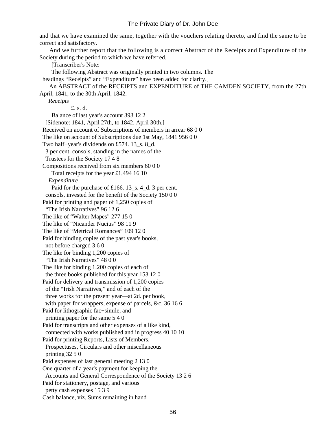and that we have examined the same, together with the vouchers relating thereto, and find the same to be correct and satisfactory.

 And we further report that the following is a correct Abstract of the Receipts and Expenditure of the Society during the period to which we have referred.

[Transcriber's Note:

The following Abstract was originally printed in two columns. The

headings "Receipts" and "Expenditure" have been added for clarity.

 An ABSTRACT of the RECEIPTS and EXPENDITURE of THE CAMDEN SOCIETY, from the 27th April, 1841, to the 30th April, 1842.

 *Receipts*

£. s. d.

 Balance of last year's account 393 12 2 [Sidenote: 1841, April 27th, to 1842, April 30th.] Received on account of Subscriptions of members in arrear 68 0 0 The like on account of Subscriptions due 1st May, 1841 956 0 0 Two half−year's dividends on £574. 13\_s. 8\_d. 3 per cent. consols, standing in the names of the Trustees for the Society 17 4 8 Compositions received from six members 60 0 0 Total receipts for the year £1,494 16 10  *Expenditure* Paid for the purchase of £166. 13\_s. 4\_d. 3 per cent. consols, invested for the benefit of the Society 150 0 0 Paid for printing and paper of 1,250 copies of "The Irish Narratives" 96 12 6 The like of "Walter Mapes" 277 15 0 The like of "Nicander Nucius" 98 11 9 The like of "Metrical Romances" 109 12 0 Paid for binding copies of the past year's books, not before charged 3 6 0 The like for binding 1,200 copies of "The Irish Narratives" 48 0 0 The like for binding 1,200 copies of each of the three books published for this year 153 12 0 Paid for delivery and transmission of 1,200 copies of the "Irish Narratives," and of each of the three works for the present year—at 2d. per book, with paper for wrappers, expense of parcels, &c. 36 16 6 Paid for lithographic fac−simile, and printing paper for the same 5 4 0 Paid for transcripts and other expenses of a like kind, connected with works published and in progress 40 10 10 Paid for printing Reports, Lists of Members, Prospectuses, Circulars and other miscellaneous printing 32 5 0 Paid expenses of last general meeting 2 13 0 One quarter of a year's payment for keeping the Accounts and General Correspondence of the Society 13 2 6 Paid for stationery, postage, and various petty cash expenses 15 3 9 Cash balance, viz. Sums remaining in hand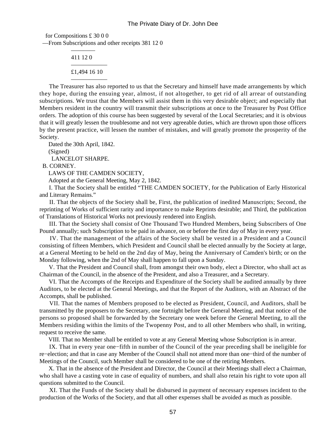for Compositions £ 30 0 0 —From Subscriptions and other receipts 381 12 0 ————

 411 12 0 —————— £1,494 16 10

——————

 The Treasurer has also reported to us that the Secretary and himself have made arrangements by which they hope, during the ensuing year, almost, if not altogether, to get rid of all arrear of outstanding subscriptions. We trust that the Members will assist them in this very desirable object; and especially that Members resident in the country will transmit their subscriptions at once to the Treasurer by Post Office orders. The adoption of this course has been suggested by several of the Local Secretaries; and it is obvious that it will greatly lessen the troublesome and not very agreeable duties, which are thrown upon those officers by the present practice, will lessen the number of mistakes, and will greatly promote the prosperity of the Society.

Dated the 30th April, 1842.

(Signed)

LANCELOT SHARPE.

B. CORNEY.

LAWS OF THE CAMDEN SOCIETY,

Adopted at the General Meeting, May 2, 1842.

 I. That the Society shall be entitled "THE CAMDEN SOCIETY, for the Publication of Early Historical and Literary Remains."

 II. That the objects of the Society shall be, First, the publication of inedited Manuscripts; Second, the reprinting of Works of sufficient rarity and importance to make Reprints desirable; and Third, the publication of Translations of Historical Works not previously rendered into English.

 III. That the Society shall consist of One Thousand Two Hundred Members, being Subscribers of One Pound annually; such Subscription to be paid in advance, on or before the first day of May in every year.

 IV. That the management of the affairs of the Society shall be vested in a President and a Council consisting of fifteen Members, which President and Council shall be elected annually by the Society at large, at a General Meeting to be held on the 2nd day of May, being the Anniversary of Camden's birth; or on the Monday following, when the 2nd of May shall happen to fall upon a Sunday.

 V. That the President and Council shall, from amongst their own body, elect a Director, who shall act as Chairman of the Council, in the absence of the President, and also a Treasurer, and a Secretary.

 VI. That the Accompts of the Receipts and Expenditure of the Society shall be audited annually by three Auditors, to be elected at the General Meetings, and that the Report of the Auditors, with an Abstract of the Accompts, shall be published.

 VII. That the names of Members proposed to be elected as President, Council, and Auditors, shall be transmitted by the proposers to the Secretary, one fortnight before the General Meeting, and that notice of the persons so proposed shall be forwarded by the Secretary one week before the General Meeting, to all the Members residing within the limits of the Twopenny Post, and to all other Members who shall, in writing, request to receive the same.

VIII. That no Member shall be entitled to vote at any General Meeting whose Subscription is in arrear.

 IX. That in every year one−fifth in number of the Council of the year preceding shall be ineligible for re−election; and that in case any Member of the Council shall not attend more than one−third of the number of Meetings of the Council, such Member shall be considered to be one of the retiring Members.

 X. That in the absence of the President and Director, the Council at their Meetings shall elect a Chairman, who shall have a casting vote in case of equality of numbers, and shall also retain his right to vote upon all questions submitted to the Council.

 XI. That the Funds of the Society shall be disbursed in payment of necessary expenses incident to the production of the Works of the Society, and that all other expenses shall be avoided as much as possible.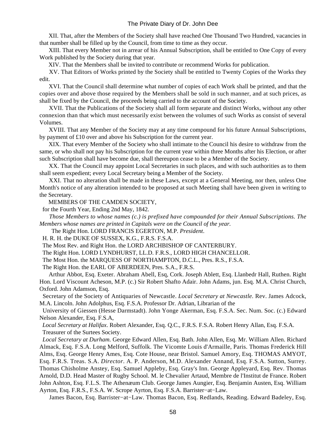XII. That, after the Members of the Society shall have reached One Thousand Two Hundred, vacancies in that number shall be filled up by the Council, from time to time as they occur.

 XIII. That every Member not in arrear of his Annual Subscription, shall be entitled to One Copy of every Work published by the Society during that year.

XIV. That the Members shall be invited to contribute or recommend Works for publication.

 XV. That Editors of Works printed by the Society shall be entitled to Twenty Copies of the Works they edit.

 XVI. That the Council shall determine what number of copies of each Work shall be printed, and that the copies over and above those required by the Members shall be sold in such manner, and at such prices, as shall be fixed by the Council, the proceeds being carried to the account of the Society.

 XVII. That the Publications of the Society shall all form separate and distinct Works, without any other connexion than that which must necessarily exist between the volumes of such Works as consist of several Volumes.

 XVIII. That any Member of the Society may at any time compound for his future Annual Subscriptions, by payment of £10 over and above his Subscription for the current year.

 XIX. That every Member of the Society who shall intimate to the Council his desire to withdraw from the same, or who shall not pay his Subscription for the current year within three Months after his Election, or after such Subscription shall have become due, shall thereupon cease to be a Member of the Society.

 XX. That the Council may appoint Local Secretaries in such places, and with such authorities as to them shall seem expedient; every Local Secretary being a Member of the Society.

 XXI. That no alteration shall be made in these Laws, except at a General Meeting, nor then, unless One Month's notice of any alteration intended to be proposed at such Meeting shall have been given in writing to the Secretary.

MEMBERS OF THE CAMDEN SOCIETY,

for the Fourth Year, Ending 2nd May, 1842.

 *Those Members to whose names (c.) is prefixed have compounded for their Annual Subscriptions. The Members whose names are printed in Capitals were on the Council of the year.*

The Right Hon. LORD FRANCIS EGERTON, M.P. *President*.

H. R. H. the DUKE OF SUSSEX, K.G., F.R.S. F.S.A.

The Most Rev. and Right Hon. the LORD ARCHBISHOP OF CANTERBURY.

The Right Hon. LORD LYNDHURST, LL.D. F.R.S., LORD HIGH CHANCELLOR.

The Most Hon. the MARQUESS OF NORTHAMPTON, D.C.L., Pres. R.S., F.S.A.

The Right Hon. the EARL OF ABERDEEN, Pres. S.A., F.R.S.

 Arthur Abbot, Esq. Exeter. Abraham Abell, Esq, Cork. Joseph Ablett, Esq. Llanbedr Hall, Ruthen. Right Hon. Lord Viscount Acheson, M.P. (c.) Sir Robert Shafto Adair. John Adams, jun. Esq. M.A. Christ Church, Oxford. John Adamson, Esq.

 Secretary of the Society of Antiquaries of Newcastle. *Local Secretary at Newcastle.* Rev. James Adcock, M.A. Lincoln. John Adolphus, Esq. F.S.A. Professor Dr. Adrian, Librarian of the

 University of Giessen (Hesse Darmstadt). John Yonge Akerman, Esq. F.S.A. Sec. Num. Soc. (c.) Edward Nelson Alexander, Esq. F.S.A,

*Local Secretary at Halifax*. Robert Alexander, Esq. Q.C., F.R.S. F.S.A. Robert Henry Allan, Esq. F.S.A. Treasurer of the Surtees Society.

*Local Secretary at Durham.* George Edward Allen, Esq. Bath. John Allen, Esq. Mr. William Allen. Richard Almack, Esq. F.S.A. Long Melford, Suffolk. The Vicomte Louis d'Armaille, Paris. Thomas Frederick Hill Alms, Esq. George Henry Ames, Esq. Cote House, near Bristol. Samuel Amory, Esq. THOMAS AMYOT, Esq. F.R.S. Treas. S.A. *Director*. A. P. Anderson, M.D. Alexander Annand, Esq. F.S.A. Sutton, Surrey. Thomas Chisholme Anstey, Esq. Samuel Appleby, Esq. Gray's Inn. George Appleyard, Esq. Rev. Thomas Arnold, D.D. Head Master of Rugby School. M. le Chevalier Artaud, Membre de l'Institut de France. Robert John Ashton, Esq. F.L.S. The Athenæum Club. George James Aungier, Esq. Benjamin Austen, Esq. William Ayrton, Esq. F.R.S., F.S.A. W. Scrope Ayrton, Esq. F.S.A. Barrister−at−Law.

James Bacon, Esq. Barrister−at−Law. Thomas Bacon, Esq. Redlands, Reading. Edward Badeley, Esq.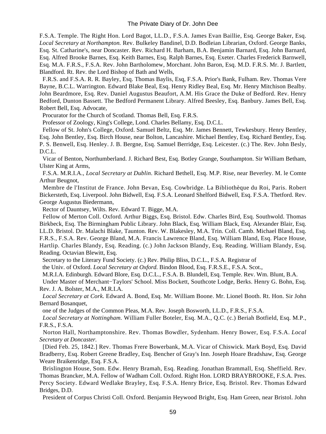F.S.A. Temple. The Right Hon. Lord Bagot, LL.D., F.S.A. James Evan Baillie, Esq. George Baker, Esq. *Local Secretary at Northampton.* Rev. Bulkeley Bandinel, D.D. Bodleian Librarian, Oxford. George Banks, Esq. St. Catharine's, near Doncaster. Rev. Richard H. Barham, B.A. Benjamin Barnard, Esq. John Barnard, Esq. Alfred Brooke Barnes, Esq. Keith Barnes, Esq. Ralph Barnes, Esq. Exeter. Charles Frederick Barnwell, Esq. M.A. F.R.S., F.S.A. Rev. John Bartholomew, Morchant. John Baron, Esq. M.D. F.R.S. Mr. J. Bartlett, Blandford. Rt. Rev. the Lord Bishop of Bath and Wells,

 F.R.S. and F.S.A. R. R. Bayley, Esq. Thomas Baylis, Esq, F.S.A. Prior's Bank, Fulham. Rev. Thomas Vere Bayne, B.C.L. Warrington. Edward Blake Beal, Esq. Henry Ridley Beal, Esq. Mr. Henry Mitchison Bealby. John Beardmore, Esq. Rev. Daniel Augustus Beaufort, A.M. His Grace the Duke of Bedford. Rev. Henry Bedford, Dunton Bassett. The Bedford Permanent Library. Alfred Beesley, Esq. Banbury. James Bell, Esq. Robert Bell, Esq. Advocate,

Procurator for the Church of Scotland. Thomas Bell, Esq. F.R.S.

Professor of Zoology, King's College, Lond. Charles Bellamy, Esq. D.C.L.

 Fellow of St. John's College, Oxford. Samuel Beltz, Esq. Mr. James Bennett, Tewkesbury. Henry Bentley, Esq. John Bentley, Esq. Birch House, near Bolton, Lancashire. Michael Bentley, Esq. Richard Bentley, Esq. P. S. Benwell, Esq. Henley. J. B. Bergne, Esq. Samuel Berridge, Esq. Leicester. (c.) The. Rev. John Besly, D.C.L.

 Vicar of Benton, Northumberland. J. Richard Best, Esq. Botley Grange, Southampton. Sir William Betham, Ulster King at Arms,

 F.S.A. M.R.I.A., *Local Secretary at Dublin*. Richard Bethell, Esq. M.P. Rise, near Beverley. M. le Comte Arthur Beugnot,

 Membre de l'Institut de France. John Bevan, Esq. Cowbridge. La Bibliothèque du Roi, Paris. Robert Bickersteth, Esq. Liverpool. John Bidwell, Esq. F.S.A. Leonard Shelford Bidwell, Esq. F.S.A. Thetford. Rev. George Augustus Biedermann,

Rector of Dauntsey, Wilts. Rev. Edward T. Bigge, M.A.

 Fellow of Merton Coll. Oxford. Arthur Biggs, Esq. Bristol. Edw. Charles Bird, Esq. Southwold. Thomas Birkbeck, Esq. The Birmingham Public Library. John Black, Esq. William Black, Esq. Alexander Blair, Esq. LL.D. Bristol. Dr. Malachi Blake, Taunton. Rev. W. Blakesley, M.A. Trin. Coll. Camb. Michael Bland, Esq. F.R.S., F.S.A. Rev. George Bland, M.A. Francis Lawrence Bland, Esq. William Bland, Esq. Place House, Hartlip. Charles Blandy, Esq. Reading. (c.) John Jackson Blandy, Esq. Reading. William Blandy, Esq. Reading. Octavian Blewitt, Esq.

Secretary to the Literary Fund Society. (c.) Rev. Philip Bliss, D.C.L., F.S.A. Registrar of

the Univ. of Oxford. *Local Secretary at Oxford.* Bindon Blood, Esq. F.R.S.E., F.S.A. Scot.,

M.R.I.A. Edinburgh. Edward Blore, Esq. D.C.L., F.S.A. B. Blundell, Esq. Temple. Rev. Wm. Blunt, B.A.

 Under Master of Merchant−Taylors' School. Miss Bockett, Southcote Lodge, Berks. Henry G. Bohn, Esq. Rev. J. A. Bolster, M.A., M.R.I.A.

*Local Secretary at Cork.* Edward A. Bond, Esq. Mr. William Boone. Mr. Lionel Booth. Rt. Hon. Sir John Bernard Bosanquet,

one of the Judges of the Common Pleas, M.A. Rev. Joseph Bosworth, LL.D., F.R.S., F.S.A.

*Local Secretary at Nottingham.* William Fuller Boteler, Esq. M.A., Q.C. (c.) Beriah Botfield, Esq. M.P., F.R.S., F.S.A.

 Norton Hall, Northamptonshire. Rev. Thomas Bowdler, Sydenham. Henry Bower, Esq. F.S.A. *Local Secretary at Doncaster.*

 [Died Feb. 25, 1842.] Rev. Thomas Frere Bowerbank, M.A. Vicar of Chiswick. Mark Boyd, Esq. David Bradberry, Esq. Robert Greene Bradley, Esq. Bencher of Gray's Inn. Joseph Hoare Bradshaw, Esq. George Weare Braikenridge, Esq. F.S.A.

 Brislington House, Som. Edw. Henry Bramah, Esq. Reading. Jonathan Brammall, Esq. Sheffield. Rev. Thomas Brancker, M.A. Fellow of Wadham Coll. Oxford. Right Hon. LORD BRAYBROOKE, F.S.A. Pres. Percy Society. Edward Wedlake Brayley, Esq. F.S.A. Henry Brice, Esq. Bristol. Rev. Thomas Edward Bridges, D.D.

President of Corpus Christi Coll. Oxford. Benjamin Heywood Bright, Esq. Ham Green, near Bristol. John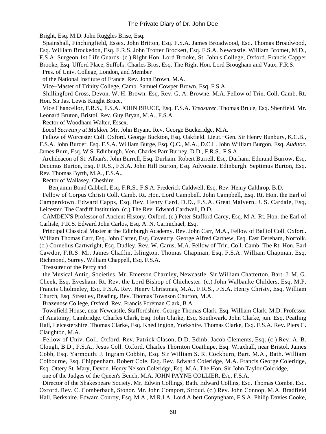Bright, Esq. M.D. John Ruggles Brise, Esq.

 Spainshall, Finchingfield, Essex. John Britton, Esq. F.S.A. James Broadwood, Esq. Thomas Broadwood, Esq. William Brockedon, Esq. F.R.S. John Trotter Brockett, Esq. F.S.A. Newcastle. William Bromet, M.D., F.S.A. Surgeon 1st Life Guards. (c.) Right Hon. Lord Brooke, St. John's College, Oxford. Francis Capper Brooke, Esq. Ufford Place, Suffolk. Charles Bros, Esq. The Right Hon. Lord Brougham and Vaux, F.R.S.

Pres. of Univ. College, London, and Member

of the National Institute of France. Rev. John Brown, M.A.

Vice−Master of Trinity College, Camb. Samuel Cowper Brown, Esq. F.S.A.

 Shillingford Cross, Devon. W. H. Brown, Esq. Rev. G. A. Browne, M.A. Fellow of Trin. Coll. Camb. Rt. Hon. Sir Jas. Lewis Knight Bruce,

 Vice Chancellor, F.R.S., F.S.A. JOHN BRUCE, Esq. F.S.A. *Treasurer*. Thomas Bruce, Esq. Shenfield. Mr. Leonard Bruton, Bristol. Rev. Guy Bryan, M.A., F.S.A.

Rector of Woodham Walter, Essex.

*Local Secretary at Maldon.* Mr. John Bryant. Rev. George Buckeridge, M.A.

 Fellow of Worcester Coll. Oxford. George Buckton, Esq. Oakfield. Lieut.−Gen. Sir Henry Bunbury, K.C.B., F.S.A. John Burder, Esq. F.S.A. William Burge, Esq. Q.C., M.A., D.C.L. John William Burgon, Esq. *Auditor*.

James Burn, Esq. W.S. Edinburgh. Ven. Charles Parr Burney, D.D., F.R.S., F.S.A.

 Archdeacon of St. Alban's. John Burrell, Esq. Durham. Robert Burrell, Esq. Durham. Edmund Burrow, Esq. Decimus Burton, Esq. F.R.S., F.S.A. John Hill Burton, Esq. Advocate, Edinburgh. Septimus Burton, Esq. Rev. Thomas Byrth, M.A., F.S.A.,

Rector of Wallasey, Cheshire.

Benjamin Bond Cabbell, Esq. F.R.S., F.S.A. Frederick Caldwell, Esq. Rev. Henry Calthrop, B.D.

 Fellow of Corpus Christi Coll. Camb. Rt. Hon. Lord Campbell. John Campbell, Esq. Rt. Hon. the Earl of Camperdown. Edward Capps, Esq. Rev. Henry Card, D.D., F.S.A. Great Malvern. J. S. Cardale, Esq, Leicester. The Cardiff Institution. (c.) The Rev. Edward Cardwell, D.D.

 CAMDEN'S Professor of Ancient History, Oxford. (c.) Peter Stafford Carey, Esq. M.A. Rt. Hon. the Earl of Carlisle, F.R.S. Edward John Carlos, Esq. A. N. Carmichael, Esq.

 Principal Classical Master at the Edinburgh Academy. Rev. John Carr, M.A., Fellow of Balliol Coll. Oxford. William Thomas Carr, Esq. John Carter, Esq. Coventry. George Alfred Carthew, Esq. East Dereham, Norfolk. (c.) Cornelius Cartwright, Esq. Dudley. Rev. W. Carus, M.A. Fellow of Trin. Coll. Camb. The Rt. Hon. Earl Cawdor, F.R.S. Mr. James Chaffin, Islington. Thomas Chapman, Esq. F.S.A. William Chapman, Esq.

Richmond, Surrey. William Chappell, Esq. F.S.A.

Treasurer of the Percy and

 the Musical Antiq. Societies. Mr. Emerson Charnley, Newcastle. Sir William Chatterton, Bart. J. M. G. Cheek, Esq. Evesham. Rt. Rev. the Lord Bishop of Chichester. (c.) John Walbanke Childers, Esq. M.P. Francis Cholmeley, Esq. F.S.A. Rev. Henry Christmas, M.A., F.R.S., F.S.A. Henry Christy, Esq. William Church, Esq. Streatley, Reading. Rev. Thomas Townson Churton, M.A.

Brazenose College, Oxford. Rev. Francis Foreman Clark, B.A.

 Townfield House, near Newcastle, Staffordshire. George Thomas Clark, Esq. William Clark, M.D. Professor of Anatomy, Cambridge. Charles Clark, Esq. John Clarke, Esq. Southwark. John Clarke, jun. Esq. Peatling Hall, Leicestershire. Thomas Clarke, Esq. Knedlington, Yorkshire. Thomas Clarke, Esq. F.S.A. Rev. Piers C. Claughton, M.A.

 Fellow of Univ. Coll. Oxford. Rev. Patrick Clason, D.D. Edinb. Jacob Clements, Esq. (c.) Rev. A. B. Clough, B.D., F.S.A., Jesus Coll. Oxford. Charles Thornton Coathupe, Esq. Wraxhall, near Bristol. James Cobb, Esq. Yarmouth. J. Ingram Cobbin, Esq. Sir William S. R. Cockburn, Bart. M.A., Bath. William Colbourne, Esq. Chippenham. Robert Cole, Esq. Rev. Edward Coleridge, M.A. Francis George Coleridge, Esq. Ottery St. Mary, Devon. Henry Nelson Coleridge, Esq. M.A. The Hon. Sir John Taylor Coleridge,

one of the Judges of the Queen's Bench, M.A. JOHN PAYNE COLLIER, Esq. F.S.A.

 Director of the Shakespeare Society. Mr. Edwin Collings, Bath. Edward Collins, Esq. Thomas Combe, Esq. Oxford. Rev. C. Comberbach, Stonor. Mr. John Comport, Stroud. (c.) Rev. John Connop, M.A. Bradfield Hall, Berkshire. Edward Conroy, Esq. M.A., M.R.I.A. Lord Albert Conyngham, F.S.A. Philip Davies Cooke,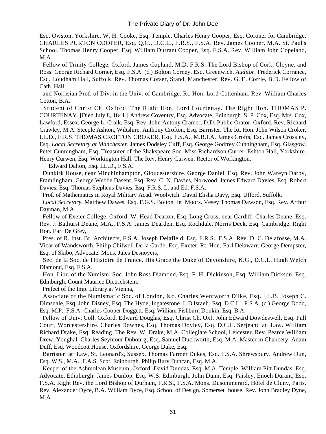Esq. Owston, Yorkshire. W. H. Cooke, Esq. Temple. Charles Henry Cooper, Esq. Coroner for Cambridge. CHARLES PURTON COOPER, Esq. Q.C., D.C.L., F.R.S., F.S.A. Rev. James Cooper, M.A. St. Paul's School. Thomas Henry Cooper, Esq. William Durrant Cooper, Esq. F.S.A. Rev. William John Copeland, M.A.

 Fellow of Trinity College, Oxford. James Copland, M.D. F.R.S. The Lord Bishop of Cork, Cloyne, and Ross. George Richard Corner, Esq. F.S.A. (c.) Bolton Corney, Esq. Greenwich. *Auditor*. Frederick Corrance, Esq. Loudham Hall, Suffolk. Rev. Thomas Corser, Stand, Manchester. Rev. G. E. Corrie, B.D. Fellow of Cath. Hall,

 and Norrisian Prof. of Div. in the Univ. of Cambridge. Rt. Hon. Lord Cottenham. Rev. William Charles Cotton, B.A.

 Student of Christ Ch. Oxford. The Right Hon. Lord Courtenay. The Right Hon. THOMAS P. COURTENAY. [Died July 8, 1841.] Andrew Coventry, Esq. Advocate, Edinburgh. S. P. Cox, Esq. Mrs. Cox, Lawford, Essex. George L. Craik, Esq. Rev. John Antony Cramer, D.D. Public Orator, Oxford. Rev. Richard Crawley, M.A. Steeple Ashton, Wiltshire. Anthony Crofton, Esq. Barrister. The Rt. Hon. John Wilson Croker, LL.D., F.R.S. THOMAS CROFTON CROKER, Esq. F.S.A., M.R.I.A. James Crofts, Esq. James Crossley, Esq. *Local Secretary at Manchester.* James Dodsley Cuff, Esq. George Godfrey Cunningham, Esq. Glasgow. Peter Cunningham, Esq. Treasurer of the Shakspeare Soc. Miss Richardson Currer, Eshton Hall, Yorkshire. Henry Curwen, Esq. Workington Hall. The Rev. Henry Curwen, Rector of Workington.

Edward Dalton, Esq. LL.D., F.S.A.

 Dunkirk House, near Minchinhampton, Gloucestershire. George Daniel, Esq. Rev. John Wareyn Darby, Framlingham. George Webbe Dasent, Esq. Rev. C. N. Davies, Norwood. James Edward Davies, Esq. Robert Davies, Esq. Thomas Stephens Davies, Esq. F.R.S. L. and Ed. F.S.A.

Prof. of Mathematics in Royal Military Acad. Woolwich. David Elisha Davy, Esq. Ufford, Suffolk.

*Local Secretary.* Matthew Dawes, Esq. F.G.S. Bolton−le−Moors. Vesey Thomas Dawson, Esq. Rev. Arthur Dayman, M.A.

 Fellow of Exeter College, Oxford. W. Head Deacon, Esq. Long Cross, near Cardiff. Charles Deane, Esq. Rev. J. Bathurst Deane, M.A., F.S.A. James Dearden, Esq. Rochdale. Norris Deck, Esq. Cambridge. Right Hon. Earl De Grey,

 Pres. of R. Inst. Br. Architects, F.S.A. Joseph Delafield, Esq. F.R.S., F.S.A. Rev. D. C. Delafosse, M.A. Vicar of Wandsworth. Philip Chilwell De la Garde, Esq. Exeter. Rt. Hon. Earl Delawarr. George Dempster, Esq. of Skibo, Advocate. Mons. Jules Desnoyers,

 Sec. de la Soc. de l'Histoire de France. His Grace the Duke of Devonshire, K.G., D.C.L. Hugh Welch Diamond, Esq. F.S.A.

 Hon. Libr. of the Numism. Soc. John Ross Diamond, Esq. F. H. Dickinson, Esq. William Dickson, Esq. Edinburgh. Count Maurice Dietrichstein,

Prefect of the Imp. Library at Vienna,

 Associate of the Numismatic Soc. of London, &c. Charles Wentworth Dilke, Esq. LL.B. Joseph C. Dimsdale, Esq. John Disney, Esq. The Hyde, Ingatestone. I. D'Israeli, Esq. D.C.L., F.S.A. (c.) George Dodd, Esq. M.P., F.S.A. Charles Cooper Doggett, Esq. William Fishburn Donkin, Esq. B.A.

 Fellow of Univ. Coll. Oxford. Edward Douglas, Esq. Christ Ch. Oxf. John Edward Dowdeswell, Esq. Pull Court, Worcestershire. Charles Downes, Esq. Thomas Doyley, Esq. D.C.L. Serjeant−at−Law. William Richard Drake, Esq. Reading. The Rev. W. Drake, M.A. Collegiate School, Leicester. Rev. Pearce William Drew, Youghal. Charles Seymour Dubourg, Esq. Samuel Duckworth, Esq. M.A. Master in Chancery. Adam Duff, Esq. Woodcott House, Oxfordshire. George Duke, Esq.

 Barrister−at−Law, St. Leonard's, Sussex. Thomas Farmer Dukes, Esq. F.S.A. Shrewsbury. Andrew Dun, Esq. W.S., M.A., F.A.S. Scot. Edinburgh. Philip Bury Duncan, Esq. M.A.

 Keeper of the Ashmolean Museum, Oxford. David Dundas, Esq. M.A. Temple. William Pitt Dundas, Esq. Advocate, Edinburgh. James Dunlop, Esq. W.S. Edinburgh. John Dunn, Esq. Paisley. Enoch Durant, Esq. F.S.A. Right Rev. the Lord Bishop of Durham, F.R.S., F.S.A. Mons. Dusommerard, Hôtel de Cluny, Paris. Rev. Alexander Dyce, B.A. William Dyce, Esq. School of Design, Somerset−house. Rev. John Bradley Dyne, M.A.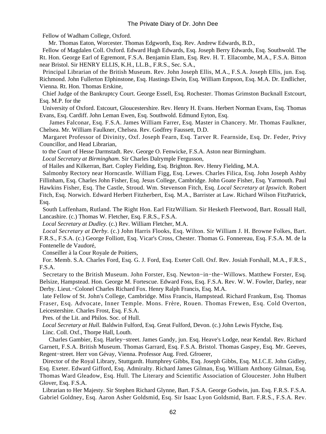Fellow of Wadham College, Oxford.

Mr. Thomas Eaton, Worcester. Thomas Edgworth, Esq. Rev. Andrew Edwards, B.D.,

 Fellow of Magdalen Coll. Oxford. Edward Hugh Edwards, Esq. Joseph Berry Edwards, Esq. Southwold. The Rt. Hon. George Earl of Egremont, F.S.A. Benjamin Elam, Esq. Rev. H. T. Ellacombe, M.A., F.S.A. Bitton near Bristol. Sir HENRY ELLIS, K.H., LL.B., F.R.S., Sec. S.A.,

 Principal Librarian of the British Museum. Rev. John Joseph Ellis, M.A., F.S.A. Joseph Ellis, jun. Esq. Richmond. John Fullerton Elphinstone, Esq. Hastings Elwin, Esq. William Empson, Esq. M.A. Dr. Endlicher, Vienna. Rt. Hon. Thomas Erskine,

 Chief Judge of the Bankruptcy Court. George Essell, Esq. Rochester. Thomas Grimston Bucknall Estcourt, Esq. M.P. for the

 University of Oxford. Estcourt, Gloucestershire. Rev. Henry H. Evans. Herbert Norman Evans, Esq. Thomas Evans, Esq. Cardiff. John Leman Ewen, Esq. Southwold. Edmund Eyton, Esq.

 James Falconar, Esq. F.S.A. James William Farrer, Esq. Master in Chancery. Mr. Thomas Faulkner, Chelsea. Mr. William Faulkner, Chelsea. Rev. Godfrey Faussett, D.D.

 Margaret Professor of Divinity, Oxf. Joseph Fearn, Esq. Tarver R. Fearnside, Esq. Dr. Feder, Privy Councillor, and Head Librarian,

to the Court of Hesse Darmstadt. Rev. George O. Fenwicke, F.S.A. Aston near Birmingham.

*Local Secretary at Birmingham.* Sir Charles Dalrymple Fergusson,

of Hailes and Kilkerran, Bart. Copley Fielding, Esq. Brighton. Rev. Henry Fielding, M.A.

 Salmonby Rectory near Horncastle. William Figg, Esq. Lewes. Charles Filica, Esq. John Joseph Ashby Fillinham, Esq. Charles John Fisher, Esq. Jesus College, Cambridge. John Goate Fisher, Esq. Yarmouth. Paul Hawkins Fisher, Esq. The Castle, Stroud. Wm. Stevenson Fitch, Esq. *Local Secretary at Ipswich.* Robert Fitch, Esq. Norwich. Edward Herbert Fitzherbert, Esq. M.A., Barrister at Law. Richard Wilson FitzPatrick, Esq.

 South Luffenham, Rutland. The Right Hon. Earl FitzWilliam. Sir Hesketh Fleetwood, Bart. Rossall Hall, Lancashire. (c.) Thomas W. Fletcher, Esq. F.R.S., F.S.A.

*Local Secretary at Dudley.* (c.) Rev. William Fletcher, M.A.

*Local Secretary at Derby.* (c.) John Harris Flooks, Esq. Wilton. Sir William J. H. Browne Folkes, Bart. F.R.S., F.S.A. (c.) George Folliott, Esq. Vicar's Cross, Chester. Thomas G. Fonnereau, Esq. F.S.A. M. de la Fontenelle de Vaudoré,

Conseiller à la Cour Royale de Poitiers,

 For. Memb. S.A. Charles Ford, Esq. G. J. Ford, Esq. Exeter Coll. Oxf. Rev. Josiah Forshall, M.A., F.R.S., F.S.A.

 Secretary to the British Museum. John Forster, Esq. Newton−in−the−Willows. Matthew Forster, Esq. Belsize, Hampstead. Hon. George M. Fortescue. Edward Foss, Esq. F.S.A. Rev. W. W. Fowler, Darley, near Derby. Lieut.−Colonel Charles Richard Fox. Henry Ralph Francis, Esq. M.A.

 late Fellow of St. John's College, Cambridge. Miss Francis, Hampstead. Richard Frankum, Esq. Thomas Fraser, Esq. Advocate, Inner Temple. Mons. Frère, Rouen. Thomas Frewen, Esq. Cold Overton, Leicestershire. Charles Frost, Esq. F.S.A.

Pres. of the Lit. and Philos. Soc. of Hull.

*Local Secretary at Hull.* Baldwin Fulford, Esq. Great Fulford, Devon. (c.) John Lewis Ffytche, Esq.

Linc. Coll. Oxf., Thorpe Hall, Louth.

 Charles Gambier, Esq. Harley−street. James Gandy, jun. Esq. Heave's Lodge, near Kendal. Rev. Richard Garnett, F.S.A. British Museum. Thomas Garrard, Esq. F.S.A. Bristol. Thomas Gaspey, Esq. Mr. Geeves, Regent−street. Herr von Gévay, Vienna. Professor Aug. Fred. Gfroerer,

 Director of the Royal Library, Stuttgardt. Humphrey Gibbs, Esq. Joseph Gibbs, Esq. M.I.C.E. John Gidley, Esq. Exeter. Edward Gifford, Esq. Admiralty. Richard James Gilman, Esq. William Anthony Gilman, Esq. Thomas Ward Gleadow, Esq. Hull. The Literary and Scientific Association of Gloucester. John Hulbert Glover, Esq. F.S.A.

 Librarian to Her Majesty. Sir Stephen Richard Glynne, Bart. F.S.A. George Godwin, jun. Esq. F.R.S. F.S.A. Gabriel Goldney, Esq. Aaron Asher Goldsmid, Esq. Sir Isaac Lyon Goldsmid, Bart. F.R.S., F.S.A. Rev.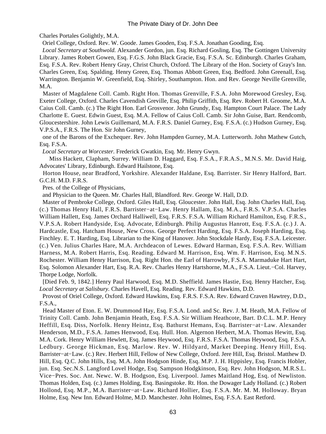Charles Portales Golightly, M.A.

Oriel College, Oxford. Rev. W. Goode. James Gooden, Esq. F.S.A. Jonathan Gooding, Esq.

*Local Secretary at Southwold.* Alexander Gordon, jun. Esq. Richard Gosling, Esq. The Gottingen University Library. James Robert Gowen, Esq. F.G.S. John Black Gracie, Esq. F.S.A. Sc. Edinburgh. Charles Graham, Esq. F.S.A. Rev. Robert Henry Gray, Christ Church, Oxford. The Library of the Hon. Society of Gray's Inn. Charles Green, Esq. Spalding. Henry Green, Esq. Thomas Abbott Green, Esq. Bedford. John Greenall, Esq. Warrington. Benjamin W. Greenfield, Esq. Shirley, Southampton. Hon. and Rev. George Neville Grenville, M.A.

 Master of Magdalene Coll. Camb. Right Hon. Thomas Grenville, F.S.A. John Morewood Gresley, Esq. Exeter College, Oxford. Charles Cavendish Greville, Esq. Philip Griffith, Esq. Rev. Robert H. Groome, M.A. Caius Coll. Camb. (c.) The Right Hon. Earl Grosvenor. John Grundy, Esq. Hampton Court Palace. The Lady Charlotte E. Guest. Edwin Guest, Esq. M.A. Fellow of Caius Coll. Camb. Sir John Guise, Bart. Rendcomb, Gloucestershire. John Lewis Guillemard, M.A. F.R.S. Daniel Gurney, Esq. F.S.A. (c.) Hudson Gurney, Esq. V.P.S.A., F.R.S. The Hon. Sir John Gurney,

 one of the Barons of the Exchequer. Rev. John Hampden Gurney, M.A. Lutterworth. John Mathew Gutch, Esq. F.S.A.

*Local Secretary at Worcester.* Frederick Gwatkin, Esq. Mr. Henry Gwyn.

 Miss Hackett, Clapham, Surrey. William D. Haggard, Esq. F.S.A., F.R.A.S., M.N.S. Mr. David Haig, Advocates' Library, Edinburgh. Edward Hailstone, Esq.

 Horton House, near Bradford, Yorkshire. Alexander Haldane, Esq. Barrister. Sir Henry Halford, Bart. G.C.H. M.D. F.R.S.

Pres. of the College of Physicians,

and Physician to the Queen. Mr. Charles Hall, Blandford. Rev. George W. Hall, D.D.

 Master of Pembroke College, Oxford. Giles Hall, Esq. Gloucester. John Hall, Esq. John Charles Hall, Esq. (c.) Thomas Henry Hall, F.R.S. Barrister−at−Law. Henry Hallam, Esq. M.A., F.R.S. V.P.S.A. Charles William Hallett, Esq. James Orchard Halliwell, Esq. F.R.S. F.S.A. William Richard Hamilton, Esq. F.R.S., V.P.S.A. Robert Handyside, Esq. Advocate, Edinburgh. Philip Augustus Hanrott, Esq. F.S.A. (c.) J. A. Hardcastle, Esq. Hatcham House, New Cross. George Perfect Harding, Esq. F.S.A. Joseph Harding, Esq. Finchley. E. T. Harding, Esq. Librarian to the King of Hanover. John Stockdale Hardy, Esq. F.S.A. Leicester. (c.) Ven. Julius Charles Hare, M.A. Archdeacon of Lewes. Edward Harman, Esq. F.S.A. Rev. William Harness, M.A. Robert Harris, Esq. Reading. Edward M. Harrison, Esq. Wm. F. Harrison, Esq. M.N.S. Rochester. William Henry Harrison, Esq. Right Hon. the Earl of Harrowby, F.S.A. Marmaduke Hart Hart, Esq. Solomon Alexander Hart, Esq. R.A. Rev. Charles Henry Hartshorne, M.A., F.S.A. Lieut.−Col. Harvey, Thorpe Lodge, Norfolk.

 [Died Feb. 9, 1842.] Henry Paul Harwood, Esq. M.D. Sheffield. James Hastie, Esq. Henry Hatcher, Esq. *Local Secretary at Salisbury.* Charles Havell, Esq. Reading. Rev. Edward Hawkins, D.D.

 Provost of Oriel College, Oxford. Edward Hawkins, Esq. F.R.S. F.S.A. Rev. Edward Craven Hawtrey, D.D., F.S.A.,

 Head Master of Eton. E. W. Drummond Hay, Esq. F.S.A. Lond. and Sc. Rev. J. M. Heath, M.A. Fellow of Trinity Coll. Camb. John Benjamin Heath, Esq. F.S.A. Sir William Heathcote, Bart. D.C.L. M.P. Henry Heffill, Esq. Diss, Norfolk. Henry Heintz, Esq. Bathurst Hemans, Esq. Barrister−at−Law. Alexander Henderson, M.D., F.S.A. James Henwood, Esq. Hull. Hon. Algernon Herbert, M.A. Thomas Hewitt, Esq. M.A. Cork. Henry William Hewlett, Esq. James Heywood, Esq. F.R.S. F.S.A. Thomas Heywood, Esq. F.S.A. Ledbury. George Hickman, Esq. Marlow. Rev. W. Hildyard, Market Deeping. Henry Hill, Esq. Barrister−at−Law. (c.) Rev. Herbert Hill, Fellow of New College, Oxford. Jere Hill, Esq. Bristol. Matthew D. Hill, Esq. Q.C. John Hills, Esq. M.A. John Hodgson Hinde, Esq. M.P. J. H. Hippisley, Esq. Francis Hobler, jun. Esq. Sec.N.S. Langford Lovel Hodge, Esq. Sampson Hodgkinson, Esq. Rev. John Hodgson, M.R.S.L. Vice−Pres. Soc. Ant. Newc. W. B. Hodgson, Esq. Liverpool. James Maitland Hog, Esq. of Newliston. Thomas Holden, Esq. (c.) James Holding, Esq. Basingstoke. Rt. Hon. the Dowager Lady Holland. (c.) Robert Hollond, Esq. M.P., M.A. Barrister−at−Law. Richard Hollier, Esq. F.S.A. Mr. M. M. Holloway. Bryan Holme, Esq. New Inn. Edward Holme, M.D. Manchester. John Holmes, Esq. F.S.A. East Retford.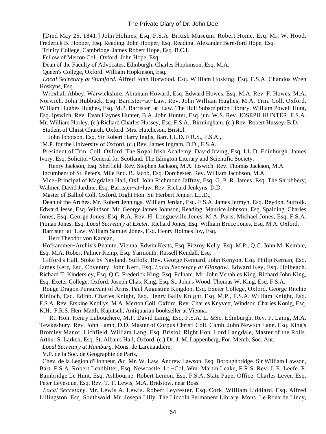[Died May 25, 1841.] John Holmes, Esq. F.S.A. British Museum. Robert Home, Esq. Mr. W. Hood. Frederick B. Hooper, Esq. Reading. John Hooper, Esq. Reading. Alexander Beresford Hope, Esq.

Trinity College, Cambridge. James Robert Hope, Esq. B.C.L.

Fellow of Merton Coll. Oxford. John Hope, Esq.

Dean of the Faculty of Advocates, Edinburgh. Charles Hopkinson, Esq. M.A.

Queen's College, Oxford. William Hopkinson, Esq.

*Local Secretary at Stamford.* Alfred John Horwood, Esq. William Hosking, Esq. F.S.A. Chandos Wren Hoskyns, Esq.

 Wroxhall Abbey, Warwickshire. Abraham Howard, Esq. Edward Howes, Esq. M.A. Rev. F. Howes, M.A. Norwich. John Hubback, Esq. Barrister−at−Law. Rev. John William Hughes, M.A. Trin. Coll. Oxford. William Hughes Hughes, Esq. M.P. Barrister−at−Law. The Hull Subscription Library. William Powell Hunt, Esq. Ipswich. Rev. Evan Haynes Hunter, B.A. John Hunter, Esq. jun. W.S. Rev. JOSEPH HUNTER, F.S.A. Mr. William Hurley. (c.) Richard Charles Hussey, Esq. F.S.A., Birmingham. (c.) Rev. Robert Hussey, B.D.

Student of Christ Church, Oxford. Mrs. Hutcheson, Bristol.

John Ibbotson, Esq. Sir Robert Harry Inglis, Bart. LL.D. F.R.S., F.S.A.,

M.P. for the University of Oxford. (c.) Rev. James Ingram, D.D., F.S.A.

 President of Trin. Coll. Oxford. The Royal Irish Academy. David Irving, Esq. LL.D. Edinburgh. James Ivory, Esq. Solicitor−General for Scotland. The Islington Literary and Scientific Society.

Henry Jackson, Esq. Sheffield. Rev. Stephen Jackson, M.A. Ipswich. Rev. Thomas Jackson, M.A.

Incumbent of St. Peter's, Mile End. B. Jacob, Esq. Dorchester. Rev. William Jacobson, M.A.

 Vice−Principal of Magdalen Hall, Oxf. John Richmond Jaffray, Esq. G. P. R. James, Esq. The Shrubbery, Walmer. David Jardine, Esq. Barrister−at−law. Rev. Richard Jenkyns, D.D.

Master of Balliol Coll. Oxford. Right Hon. Sir Herbert Jenner, LL.D.,

 Dean of the Arches. Mr. Robert Jennings. William Jerdan, Esq. F.S.A. James Jermyn, Esq. Reydon, Suffolk. Edward Jesse, Esq. Windsor. Mr. George James Johnson, Reading. Maurice Johnson, Esq. Spalding. Charles

Jones, Esq. George Jones, Esq. R.A. Rev. H. Longueville Jones, M.A. Paris. Michael Jones, Esq. F.S.A.

Pitman Jones, Esq. *Local Secretary at Exeter.* Richard Jones, Esq. William Bruce Jones, Esq. M.A. Oxford,

Barrister−at−Law. William Samuel Jones, Esq. Henry Holmes Joy, Esq.

Herr Theodor von Karajan,

 Hofkammer−Archiv's Beamte, Vienna. Edwin Keats, Esq. Fitzroy Kelly, Esq. M.P., Q.C. John M. Kemble, Esq. M.A. Robert Palmer Kemp, Esq. Yarmouth. Russell Kendall, Esq.

 Gifford's Hall, Stoke by Nayland, Suffolk. Rev. George Kennard. John Kenyon, Esq. Philip Kernan, Esq. James Kerr, Esq. Coventry. John Kerr, Esq. *Local Secretary at Glasgow.* Edward Key, Esq. Holbeach. Richard T. Kindersley, Esq. Q.C. Frederick King, Esq. Fulham. Mr. John Venables King. Richard John King, Esq. Exeter College, Oxford. Joseph Chas. King, Esq. St. John's Wood. Thomas W. King, Esq. F.S.A.

 Rouge Dragon Pursuivant of Arms. Paul Augustine Kingdon, Esq. Exeter College, Oxford. George Ritchie Kinloch, Esq. Edinb. Charles Knight, Esq. Henry Gally Knight, Esq. M.P., F.S.A. William Knight, Esq. F.S.A. Rev. Erskine Knollys, M.A. Merton Coll. Oxford. Rev. Charles Knyvett, Windsor. Charles König, Esq. K.H., F.R.S. Herr Matth. Kupitsch, Antiquarian bookseller at Vienna.

 Rt. Hon. Henry Labouchere, M.P. David Laing, Esq. F.S.A. L. &Sc. Edinburgh. Rev. F. Laing, M.A. Tewkesbury. Rev. John Lamb, D.D. Master of Corpus Christi Coll. Camb. John Newton Lane, Esq. King's Bromley Manor, Lichfield. William Lang, Esq. Bristol. Right Hon. Lord Langdale, Master of the Rolls. Arthur S. Larken, Esq. St. Alban's Hall, Oxford. (c.) Dr. J. M. Lappenberg, For. Memb. Soc. Ant.

*Local Secretary at Hamburg.* Mons. de Larenaudière,

V.P. de la Soc. de Geographie de Paris,

 Chev. de la Legion d'Honneur, &c. Mr. W. Law. Andrew Lawson, Esq. Boroughbridge. Sir William Lawson, Bart. F.S.A. Robert Leadbitter, Esq. Newcastle. Lt.−Col. Wm. Martin Leake, F.R.S. Rev. J. E. Leefe. P. Bainbridge Le Hunt, Esq. Ashbourne. Robert Lemon, Esq. F.S.A. State Paper Office. Charles Lever, Esq. Peter Levesque, Esq. Rev. T. T. Lewis, M.A. Bridstow, near Ross.

*Local Secretary*. Mr. Lewis A. Lewis. Robert Leycester, Esq. Cork. William Liddiard, Esq. Alfred Lillingston, Esq. Southwold. Mr. Joseph Lilly. The Lincoln Permanent Library. Mons. Le Roux de Lincy,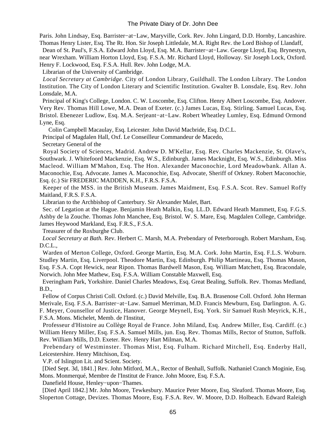Paris. John Lindsay, Esq. Barrister−at−Law, Maryville, Cork. Rev. John Lingard, D.D. Hornby, Lancashire. Thomas Henry Lister, Esq. The Rt. Hon. Sir Joseph Littledale, M.A. Right Rev. the Lord Bishop of Llandaff,

 Dean of St. Paul's, F.S.A. Edward John Lloyd, Esq. M.A. Barrister−at−Law. George Lloyd, Esq. Brynestyn, near Wrexham. William Horton Lloyd, Esq. F.S.A. Mr. Richard Lloyd, Holloway. Sir Joseph Lock, Oxford. Henry F. Lockwood, Esq. F.S.A. Hull. Rev. John Lodge, M.A.

Librarian of the University of Cambridge.

*Local Secretary at Cambridge.* City of London Library, Guildhall. The London Library. The London Institution. The City of London Literary and Scientific Institution. Gwalter B. Lonsdale, Esq. Rev. John Lonsdale, M.A.

 Principal of King's College, London. C. W. Loscombe, Esq. Clifton. Henry Albert Loscombe, Esq. Andover. Very Rev. Thomas Hill Lowe, M.A. Dean of Exeter. (c.) James Lucas, Esq. Stirling. Samuel Lucas, Esq. Bristol. Ebenezer Ludlow, Esq. M.A. Serjeant−at−Law. Robert Wheatley Lumley, Esq. Edmund Ormond Lyne, Esq.

Colin Campbell Macaulay, Esq. Leicester. John David Macbride, Esq. D.C.L.

Principal of Magdalen Hall, Oxf. Le Conseilleur Commandeur de Macedo,

Secretary General of the

 Royal Society of Sciences, Madrid. Andrew D. M'Kellar, Esq. Rev. Charles Mackenzie, St. Olave's, Southwark. J. Whitefoord Mackenzie, Esq. W.S., Edinburgh. James Macknight, Esq. W.S., Edinburgh. Miss Macleod. William M'Mahon, Esq. The Hon. Alexander Maconochie, Lord Meadowbank. Allan A. Maconochie, Esq. Advocate. James A. Maconochie, Esq. Advocate, Sheriff of Orkney. Robert Maconochie, Esq. (c.) Sir FREDERIC MADDEN, K.H., F.R.S. F.S.A.

 Keeper of the MSS. in the British Museum. James Maidment, Esq. F.S.A. Scot. Rev. Samuel Roffy Maitland, F.R.S. F.S.A.

Librarian to the Archbishop of Canterbury. Sir Alexander Malet, Bart.

 Sec. of Legation at the Hague. Benjamin Heath Malkin, Esq. LL.D. Edward Heath Mammett, Esq. F.G.S. Ashby de la Zouche. Thomas John Manchee, Esq. Bristol. W. S. Mare, Esq. Magdalen College, Cambridge. James Heywood Markland, Esq. F.R.S., F.S.A.

Treasurer of the Roxburghe Club.

*Local Secretary at Bath.* Rev. Herbert C. Marsh, M.A. Prebendary of Peterborough. Robert Marsham, Esq. D.C.L.,

 Warden of Merton College, Oxford. George Martin, Esq. M.A. Cork. John Martin, Esq. F.L.S. Woburn. Studley Martin, Esq. Liverpool. Theodore Martin, Esq. Edinburgh. Philip Martineau, Esq. Thomas Mason, Esq. F.S.A. Copt Hewick, near Ripon. Thomas Bardwell Mason, Esq. William Matchett, Esq. Bracondale, Norwich. John Mee Mathew, Esq. F.S.A. William Constable Maxwell, Esq.

 Everingham Park, Yorkshire. Daniel Charles Meadows, Esq. Great Bealing, Suffolk. Rev. Thomas Medland, B.D.,

 Fellow of Corpus Christi Coll. Oxford. (c.) David Melville, Esq. B.A. Brasenose Coll. Oxford. John Herman Merivale, Esq. F.S.A. Barrister−at−Law. Samuel Merriman, M.D. Francis Mewburn, Esq. Darlington. A. G. F. Meyer, Counsellor of Justice, Hanover. George Meynell, Esq. York. Sir Samuel Rush Meyrick, K.H., F.S.A. Mons. Michelet, Memb. de l'Institut,

 Professeur d'Histoire au Collège Royal de France. John Miland, Esq. Andrew Miller, Esq. Cardiff. (c.) William Henry Miller, Esq. F.S.A. Samuel Mills, jun. Esq. Rev. Thomas Mills, Rector of Stutton, Suffolk. Rev. William Mills, D.D. Exeter. Rev. Henry Hart Milman, M.A.

 Prebendary of Westminster. Thomas Mist, Esq. Fulham. Richard Mitchell, Esq. Enderby Hall, Leicestershire. Henry Mitchison, Esq.

V.P. of Islington Lit. and Scient. Society.

 [Died Sept. 3d, 1841.] Rev. John Mitford, M.A., Rector of Benhall, Suffolk. Nathaniel Cranch Moginie, Esq. Mons. Monmerqué, Membre de l'Institut de France. John Moore, Esq. F.S.A.

Danefield House, Henley−upon−Thames.

 [Died April 1842.] Mr. John Moore, Tewkesbury. Maurice Peter Moore, Esq. Sleaford. Thomas Moore, Esq. Sloperton Cottage, Devizes. Thomas Moore, Esq. F.S.A. Rev. W. Moore, D.D. Holbeach. Edward Raleigh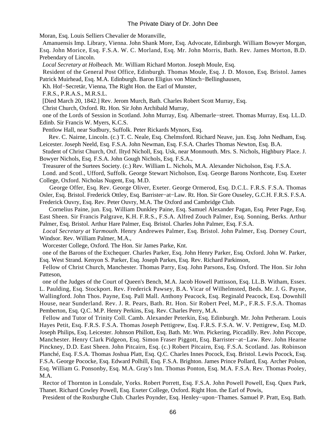Moran, Esq. Louis Selliers Chevalier de Moranville,

 Amanuensis Imp. Library, Vienna. John Shank More, Esq. Advocate, Edinburgh. William Bowyer Morgan, Esq. John Morice, Esq. F.S.A. W. C. Morland, Esq. Mr. John Morris, Bath. Rev. James Morton, B.D. Prebendary of Lincoln.

*Local Secretary at Holbeach.* Mr. William Richard Morton. Joseph Moule, Esq.

 Resident of the General Post Office, Edinburgh. Thomas Moule, Esq. J. D. Moxon, Esq. Bristol. James Patrick Muirhead, Esq. M.A. Edinburgh. Baron Eligius von Münch−Bellinghausen,

Kh. Hof−Secretär, Vienna, The Right Hon. the Earl of Munster,

F.R.S., P.R.A.S., M.R.S.L.

[Died March 20, 1842.] Rev. Jerom Murch, Bath. Charles Robert Scott Murray, Esq.

Christ Church, Oxford. Rt. Hon. Sir John Archibald Murray,

 one of the Lords of Session in Scotland. John Murray, Esq. Albemarle−street. Thomas Murray, Esq. LL.D. Edinb. Sir Francis W. Myers, K.C.S.

Pentlow Hall, near Sudbury, Suffolk. Peter Rickards Mynors, Esq.

 Rev. C. Nairne, Lincoln. (c.) T. C. Neale, Esq. Chelmsford. Richard Neave, jun. Esq. John Nedham, Esq. Leicester. Joseph Neeld, Esq. F.S.A. John Newman, Esq. F.S.A. Charles Thomas Newton, Esq. B.A.

 Student of Christ Church, Oxf. Iltyd Nicholl, Esq. Usk, near Monmouth. Mrs. S. Nichols, Highbury Place. J. Bowyer Nichols, Esq. F.S.A. John Gough Nichols, Esq. F.S.A.,

Treasurer of the Surtees Society. (c.) Rev. William L. Nichols, M.A. Alexander Nicholson, Esq. F.S.A.

 Lond. and Scotl., Ufford, Suffolk. George Stewart Nicholson, Esq. George Barons Northcote, Esq. Exeter College, Oxford. Nicholas Nugent, Esq. M.D.

 George Offer, Esq. Rev. George Oliver, Exeter. George Ormerod, Esq. D.C.L. F.R.S. F.S.A. Thomas Osler, Esq. Bristol. Frederick Ottley, Esq. Barrister−at−Law. Rt. Hon. Sir Gore Ouseley, G.C.H. F.R.S. F.S.A.

Frederick Ouvry, Esq. Rev. Peter Ouvry, M.A. The Oxford and Cambridge Club.

 Cornelius Paine, jun. Esq. William Dunkley Paine, Esq. Samuel Alexander Pagan, Esq. Peter Page, Esq. East Sheen. Sir Francis Palgrave, K.H. F.R.S., F.S.A. Alfred Zouch Palmer, Esq. Sonning, Berks. Arthur Palmer, Esq. Bristol. Arthur Hare Palmer, Esq. Bristol. Charles John Palmer, Esq. F.S.A.

*Local Secretary at Yarmouth.* Henry Andrewes Palmer, Esq. Bristol. John Palmer, Esq. Dorney Court, Windsor. Rev. William Palmer, M.A.,

Worcester College, Oxford. The Hon. Sir James Parke, Knt.

 one of the Barons of the Exchequer. Charles Parker, Esq. John Henry Parker, Esq. Oxford. John W. Parker, Esq. West Strand. Kenyon S. Parker, Esq. Joseph Parkes, Esq. Rev. Richard Parkinson,

 Fellow of Christ Church, Manchester. Thomas Parry, Esq. John Parsons, Esq. Oxford. The Hon. Sir John Patteson,

 one of the Judges of the Court of Queen's Bench, M.A. Jacob Howell Pattisson, Esq. LL.B. Witham, Essex. L. Paulding, Esq. Stockport. Rev. Frederick Pawsey, B.A. Vicar of Wilhelmsted, Beds. Mr. J. G. Payne, Wallingford. John Thos. Payne, Esq. Pall Mall. Anthony Peacock, Esq. Reginald Peacock, Esq. Downhill House, near Sunderland. Rev. J. R. Pears, Bath. Rt. Hon. Sir Robert Peel, M.P., F.R.S. F.S.A. Thomas Pemberton, Esq. Q.C. M.P. Henry Perkins, Esq. Rev. Charles Perry, M.A.

 Fellow and Tutor of Trinity Coll. Camb. Alexander Peterkin, Esq. Edinburgh. Mr. John Petheram. Louis Hayes Petit, Esq. F.R.S. F.S.A. Thomas Joseph Pettigrew, Esq. F.R.S. F.S.A. W. V. Pettigrew, Esq. M.D. Joseph Philips, Esq. Leicester. Johnson Phillott, Esq. Bath. Mr. Wm. Pickering, Piccadilly. Rev. John Piccope, Manchester. Henry Clark Pidgeon, Esq. Simon Fraser Piggott, Esq. Barrister−at−Law. Rev. John Hearne Pinckney, D.D. East Sheen. John Pitcairn, Esq. (c.) Robert Pitcairn, Esq. F.S.A. Scotland. Jas. Robinson Planché, Esq. F.S.A. Thomas Joshua Platt, Esq. Q.C. Charles Innes Pocock, Esq. Bristol. Lewis Pocock, Esq. F.S.A. George Pococke, Esq. Edward Polhill, Esq. F.S.A. Brighton. James Prince Pollard, Esq. Archer Polson, Esq. William G. Ponsonby, Esq. M.A. Gray's Inn. Thomas Ponton, Esq. M.A. F.S.A. Rev. Thomas Pooley, M.A.

 Rector of Thornton in Lonsdale, Yorks. Robert Porrett, Esq. F.S.A. John Powell Powell, Esq. Quex Park, Thanet. Richard Cowley Powell, Esq. Exeter College, Oxford. Right Hon. the Earl of Powis,

President of the Roxburghe Club. Charles Poynder, Esq. Henley−upon−Thames. Samuel P. Pratt, Esq. Bath.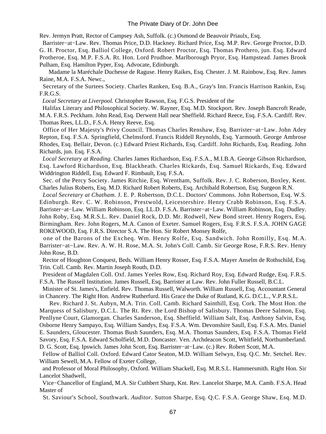Rev. Jermyn Pratt, Rector of Campsey Ash, Suffolk. (c.) Osmond de Beauvoir Priaulx, Esq.

 Barrister−at−Law. Rev. Thomas Price, D.D. Hackney. Richard Price, Esq. M.P. Rev. George Proctor, D.D. G. H. Proctor, Esq. Balliol College, Oxford. Robert Proctor, Esq. Thomas Prothero, jun. Esq. Edward Protheroe, Esq. M.P. F.S.A. Rt. Hon. Lord Prudhoe. Marlborough Pryor, Esq. Hampstead. James Brook Pulham, Esq. Hamilton Pyper, Esq. Advocate, Edinburgh.

 Madame la Maréchale Duchesse de Raguse. Henry Raikes, Esq. Chester. J. M. Rainbow, Esq. Rev. James Raine, M.A. F.S.A. Newc.,

 Secretary of the Surtees Society. Charles Ranken, Esq. B.A., Gray's Inn. Francis Harrison Rankin, Esq. F.R.G.S.

*Local Secretary at Liverpool.* Christopher Rawson, Esq. F.G.S. President of the

 Halifax Literary and Philosophical Society. W. Rayner, Esq. M.D. Stockport. Rev. Joseph Bancroft Reade, M.A. F.R.S. Peckham. John Read, Esq. Derwent Hall near Sheffield. Richard Reece, Esq. F.S.A. Cardiff. Rev. Thomas Rees, LL.D., F.S.A. Henry Reeve, Esq.

 Office of Her Majesty's Privy Council. Thomas Charles Renshaw, Esq. Barrister−at−Law. John Adey Repton, Esq. F.S.A. Springfield, Chelmsford. Francis Riddell Reynolds, Esq. Yarmouth. George Ambrose Rhodes, Esq. Bellair, Devon. (c.) Edward Priest Richards, Esq. Cardiff. John Richards, Esq. Reading. John Richards, jun. Esq. F.S.A.

*Local Secretary at Reading.* Charles James Richardson, Esq. F.S.A., M.I.B.A. George Gibson Richardson, Esq. Lawford Richardson, Esq. Blackheath. Charles Rickards, Esq. Samuel Rickards, Esq. Edward Widdrington Riddell, Esq. Edward F. Rimbault, Esq. F.S.A.

 Sec. of the Percy Society. James Ritchie, Esq. Wrentham, Suffolk. Rev. J. C. Roberson, Boxley, Kent. Charles Julius Roberts, Esq. M.D. Richard Robert Roberts, Esq. Archibald Robertson, Esq. Surgeon R.N.

*Local Secretary at Chatham.* J. E. P. Robertson, D.C.L. Doctors' Commons. John Robertson, Esq. W.S. Edinburgh. Rev. C. W. Robinson, Prestwold, Leicestershire. Henry Crabb Robinson, Esq. F.S.A. Barrister−at−Law. William Robinson, Esq. LL.D. F.S.A. Barrister−at−Law. William Robinson, Esq. Dudley. John Roby, Esq. M.R.S.L. Rev. Daniel Rock, D.D. Mr. Rodwell, New Bond street. Henry Rogers, Esq. Birmingham. Rev. John Rogers, M.A. Canon of Exeter. Samuel Rogers, Esq. F.R.S. F.S.A. JOHN GAGE ROKEWOOD, Esq. F.R.S. Director S.A. The Hon. Sir Robert Monsey Rolfe,

 one of the Barons of the Excheq. Wm. Henry Rolfe, Esq. Sandwich. John Romilly, Esq. M.A. Barrister−at−Law. Rev. A. W. H. Rose, M.A. St. John's Coll. Camb. Sir George Rose, F.R.S. Rev. Henry John Rose, B.D.

 Rector of Houghton Conquest, Beds. William Henry Rosser, Esq. F.S.A. Mayer Anselm de Rothschild, Esq. Trin. Coll. Camb. Rev. Martin Joseph Routh, D.D.

 President of Magdalen Coll. Oxf. James Yeeles Row, Esq. Richard Roy, Esq. Edward Rudge, Esq. F.R.S. F.S.A. The Russell Institution. James Russell, Esq. Barrister at Law. Rev. John Fuller Russell, B.C.L.

 Minister of St. James's, Enfield. Rev. Thomas Russell, Walworth. William Russell, Esq. Accountant General in Chancery. The Right Hon. Andrew Rutherfurd. His Grace the Duke of Rutland, K.G. D.C.L., V.P.R.S.L.

 Rev. Richard J. St. Aubyn, M.A. Trin. Coll. Camb. Richard Sainthill, Esq. Cork. The Most Hon. the Marquess of Salisbury, D.C.L. The Rt. Rev. the Lord Bishop of Salisbury. Thomas Deere Salmon, Esq. Penllyne Court, Glamorgan. Charles Sanderson, Esq. Sheffield. William Salt, Esq. Anthony Salvin, Esq. Osborne Henry Sampayo, Esq. William Sandys, Esq. F.S.A. Wm. Devonshire Saull, Esq. F.S.A. Mrs. Daniel E. Saunders, Gloucester. Thomas Bush Saunders, Esq. M.A. Thomas Saunders, Esq. F.S.A. Thomas Field Savory, Esq. F.S.A. Edward Scholfield, M.D. Doncaster. Ven. Archdeacon Scott, Whitfield, Northumberland. D. G. Scott, Esq. Ipswich. James John Scott, Esq. Barrister−at−Law. (c.) Rev. Robert Scott, M.A.

 Fellow of Balliol Coll. Oxford. Edward Cator Seaton, M.D. William Selwyn, Esq. Q.C. Mr. Setchel. Rev. William Sewell, M.A. Fellow of Exeter College,

 and Professor of Moral Philosophy, Oxford. William Shackell, Esq. M.R.S.L. Hammersmith. Right Hon. Sir Lancelot Shadwell,

 Vice−Chancellor of England, M.A. Sir Cuthbert Sharp, Knt. Rev. Lancelot Sharpe, M.A. Camb. F.S.A. Head Master of

St. Saviour's School, Southwark. *Auditor.* Sutton Sharpe, Esq. Q.C. F.S.A. George Shaw, Esq. M.D.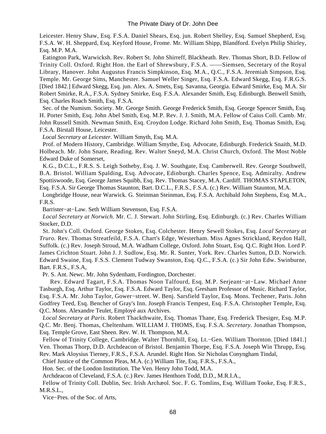Leicester. Henry Shaw, Esq. F.S.A. Daniel Shears, Esq. jun. Robert Shelley, Esq. Samuel Shepherd, Esq. F.S.A. W. H. Sheppard, Esq. Keyford House, Frome. Mr. William Shipp, Blandford. Evelyn Philip Shirley, Esq. M.P. M.A.

 Eatington Park, Warwicksh. Rev. Robert St. John Shirreff, Blackheath. Rev. Thomas Short, B.D. Fellow of Trinity Coll. Oxford. Right Hon. the Earl of Shrewsbury, F.S.A. ——Siemsen, Secretary of the Royal Library, Hanover. John Augustus Francis Simpkinson, Esq. M.A., Q.C., F.S.A. Jeremiah Simpson, Esq. Temple. Mr. George Sims, Manchester. Samuel Weller Singer, Esq. F.S.A. Edward Skegg, Esq. F.R.G.S. [Died 1842.] Edward Skegg, Esq. jun. Alex. A. Smets, Esq. Savanna, Georgia. Edward Smirke, Esq. M.A. Sir Robert Smirke, R.A., F.S.A. Sydney Smirke, Esq. F.S.A. Alexander Smith, Esq. Edinburgh. Benwell Smith, Esq. Charles Roach Smith, Esq. F.S.A.

 Sec. of the Numism. Society. Mr. George Smith. George Frederick Smith, Esq. George Spencer Smith, Esq. H. Porter Smith, Esq. John Abel Smith, Esq. M.P. Rev. J. J. Smith, M.A. Fellow of Caius Coll. Camb. Mr. John Russell Smith. Newman Smith, Esq. Croydon Lodge. Richard John Smith, Esq. Thomas Smith, Esq. F.S.A. Birstall House, Leicester.

*Local Secretary at Leicester.* William Smyth, Esq. M.A.

 Prof. of Modern History, Cambridge. William Smythe, Esq. Advocate, Edinburgh. Frederick Snaith, M.D. Holbeach. Mr. John Snare, Reading. Rev. Walter Sneyd, M.A. Christ Church, Oxford. The Most Noble Edward Duke of Somerset,

 K.G., D.C.L., F.R.S. S. Leigh Sotheby, Esq. J. W. Southgate, Esq. Camberwell. Rev. George Southwell, B.A. Bristol. William Spalding, Esq. Advocate, Edinburgh. Charles Spence, Esq. Admiralty. Andrew Spottiswoode, Esq. George James Squibb, Esq. Rev. Thomas Stacey, M.A. Cardiff. THOMAS STAPLETON, Esq. F.S.A. Sir George Thomas Staunton, Bart. D.C.L., F.R.S., F.S.A. (c.) Rev. William Staunton, M.A.

 Longbridge House, near Warwick. G. Steinman Steinman, Esq. F.S.A. Archibald John Stephens, Esq. M.A., F.R.S.

Barrister−at−Law. Seth William Stevenson, Esq. F.S.A.

*Local Secretary at Norwich.* Mr. C. J. Stewart. John Stirling, Esq. Edinburgh. (c.) Rev. Charles William Stocker, D.D.

 St. John's Coll. Oxford. George Stokes, Esq. Colchester. Henry Sewell Stokes, Esq. *Local Secretary at Truro.* Rev. Thomas Streatfeild, F.S.A. Chart's Edge, Westerham. Miss Agnes Strickland, Reydon Hall, Suffolk. (c.) Rev. Joseph Stroud, M.A. Wadham College, Oxford. John Stuart, Esq. Q.C. Right Hon. Lord P. James Crichton Stuart. John J. J. Sudlow, Esq. Mr. R. Sunter, York. Rev. Charles Sutton, D.D. Norwich. Edward Swaine, Esq. F.S.S. Clement Tudway Swanston, Esq. Q.C., F.S.A. (c.) Sir John Edw. Swinburne, Bart. F.R.S., F.S.A,

Pr. S. Ant. Newc. Mr. John Sydenham, Fordington, Dorchester.

 Rev. Edward Tagart, F.S.A. Thomas Noon Talfourd, Esq. M.P. Serjeant−at−Law. Michael Anne Tasburgh, Esq. Arthur Taylor, Esq. F.S.A. Edward Taylor, Esq. Gresham Professor of Music. Richard Taylor, Esq. F.S.A. Mr. John Taylor, Gower−street. W. Benj. Sarsfield Taylor, Esq. Mons. Techener, Paris. John Godfrey Teed, Esq. Bencher of Gray's Inn. Joseph Francis Tempest, Esq. F.S.A. Christopher Temple, Esq. Q.C. Mons. Alexandre Teulet, Employé aux Archives.

*Local Secretary at Paris.* Robert Thackthwaite, Esq. Thomas Thane, Esq. Frederick Thesiger, Esq. M.P. Q.C. Mr. Benj. Thomas, Cheltenham. WILLIAM J. THOMS, Esq. F.S.A. *Secretary.* Jonathan Thompson, Esq. Temple Grove, East Sheen. Rev. W. H. Thompson, M.A.

 Fellow of Trinity College, Cambridge. Walter Thornhill, Esq. Lt.−Gen. William Thornton. [Died 1841.] Ven. Thomas Thorp, D.D. Archdeacon of Bristol. Benjamin Thorpe, Esq. F.S.A. Joseph Win Thrupp, Esq. Rev. Mark Aloysius Tierney, F.R.S., F.S.A. Arundel. Right Hon. Sir Nicholas Conyngham Tindal,

Chief Justice of the Common Pleas, M.A. (c.) William Tite, Esq. F.R.S., F.S.A.,

Hon. Sec. of the London Institution. The Ven. Henry John Todd, M.A.

Archdeacon of Cleveland, F.S.A. (c.) Rev. James Henthorn Todd, D.D., M.R.I.A.,

 Fellow of Trinity Coll. Dublin, Sec. Irish Archæol. Soc. F. G. Tomlins, Esq. William Tooke, Esq. F.R.S., M.R.S.L.,

Vice−Pres. of the Soc. of Arts,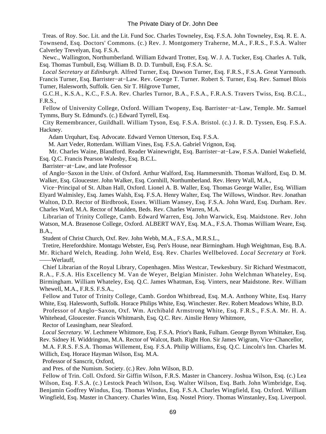Treas. of Roy. Soc. Lit. and the Lit. Fund Soc. Charles Towneley, Esq. F.S.A. John Towneley, Esq. R. E. A. Townsend, Esq. Doctors' Commons. (c.) Rev. J. Montgomery Traherne, M.A., F.R.S., F.S.A. Walter Calverley Trevelyan, Esq. F.S.A.

 Newc., Wallington, Northumberland. William Edward Trotter, Esq. W. J. A. Tucker, Esq. Charles A. Tulk, Esq. Thomas Turnbull, Esq. William B. D. D. Turnbull, Esq. F.S.A. Sc.

*Local Secretary at Edinburgh.* Alfred Turner, Esq. Dawson Turner, Esq. F.R.S., F.S.A. Great Yarmouth. Francis Turner, Esq. Barrister−at−Law. Rev. George T. Turner. Robert S. Turner, Esq. Rev. Samuel Blois Turner, Halesworth, Suffolk. Gen. Sir T. Hilgrove Turner,

 G.C.H., K.S.A., K.C., F.S.A. Rev. Charles Turnor, B.A., F.S.A., F.R.A.S. Travers Twiss, Esq. B.C.L., F.R.S.,

 Fellow of University College, Oxford. William Twopeny, Esq. Barrister−at−Law, Temple. Mr. Samuel Tymms, Bury St. Edmund's. (c.) Edward Tyrrell, Esq.

 City Remembrancer, Guildhall. William Tyson, Esq. F.S.A. Bristol. (c.) J. R. D. Tyssen, Esq. F.S.A. Hackney.

Adam Urquhart, Esq. Advocate. Edward Vernon Utterson, Esq. F.S.A.

M. Aart Veder, Rotterdam. William Vines, Esq. F.S.A. Gabriel Vrignon, Esq.

 Mr. Charles Waine, Blandford. Reader Wainewright, Esq. Barrister−at−Law, F.S.A. Daniel Wakefield, Esq. Q.C. Francis Pearson Walesby, Esq. B.C.L.

Barrister−at−Law, and late Professor

 of Anglo−Saxon in the Univ. of Oxford. Arthur Walford, Esq. Hammersmith. Thomas Walford, Esq. D. M. Walker, Esq. Gloucester. John Walker, Esq. Cornhill, Northumberland. Rev. Henry Wall, M.A.,

 Vice−Principal of St. Alban Hall, Oxford. Lionel A. B. Waller, Esq. Thomas George Waller, Esq. William Elyard Walmisley, Esq. James Walsh, Esq. F.S.A. Henry Walter, Esq. The Willows, Windsor. Rev. Jonathan Walton, D.D. Rector of Birdbrook, Essex. William Wansey, Esq. F.S.A. John Ward, Esq. Durham. Rev. Charles Ward, M.A. Rector of Maulden, Beds. Rev. Charles Warren, M.A.

 Librarian of Trinity College, Camb. Edward Warren, Esq. John Warwick, Esq. Maidstone. Rev. John Watson, M.A. Brasenose College, Oxford. ALBERT WAY, Esq. M.A., F.S.A. Thomas William Weare, Esq. B.A.,

Student of Christ Church, Oxf. Rev. John Webb, M.A., F.S.A., M.R.S.L.,

 Tretire, Herefordshire. Montagu Webster, Esq. Pen's House, near Birmingham. Hugh Weightman, Esq. B.A. Mr. Richard Welch, Reading. John Weld, Esq. Rev. Charles Wellbeloved. *Local Secretary at York.* ——Werlauff,

 Chief Librarian of the Royal Library, Copenhagen. Miss Westcar, Tewkesbury. Sir Richard Westmacott, R.A., F.S.A. His Excellency M. Van de Weyer, Belgian Minister. John Welchman Whateley, Esq. Birmingham. William Whateley, Esq. Q.C. James Whatman, Esq. Vinters, near Maidstone. Rev. William Whewell, M.A., F.R.S. F.S.A.,

 Fellow and Tutor of Trinity College, Camb. Gordon Whitbread, Esq. M.A. Anthony White, Esq. Harry White, Esq. Halesworth, Suffolk. Horace Philips White, Esq. Winchester. Rev. Robert Meadows White, B.D.

 Professor of Anglo−Saxon, Oxf. Wm. Archibald Armstrong White, Esq. F.R.S., F.S.A. Mr. H. A. Whitehead, Gloucester. Francis Whitmarsh, Esq. Q.C. Rev. Ainslie Henry Whitmore,

Rector of Leasingham, near Sleaford.

*Local Secretary.* W. Lechmere Whitmore, Esq. F.S.A. Prior's Bank, Fulham. George Byrom Whittaker, Esq. Rev. Sidney H. Widdrington, M.A. Rector of Walcot, Bath. Right Hon. Sir James Wigram, Vice−Chancellor,

 M.A. F.R.S. F.S.A. Thomas Willement, Esq. F.S.A. Philip Williams, Esq. Q.C. Lincoln's Inn. Charles M. Willich, Esq. Horace Hayman Wilson, Esq. M.A.

Professor of Sanscrit, Oxford,

and Pres. of the Numism. Society. (c.) Rev. John Wilson, B.D.

 Fellow of Trin. Coll. Oxford. Sir Giffin Wilson, F.R.S. Master in Chancery. Joshua Wilson, Esq. (c.) Lea Wilson, Esq. F.S.A. (c.) Lestock Peach Wilson, Esq. Walter Wilson, Esq. Bath. John Wimbridge, Esq. Benjamin Godfrey Windus, Esq. Thomas Windus, Esq. F.S.A. Charles Wingfield, Esq. Oxford. William Wingfield, Esq. Master in Chancery. Charles Winn, Esq. Nostel Priory. Thomas Winstanley, Esq. Liverpool.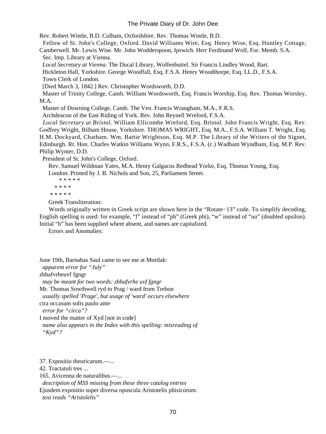Rev. Robert Wintle, B.D. Culham, Oxfordshire. Rev. Thomas Wintle, B.D.

 Fellow of St. John's College, Oxford. David Williams Wire, Esq. Henry Wise, Esq. Huntley Cottage, Camberwell. Mr. Lewis Wise. Mr. John Wodderspoon, Ipswich. Herr Ferdinand Wolf, For. Memb. S.A.

Sec. Imp. Library at Vienna.

*Local Secretary at Vienna.* The Ducal Library, Wolfenbuttel. Sir Francis Lindley Wood, Bart.

Hickleton Hall, Yorkshire. George Woodfall, Esq. F.S.A. Henry Woodthorpe, Esq. LL.D., F.S.A.

Town Clerk of London.

[Died March 3, 1842.] Rev. Christopher Wordsworth, D.D.

 Master of Trinity College, Camb. William Wordsworth, Esq. Francis Worship, Esq. Rev. Thomas Worsley, M.A.

Master of Downing College, Camb. The Ven. Francis Wrangham, M.A., F.R.S.

Archdeacon of the East Riding of York. Rev. John Reynell Wreford, F.S.A.

*Local Secretary at Bristol.* William Ellicombe Wreford, Esq. Bristol. John Francis Wright, Esq. Rev. Godfrey Wright, Bilham House, Yorkshire. THOMAS WRIGHT, Esq. M.A., F.S.A. William T. Wright, Esq. H.M. Dockyard, Chatham. Wm. Battie Wrightson, Esq. M.P. The Library of the Writers of the Signet, Edinburgh. Rt. Hon. Charles Watkin Williams Wynn, F.R.S., F.S.A. (c.) Wadham Wyndham, Esq. M.P. Rev. Philip Wynter, D.D.

President of St. John's College, Oxford.

Rev. Samuel Wildman Yates, M.A. Henry Galgacus Redhead Yorke, Esq. Thomas Young, Esq.

London: Printed by J. B. Nichols and Son, 25, Parliament Street.

 \* \* \* \* \* \* \* \* \* \* \* \* \* \*

Greek Transliteration:

 Words originally written in Greek script are shown here in the "Rotate−13" code. To simplify decoding, English spelling is used: for example, "f" instead of "ph" (Greek phi), "w" instead of "uu" (doubled upsilon). Initial "h" has been supplied where absent, and names are capitalized.

Errors and Anomalies:

June 19th, Barnabas Saul came to see me at Mortlak: *apparent error for "July"* zbhafvrheuvf fgngr *may be meant for two words: zbhafvrhe uvf fgngr* Mr. Thomas Sowthwell ryd to Prag / ward from Trebon *usually spelled 'Prage', but usage of 'ward' occurs elsewhere* cira occasum solis paulo ante *error for "circa"?* I moved the matter of Xyd [not in code] *name also appears in the Index with this spelling: misreading of*

 *"Kyd"?*

37. Expositio theoricarum.—...

42. Tractatuli tres ...

165. Avicenna de naturalibus.—...

*description of MSS missing from these three catalog entries*

Ejusdem expositio super diversa opuscula Aristotelis phisicorum.

*text reads "Aristolelis"*